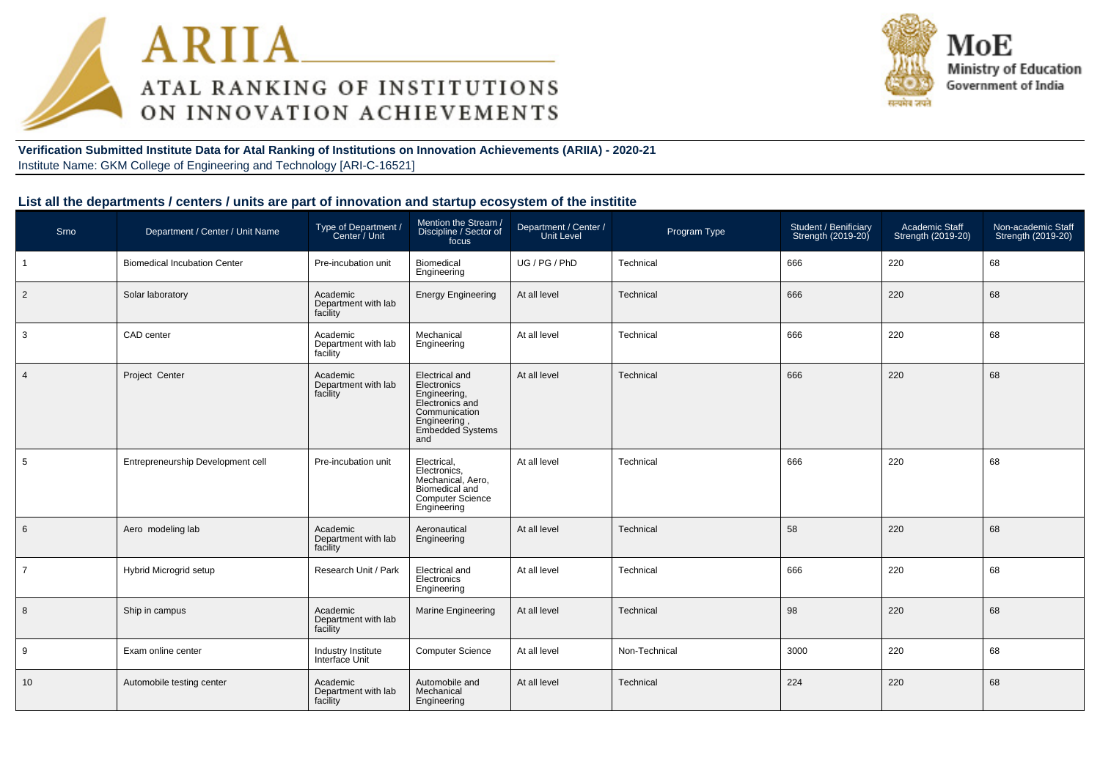



**Verification Submitted Institute Data for Atal Ranking of Institutions on Innovation Achievements (ARIIA) - 2020-21**Institute Name: GKM College of Engineering and Technology [ARI-C-16521]

#### **List all the departments / centers / units are part of innovation and startup ecosystem of the institite**

| Srno           | Department / Center / Unit Name     | Type of Department /<br>Center / Unit       | Mention the Stream /<br>Discipline / Sector of<br>focus                                                                             | Department / Center /<br><b>Unit Level</b> | Program Type  | Student / Benificiary<br>Strength (2019-20) | Academic Staff<br>Strength (2019-20) | Non-academic Staff<br>Strength (2019-20) |
|----------------|-------------------------------------|---------------------------------------------|-------------------------------------------------------------------------------------------------------------------------------------|--------------------------------------------|---------------|---------------------------------------------|--------------------------------------|------------------------------------------|
|                | <b>Biomedical Incubation Center</b> | Pre-incubation unit                         | Biomedical<br>Engineering                                                                                                           | UG / PG / PhD                              | Technical     | 666                                         | 220                                  | 68                                       |
| 2              | Solar laboratory                    | Academic<br>Department with lab<br>facility | <b>Energy Engineering</b>                                                                                                           | At all level                               | Technical     | 666                                         | 220                                  | 68                                       |
| 3              | CAD center                          | Academic<br>Department with lab<br>facility | Mechanical<br>Engineering                                                                                                           | At all level                               | Technical     | 666                                         | 220                                  | 68                                       |
| $\overline{4}$ | Project Center                      | Academic<br>Department with lab<br>facility | Electrical and<br>Electronics<br>Engineering,<br>Electronics and<br>Communication<br>Engineering,<br><b>Embedded Systems</b><br>and | At all level                               | Technical     | 666                                         | 220                                  | 68                                       |
| 5              | Entrepreneurship Development cell   | Pre-incubation unit                         | Electrical,<br>Electronics,<br>Mechanical, Aero,<br>Biomedical and<br><b>Computer Science</b><br>Engineering                        | At all level                               | Technical     | 666                                         | 220                                  | 68                                       |
| 6              | Aero modeling lab                   | Academic<br>Department with lab<br>facility | Aeronautical<br>Engineering                                                                                                         | At all level                               | Technical     | 58                                          | 220                                  | 68                                       |
| $\overline{7}$ | <b>Hybrid Microgrid setup</b>       | Research Unit / Park                        | Electrical and<br>Electronics<br>Engineering                                                                                        | At all level                               | Technical     | 666                                         | 220                                  | 68                                       |
| 8              | Ship in campus                      | Academic<br>Department with lab<br>facility | Marine Engineering                                                                                                                  | At all level                               | Technical     | 98                                          | 220                                  | 68                                       |
| 9              | Exam online center                  | Industry Institute<br>Interface Unit        | <b>Computer Science</b>                                                                                                             | At all level                               | Non-Technical | 3000                                        | 220                                  | 68                                       |
| 10             | Automobile testing center           | Academic<br>Department with lab<br>facility | Automobile and<br>Mechanical<br>Engineering                                                                                         | At all level                               | Technical     | 224                                         | 220                                  | 68                                       |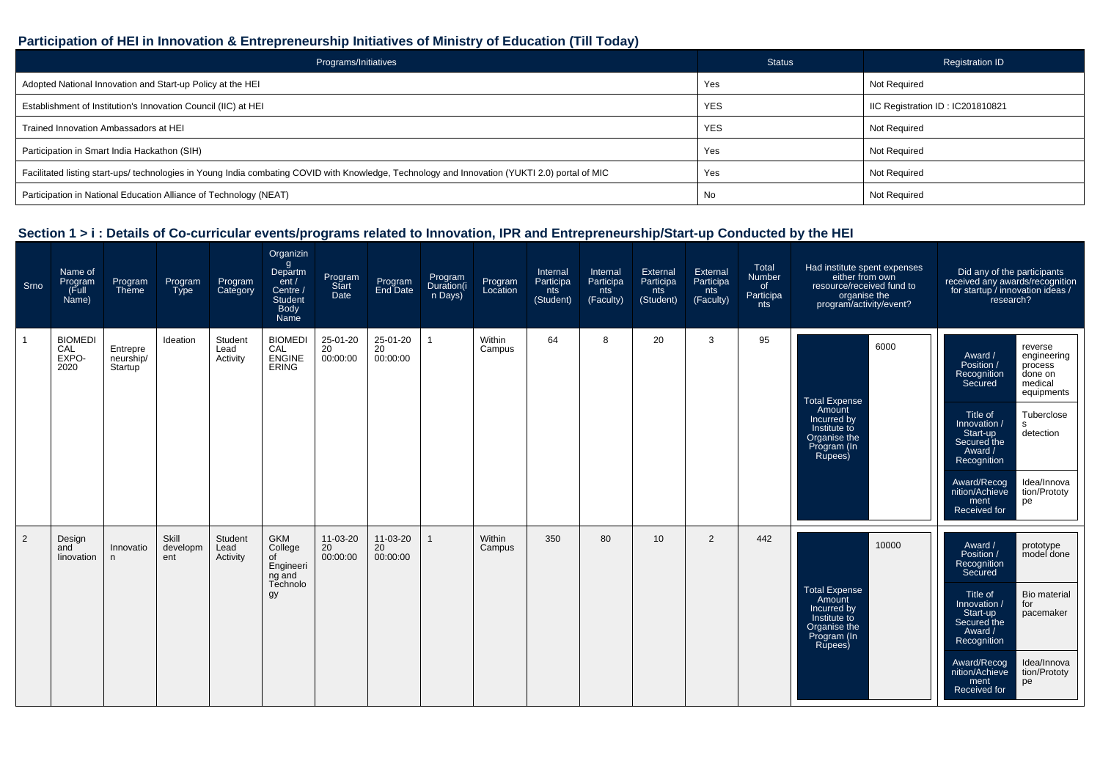## **Participation of HEI in Innovation & Entrepreneurship Initiatives of Ministry of Education (Till Today)**

| Programs/Initiatives                                                                                                                           | <b>Status</b> | <b>Registration ID</b>           |
|------------------------------------------------------------------------------------------------------------------------------------------------|---------------|----------------------------------|
| Adopted National Innovation and Start-up Policy at the HEI                                                                                     | Yes           | Not Required                     |
| Establishment of Institution's Innovation Council (IIC) at HEI                                                                                 | <b>YES</b>    | IIC Registration ID: IC201810821 |
| Trained Innovation Ambassadors at HEI                                                                                                          | <b>YES</b>    | Not Required                     |
| Participation in Smart India Hackathon (SIH)                                                                                                   | Yes           | Not Required                     |
| Facilitated listing start-ups/ technologies in Young India combating COVID with Knowledge, Technology and Innovation (YUKTI 2.0) portal of MIC | Yes           | Not Required                     |
| Participation in National Education Alliance of Technology (NEAT)                                                                              | No            | <b>Not Required</b>              |

| Srno | Name of<br>Program<br>(Full<br>Name)   | Program<br>Theme                 | Program<br><b>Type</b>   | Program<br>Category         | Organizin<br>$\mathsf{g}$<br>Departm<br>ent/<br>Centre /<br><b>Student</b><br>Body<br>Name | Program<br>Start<br>Date   | Program<br>End Date        | Program<br>Duration(i<br>n Days) | Program<br>Location | Internal<br>Participa<br>nts<br>(Student) | Internal<br>Participa<br>nts<br>(Faculty) | External<br>Participa<br>nts<br>(Student) | External<br>Participa<br>nts<br>(Faculty) | Total<br>Number<br>of<br>Participa<br>nts | Had institute spent expenses<br>either from own<br>resource/received fund to<br>organise the<br>program/activity/event? | Did any of the participants<br>received any awards/recognition<br>for startup / innovation ideas /<br>research?                                                                                                                                                                                                                          |
|------|----------------------------------------|----------------------------------|--------------------------|-----------------------------|--------------------------------------------------------------------------------------------|----------------------------|----------------------------|----------------------------------|---------------------|-------------------------------------------|-------------------------------------------|-------------------------------------------|-------------------------------------------|-------------------------------------------|-------------------------------------------------------------------------------------------------------------------------|------------------------------------------------------------------------------------------------------------------------------------------------------------------------------------------------------------------------------------------------------------------------------------------------------------------------------------------|
| 1    | <b>BIOMEDI</b><br>CAL<br>EXPO-<br>2020 | Entrepre<br>neurship/<br>Startup | Ideation                 | Student<br>Lead<br>Activity | <b>BIOMEDI</b><br>CAL<br>ENGINE<br>ERING                                                   | 25-01-20<br>20<br>00:00:00 | 25-01-20<br>20<br>00:00:00 |                                  | Within<br>Campus    | 64                                        | 8                                         | 20                                        | 3                                         | 95                                        | 6000<br><b>Total Expense</b><br>Amount<br>Incurred by<br>Institute to<br>Organise the<br>Program (In<br>Rupees)         | reverse<br>Award /<br>engineering<br>Position /<br>process<br>done on<br>Recognition<br>medical<br>Secured<br>equipments<br>Title of<br>Tuberclose<br>Innovation /<br>s.<br>detection<br>Start-up<br>Secured the<br>Award /<br>Recognition<br>Idea/Innova<br>Award/Recog<br>nition/Achieve<br>tion/Prototy<br>ment<br>pe<br>Received for |
| 2    | Design<br>and<br>linovation            | Innovatio<br>n                   | Skill<br>developm<br>ent | Student<br>Lead<br>Activity | <b>GKM</b><br>College<br>of<br>Engineeri<br>ng and<br>Technolo<br>gу                       | 11-03-20<br>20<br>00:00:00 | 11-03-20<br>20<br>00:00:00 |                                  | Within<br>Campus    | 350                                       | 80                                        | 10 <sup>1</sup>                           | 2                                         | 442                                       | 10000<br><b>Total Expense</b><br>Amount<br>Incurred by<br>Institute to<br>Organise the<br>Program (In<br>Rupees)        | Award /<br>prototype<br>Position /<br>model done<br>Recognition<br>Secured<br>Title of<br>Bio material<br>Innovation /<br>for<br>Start-up<br>pacemaker<br>Secured the<br>Award /<br>Recognition<br>Idea/Innova<br>Award/Recog<br>nition/Achieve<br>tion/Prototy<br>ment<br>pe<br>Received for                                            |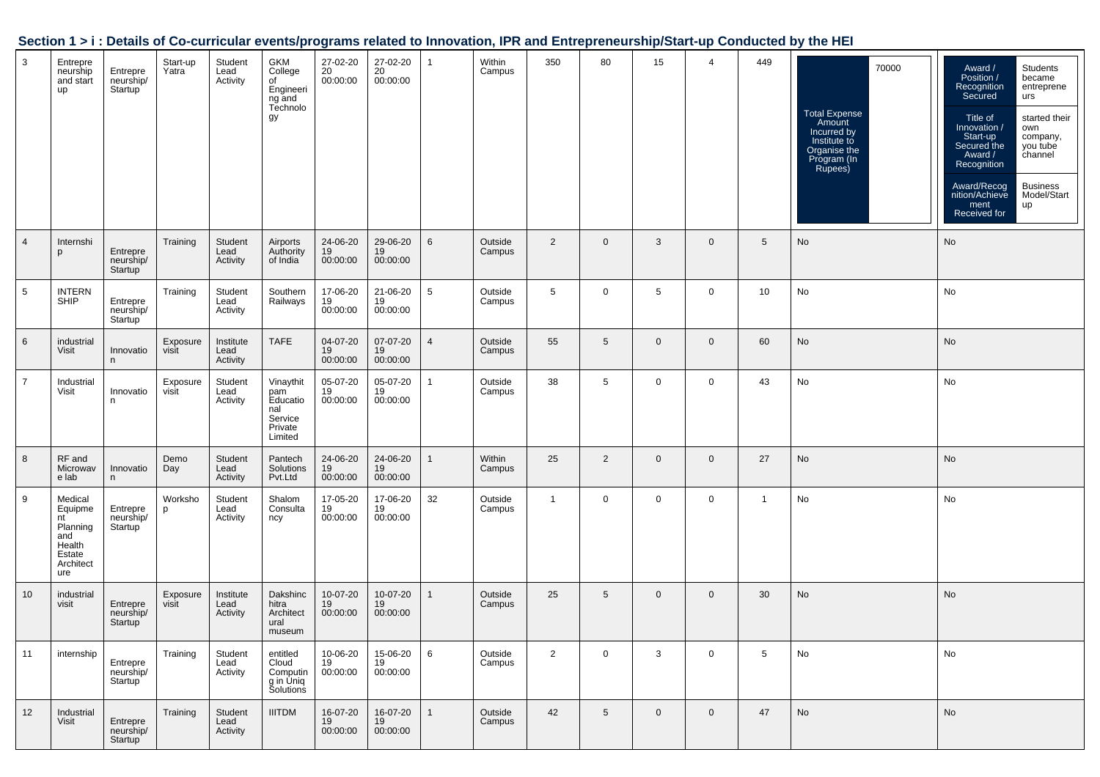| Section 1 > i : Details of Co-curricular events/programs related to Innovation, IPR and Entrepreneurship/Start-up Conducted by the HEI |  |  |  |
|----------------------------------------------------------------------------------------------------------------------------------------|--|--|--|
|                                                                                                                                        |  |  |  |

| $\mathbf{3}$    | Entrepre<br>neurship<br>and start<br>up                                             | Entrepre<br>neurship/<br>Startup | Start-up<br>Yatra | Student<br>Lead<br>Activity   | GKM<br>College<br>of<br>Engineeri<br>ng and<br>Technolo<br>gy        | 27-02-20<br>20<br>00:00:00 | 27-02-20<br>20<br>00:00:00 |                 | Within<br>Campus  | 350            | 80              | 15           | 4           | 449            | 70000<br>Total Expense<br>Amount<br>Incurred by<br>Institute to<br>Organise the<br>Program (In<br>Rupees) | Students<br>Award /<br>Position /<br>became<br>Recognition<br>entreprene<br>Secured<br>urs<br>Title of<br>started their<br>/ Innovation<br>own<br>Start-up<br>company,<br>Secured the<br>you tube<br>channel<br>Award /<br>Recognition<br><b>Business</b><br>Award/Recog<br>Model/Start<br>nition/Achieve<br>ment<br>up<br>Received for |
|-----------------|-------------------------------------------------------------------------------------|----------------------------------|-------------------|-------------------------------|----------------------------------------------------------------------|----------------------------|----------------------------|-----------------|-------------------|----------------|-----------------|--------------|-------------|----------------|-----------------------------------------------------------------------------------------------------------|-----------------------------------------------------------------------------------------------------------------------------------------------------------------------------------------------------------------------------------------------------------------------------------------------------------------------------------------|
| $\overline{4}$  | Internshi<br>p                                                                      | Entrepre<br>neurship/<br>Startup | Training          | Student<br>Lead<br>Activity   | Airports<br>Authority<br>of India                                    | 24-06-20<br>19<br>00:00:00 | 29-06-20<br>19<br>00:00:00 | 6               | Outside<br>Campus | $\overline{2}$ | $\mathbf 0$     | 3            | $\mathbf 0$ | 5              | No                                                                                                        | No                                                                                                                                                                                                                                                                                                                                      |
| 5               | <b>INTERN</b><br>SHIP                                                               | Entrepre<br>neurship/<br>Startup | Training          | Student<br>Lead<br>Activity   | Southern<br>Railways                                                 | 17-06-20<br>19<br>00:00:00 | 21-06-20<br>19<br>00:00:00 | $5\overline{5}$ | Outside<br>Campus | 5              | $\mathbf 0$     | 5            | $\mathbf 0$ | 10             | No                                                                                                        | No                                                                                                                                                                                                                                                                                                                                      |
| $6\phantom{1}6$ | industrial<br>Visit                                                                 | Innovatio<br>n                   | Exposure<br>visit | Institute<br>Lead<br>Activity | <b>TAFE</b>                                                          | 04-07-20<br>19<br>00:00:00 | 07-07-20<br>19<br>00:00:00 | $\overline{4}$  | Outside<br>Campus | 55             | $5\phantom{.0}$ | $\mathbf{0}$ | $\mathbf 0$ | 60             | No                                                                                                        | No                                                                                                                                                                                                                                                                                                                                      |
| $\overline{7}$  | Industrial<br>Visit                                                                 | Innovatio<br>n.                  | Exposure<br>visit | Student<br>Lead<br>Activity   | Vinaythit<br>pam<br>Educatio<br>nal<br>Service<br>Private<br>Limited | 05-07-20<br>19<br>00:00:00 | 05-07-20<br>19<br>00:00:00 |                 | Outside<br>Campus | 38             | 5               | $\mathbf 0$  | $\mathbf 0$ | 43             | No                                                                                                        | No                                                                                                                                                                                                                                                                                                                                      |
| 8               | RF and<br>Microwav<br>e lab                                                         | Innovatio<br>n                   | Demo<br>Day       | Student<br>Lead<br>Activity   | Pantech<br>Solutions<br>Pvt.Ltd                                      | 24-06-20<br>19<br>00:00:00 | 24-06-20<br>19<br>00:00:00 | 1               | Within<br>Campus  | 25             | $\overline{2}$  | $\mathbf{0}$ | $\mathbf 0$ | 27             | No                                                                                                        | No                                                                                                                                                                                                                                                                                                                                      |
| 9               | Medical<br>Equipme<br>nt<br>Planning<br>and<br>Health<br>Estate<br>Architect<br>ure | Entrepre<br>neurship/<br>Startup | Worksho<br>D      | Student<br>Lead<br>Activity   | Shalom<br>Consulta<br>ncy                                            | 17-05-20<br>19<br>00:00:00 | 17-06-20<br>19<br>00:00:00 | 32              | Outside<br>Campus | $\mathbf{1}$   | $\mathbf 0$     | $\mathbf{0}$ | $\mathbf 0$ | $\overline{1}$ | No                                                                                                        | No                                                                                                                                                                                                                                                                                                                                      |
| 10              | industrial<br>visit                                                                 | Entrepre<br>neurship/<br>Startup | Exposure<br>visit | Institute<br>Lead<br>Activity | Dakshinc<br>hitra<br>Architect<br>ural<br>museum                     | 10-07-20<br>19<br>00:00:00 | 10-07-20<br>19<br>00:00:00 |                 | Outside<br>Campus | 25             | 5               | $\mathbf{0}$ | $\mathbf 0$ | 30             | No                                                                                                        | No                                                                                                                                                                                                                                                                                                                                      |
| 11              | internship                                                                          | Entrepre<br>neurship/<br>Startup | Training          | Student<br>Lead<br>Activity   | entitled<br>Cloud<br>Computin<br>g in Uniq<br>Solutions              | 10-06-20<br>19<br>00:00:00 | 15-06-20<br>19<br>00:00:00 | 6               | Outside<br>Campus | $\overline{2}$ | $\mathbf 0$     | 3            | $\mathbf 0$ | 5              | No                                                                                                        | No                                                                                                                                                                                                                                                                                                                                      |
| 12              | Industrial<br>Visit                                                                 | Entrepre<br>neurship/<br>Startup | Training          | Student<br>Lead<br>Activity   | <b>IIITDM</b>                                                        | 16-07-20<br>19<br>00:00:00 | 16-07-20<br>19<br>00:00:00 | 1               | Outside<br>Campus | 42             | 5               | $\mathbf 0$  | $\mathbf 0$ | 47             | No                                                                                                        | No                                                                                                                                                                                                                                                                                                                                      |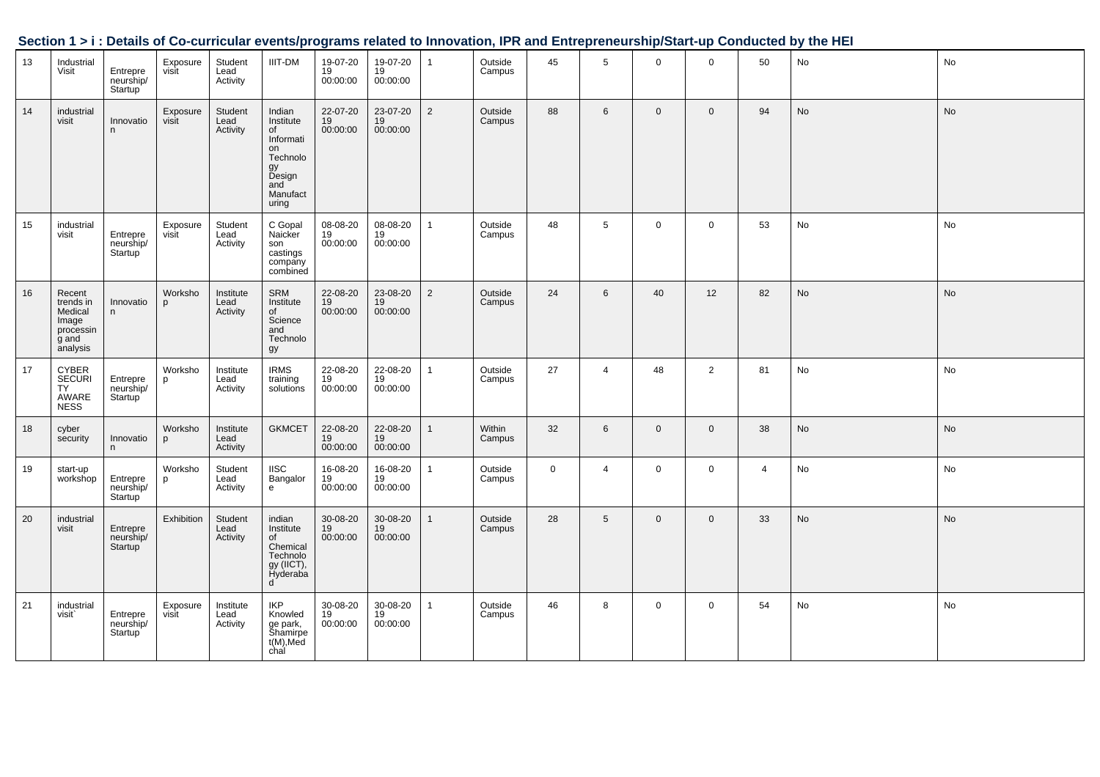|    |                                                                           |                                         |                     |                               |                                                                                                      |                              |                              |                |                   |             |                 |              |                |                | Section 1 > 1 . Details of Co-curricular events/programs related to impovation, inn and Entrepreneurship/Start-up Conducted by the HET |               |
|----|---------------------------------------------------------------------------|-----------------------------------------|---------------------|-------------------------------|------------------------------------------------------------------------------------------------------|------------------------------|------------------------------|----------------|-------------------|-------------|-----------------|--------------|----------------|----------------|----------------------------------------------------------------------------------------------------------------------------------------|---------------|
| 13 | Industrial<br>Visit                                                       | Entrepre<br>neurship/<br>Startup        | Exposure<br>visit   | Student<br>Lead<br>Activity   | <b>IIIT-DM</b>                                                                                       | 19-07-20<br>$19$<br>00:00:00 | 19-07-20<br>$19$<br>00:00:00 | $\mathbf{1}$   | Outside<br>Campus | 45          | $5\overline{5}$ | $\mathbf 0$  | $\Omega$       | 50             | No                                                                                                                                     | No            |
| 14 | industrial<br>visit                                                       | Innovatio<br>n                          | Exposure<br>visit   | Student<br>Lead<br>Activity   | Indian<br>Institute<br>of<br>Informati<br>on<br>Technolo<br>gy<br>Design<br>and<br>Manufact<br>uring | 22-07-20<br>19<br>00:00:00   | $23-07-20$<br>19<br>00:00:00 | $\overline{2}$ | Outside<br>Campus | 88          | $6\overline{6}$ | $\mathbf 0$  | $\overline{0}$ | 94             | $\operatorname{\mathsf{No}}$                                                                                                           | No            |
| 15 | industrial<br>visit                                                       | Entrepre<br>neurship/<br><b>Startup</b> | Exposure<br>visit   | Student<br>Lead<br>Activity   | C Gopal<br>Naicker<br>son<br>castings<br>company<br>combined                                         | 08-08-20<br>19<br>00:00:00   | 08-08-20<br>19<br>00:00:00   | $\mathbf{1}$   | Outside<br>Campus | 48          | 5               | $\mathbf 0$  | $\mathbf 0$    | 53             | No                                                                                                                                     | No            |
| 16 | Recent<br>trends in<br>Medical<br>Image<br>processin<br>g and<br>analysis | Innovatio<br>n                          | Worksho<br>p        | Institute<br>Lead<br>Activity | SRM<br>Institute<br>of<br>Science<br>and<br>Technolo<br>gy                                           | 22-08-20<br>19<br>00:00:00   | 23-08-20<br>19<br>00:00:00   | $\overline{2}$ | Outside<br>Campus | 24          | $6\overline{6}$ | 40           | 12             | 82             | <b>No</b>                                                                                                                              | No            |
| 17 | CYBER<br>SECURI<br>TY<br>AWARE<br>NESS                                    | Entrepre<br>neurship/<br><b>Startup</b> | Worksho<br>p        | Institute<br>Lead<br>Activity | <b>IRMS</b><br>training<br>solutions                                                                 | 22-08-20<br>19<br>00:00:00   | 22-08-20<br>19<br>00:00:00   | $\mathbf{1}$   | Outside<br>Campus | 27          | $\overline{4}$  | 48           | $\overline{2}$ | 81             | No                                                                                                                                     | No            |
| 18 | cyber<br>security                                                         | Innovatio<br>n                          | Worksho<br>p        | Institute<br>Lead<br>Activity | <b>GKMCET</b>                                                                                        | 22-08-20<br>19<br>00:00:00   | 22-08-20<br>19<br>00:00:00   | $\mathbf{1}$   | Within<br>Campus  | 32          | $6\overline{6}$ | $\mathbf 0$  | $\overline{0}$ | 38             | No                                                                                                                                     | $\mathsf{No}$ |
| 19 | start-up<br>workshop                                                      | Entrepre<br>neurship/<br>Startup        | Worksho<br><b>p</b> | Student<br>Lead<br>Activity   | <b>IISC</b><br>Bangalor<br>$\mathsf{e}\,$                                                            | 16-08-20<br>19<br>00:00:00   | 16-08-20<br>19<br>00:00:00   | $\mathbf{1}$   | Outside<br>Campus | $\mathbf 0$ | $\overline{4}$  | $\mathbf 0$  | $\mathbf 0$    | $\overline{4}$ | $\operatorname{\mathsf{No}}$                                                                                                           | No            |
| 20 | industrial<br>visit                                                       | Entrepre<br>neurship/<br>Startup        | Exhibition          | Student<br>Lead<br>Activity   | indian<br>Institute<br>of<br>Chemical<br>Technolo<br>gy (IICT),<br>Hyderaba<br>d                     | 30-08-20<br>19<br>00:00:00   | 30-08-20<br>19<br>00:00:00   | $\overline{1}$ | Outside<br>Campus | 28          | 5               | $\mathbf{0}$ | $\overline{0}$ | 33             | $\operatorname{\mathsf{No}}$                                                                                                           | No            |
| 21 | industrial<br>visit                                                       | Entrepre<br>neurship/<br>Startup        | Exposure<br>visit   | Institute<br>Lead<br>Activity | IKP<br>Knowled<br>ge park,<br>Shamirpe<br>t(M),Med<br>chal                                           | 30-08-20<br>19<br>00:00:00   | 30-08-20<br>19<br>00:00:00   | $\mathbf{1}$   | Outside<br>Campus | 46          | 8               | $\mathbf 0$  | $\mathbf 0$    | 54             | No                                                                                                                                     | No            |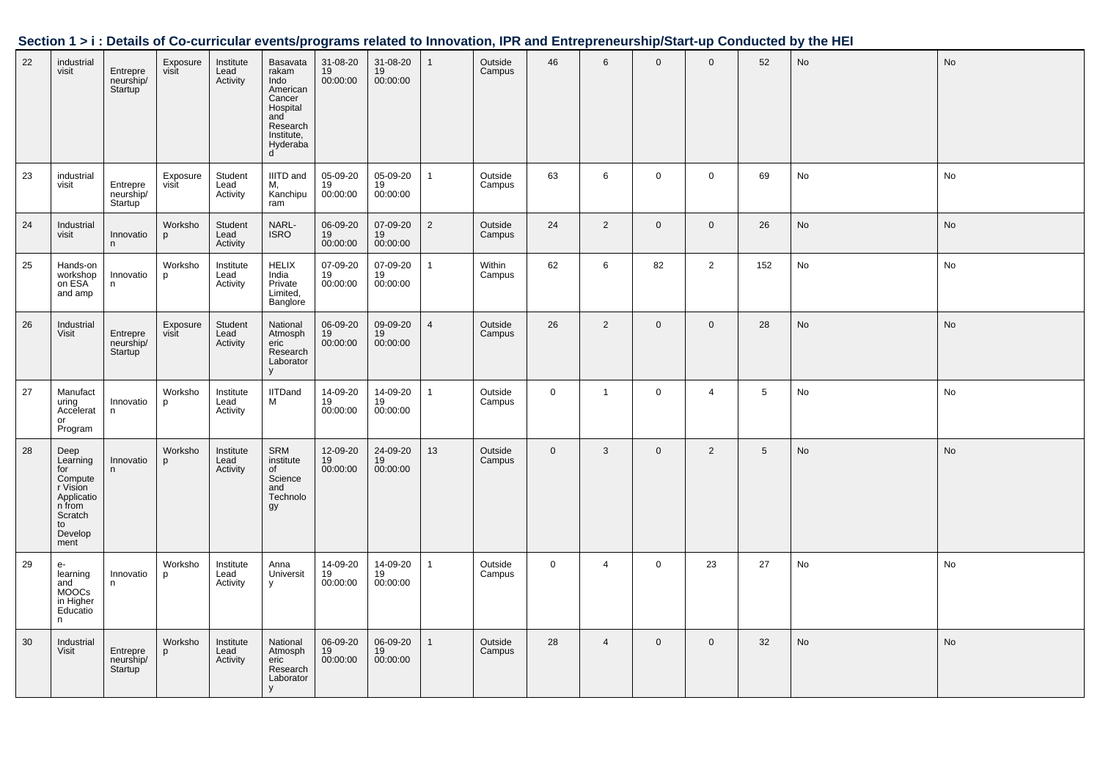| Section 1 > i : Details of Co-curricular events/programs related to Innovation, IPR and Entrepreneurship/Start-up Conducted by the HEI |  |
|----------------------------------------------------------------------------------------------------------------------------------------|--|
|                                                                                                                                        |  |

| 22 | industrial<br>visit                                                                                        | Entrepre<br>neurship/<br>Startup <sup>'</sup> | Exposure<br>visit | Institute<br>Lead<br>Activity | Basavata<br>rakam<br>Indo<br>American<br>Cancer<br>Hospital<br>and <sup>'</sup><br>Research<br>Institute,<br>Hyderaba<br>$\mathsf{d}$ | 31-08-20<br>19<br>00:00:00           | 31-08-20<br>19<br>00:00:00 | $\mathbf{1}$   | Outside<br>Campus | 46          | $6\phantom{1}$ | $\mathbf 0$  | $\mathbf 0$    | 52              | No | No |
|----|------------------------------------------------------------------------------------------------------------|-----------------------------------------------|-------------------|-------------------------------|---------------------------------------------------------------------------------------------------------------------------------------|--------------------------------------|----------------------------|----------------|-------------------|-------------|----------------|--------------|----------------|-----------------|----|----|
| 23 | industrial<br>visit                                                                                        | Entrepre<br>neurship/<br>Startup <sup>'</sup> | Exposure<br>visit | Student<br>Lead<br>Activity   | IIITD and<br>M,<br>Kanchipu<br>ram                                                                                                    | 05-09-20<br>19<br>00:00:00           | 05-09-20<br>19<br>00:00:00 | $\mathbf{1}$   | Outside<br>Campus | 63          | 6              | $\mathbf 0$  | $\mathbf 0$    | 69              | No | No |
| 24 | Industrial<br>visit                                                                                        | Innovatio<br>n                                | Worksho<br>p      | Student<br>Lead<br>Activity   | NARL-<br>ISRO                                                                                                                         | 06-09-20<br>19<br>00:00:00           | 07-09-20<br>19<br>00:00:00 | $\overline{2}$ | Outside<br>Campus | 24          | $\overline{2}$ | $\mathbf 0$  | $\mathbf 0$    | 26              | No | No |
| 25 | Hands-on<br>workshop<br>on ESA<br>and amp                                                                  | Innovatio<br>n.                               | Worksho<br>p      | Institute<br>Lead<br>Activity | HELIX<br>India<br>Private<br>Limited,<br>Banglore                                                                                     | 07-09-20<br>19<br>00:00:00           | 07-09-20<br>19<br>00:00:00 | $\mathbf{1}$   | Within<br>Campus  | 62          | 6              | 82           | $\overline{2}$ | 152             | No | No |
| 26 | Industrial<br>Visit                                                                                        | Entrepre<br>neurship/<br>Startup              | Exposure<br>visit | Student<br>Lead<br>Activity   | National<br>Atmosph<br>eric<br>Research<br>Laborator<br>y                                                                             | 06-09-20<br>19<br>00:00:00           | 09-09-20<br>19<br>00:00:00 | $\overline{4}$ | Outside<br>Campus | 26          | $\overline{2}$ | $\mathbf{0}$ | $\overline{0}$ | 28              | No | No |
| 27 | Manufact<br>uring<br>Accelerat<br>or<br>Program                                                            | Innovatio<br>n                                | Worksho<br>p      | Institute<br>Lead<br>Activity | <b>IITDand</b><br>M                                                                                                                   | 14-09-20<br>$19$<br>00:00:00         | 14-09-20<br>19<br>00:00:00 | $\mathbf{1}$   | Outside<br>Campus | $\mathbf 0$ | $\mathbf{1}$   | $\mathbf 0$  | 4              | $5\phantom{.0}$ | No | No |
| 28 | Deep<br>Learning<br>for<br>Compute<br>r Vision<br>Applicatio<br>n from<br>Scratch<br>to<br>Develop<br>ment | Innovatio<br>n                                | Worksho<br>p      | Institute<br>Lead<br>Activity | SRM<br>institute<br>of<br>Science<br>and<br>Technolo<br>gy                                                                            | 12-09-20<br>$\frac{12}{19}$ 00:00:00 | 24-09-20<br>19<br>00:00:00 | 13             | Outside<br>Campus | $\mathbf 0$ | $\mathbf{3}$   | $\mathbf 0$  | $\overline{2}$ | 5               | No | No |
| 29 | $e-$<br>learning<br>and<br><b>MOOCs</b><br>in Higher<br>Educatio<br>n.                                     | Innovatio<br>n                                | Worksho<br>p      | Institute<br>Lead<br>Activity | Anna<br>Universit<br>y                                                                                                                | 14-09-20<br>19<br>00:00:00           | 14-09-20<br>19<br>00:00:00 | $\overline{1}$ | Outside<br>Campus | $\mathbf 0$ | $\overline{a}$ | $\mathbf 0$  | 23             | 27              | No | No |
| 30 | Industrial<br>Visit                                                                                        | Entrepre<br>neurship/<br>Startup              | Worksho<br>p      | Institute<br>Lead<br>Activity | National<br>Atmosph<br>eric<br>Research<br>Laborator<br>y                                                                             | 06-09-20<br>19<br>00:00:00           | 06-09-20<br>19<br>00:00:00 | $\mathbf{1}$   | Outside<br>Campus | 28          | $\overline{4}$ | $\mathbf 0$  | $\mathbf 0$    | 32              | No | No |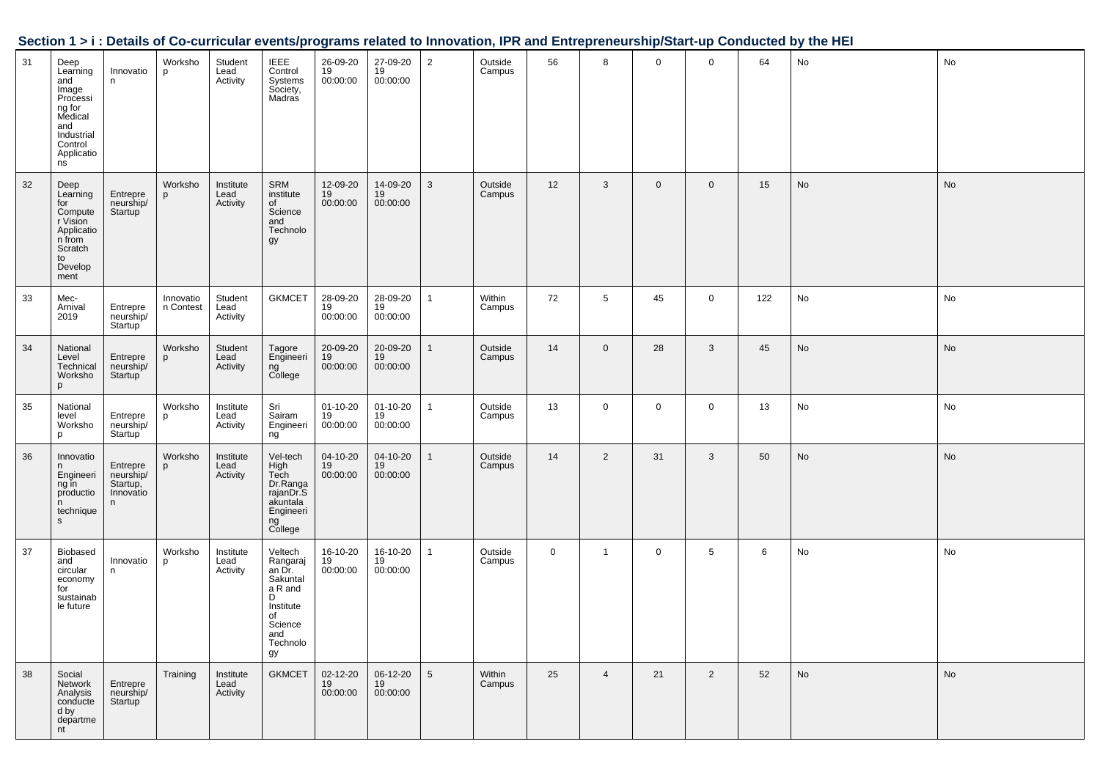| Section 1 > i : Details of Co-curricular events/programs related to Innovation, IPR and Entrepreneurship/Start-up Conducted by the HEI |  |
|----------------------------------------------------------------------------------------------------------------------------------------|--|
|                                                                                                                                        |  |

| 31 | Deep<br>Learning<br>and<br>Image<br>Processi<br>ng for<br>Medical<br>and<br>Industrial<br>Control<br>Applicatio<br>ns | Innovatio<br>n.                                      | Worksho<br>p           | Student<br>Lead<br>Activity   | <b>IEEE</b><br>Control<br>Systems<br>Society,<br>Madras                                                          | 26-09-20<br>19<br>00:00:00 | 27-09-20<br>19<br>00:00:00 | $\overline{2}$  | Outside<br>Campus | 56          | 8               | $\mathbf 0$ | $\mathbf 0$    | 64  | No | No        |
|----|-----------------------------------------------------------------------------------------------------------------------|------------------------------------------------------|------------------------|-------------------------------|------------------------------------------------------------------------------------------------------------------|----------------------------|----------------------------|-----------------|-------------------|-------------|-----------------|-------------|----------------|-----|----|-----------|
| 32 | Deep<br>Learning<br>for<br>Compute<br>r Vision<br>Applicatio<br>n from<br>Scratch<br>to<br>Develop<br>ment            | Entrepre<br>neurship/<br>Startup                     | Worksho                | Institute<br>Lead<br>Activity | SRM<br>institute<br>of<br>Science<br>and<br>Technolo<br>gy                                                       | 12-09-20<br>19<br>00:00:00 | 14-09-20<br>19<br>00:00:00 | 3               | Outside<br>Campus | 12          | 3               | $\mathbf 0$ | $\mathbf{0}$   | 15  | No | <b>No</b> |
| 33 | Mec-<br>Arnival<br>2019                                                                                               | Entrepre<br>neurship/<br>Startup                     | Innovatio<br>n Contest | Student<br>Lead<br>Activity   | <b>GKMCET</b>                                                                                                    | 28-09-20<br>19<br>00:00:00 | 28-09-20<br>19<br>00:00:00 |                 | Within<br>Campus  | 72          | $5\phantom{.0}$ | 45          | $\mathbf 0$    | 122 | No | No        |
| 34 | National<br>Level<br>Technical<br>Worksho<br>p                                                                        | Entrepre<br>neurship/<br>Startup                     | Worksho<br>p           | Student<br>Lead<br>Activity   | Tagore<br>Engineeri<br>ng<br>College                                                                             | 20-09-20<br>19<br>00:00:00 | 20-09-20<br>19<br>00:00:00 |                 | Outside<br>Campus | 14          | $\overline{0}$  | 28          | 3              | 45  | No | No        |
| 35 | National<br>level<br>Worksho<br>p                                                                                     | Entrepre<br>neurship/<br>Startup                     | Worksho<br>p           | Institute<br>Lead<br>Activity | Sri<br>Sairam<br>Engineeri<br>ng                                                                                 | 01-10-20<br>19<br>00:00:00 | 01-10-20<br>19<br>00:00:00 | 1               | Outside<br>Campus | 13          | $\mathbf 0$     | 0           | $\mathbf 0$    | 13  | No | No        |
| 36 | Innovatio<br>n<br>Engineeri<br>ng in<br>productio<br>n<br>technique<br>$\mathsf{s}$                                   | Entrepre<br>neurship/<br>Startup,<br>Innovatio<br>n. | Worksho<br>p           | Institute<br>Lead<br>Activity | Vel-tech<br>High<br>Tech<br>Dr.Ranga<br>rajanDr.S<br>akuntala<br>Engineeri<br>ng<br>College                      | 04-10-20<br>19<br>00:00:00 | 04-10-20<br>19<br>00:00:00 |                 | Outside<br>Campus | 14          | $\overline{2}$  | 31          | 3              | 50  | No | No        |
| 37 | <b>Biobased</b><br>and<br>circular<br>economy<br>for<br>sustainab<br>le future                                        | Innovatio<br>n.                                      | Worksho<br>p           | Institute<br>Lead<br>Activity | Veltech<br>Rangaraj<br>an Dr.<br>Sakuntal<br>a R and<br>D<br>Institute<br>of<br>Science<br>and<br>Technolo<br>gy | 16-10-20<br>19<br>00:00:00 | 16-10-20<br>19<br>00:00:00 |                 | Outside<br>Campus | $\mathbf 0$ | $\mathbf{1}$    | 0           | 5              | 6   | No | No        |
| 38 | Social<br>Network<br>Analysis<br>conducte<br>d by<br>departme<br>nt                                                   | Entrepre<br>neurship/<br>Startup                     | Training               | Institute<br>Lead<br>Activity | <b>GKMCET</b>                                                                                                    | 02-12-20<br>19<br>00:00:00 | 06-12-20<br>19<br>00:00:00 | $5\overline{)}$ | Within<br>Campus  | 25          | $\overline{4}$  | 21          | $\overline{2}$ | 52  | No | <b>No</b> |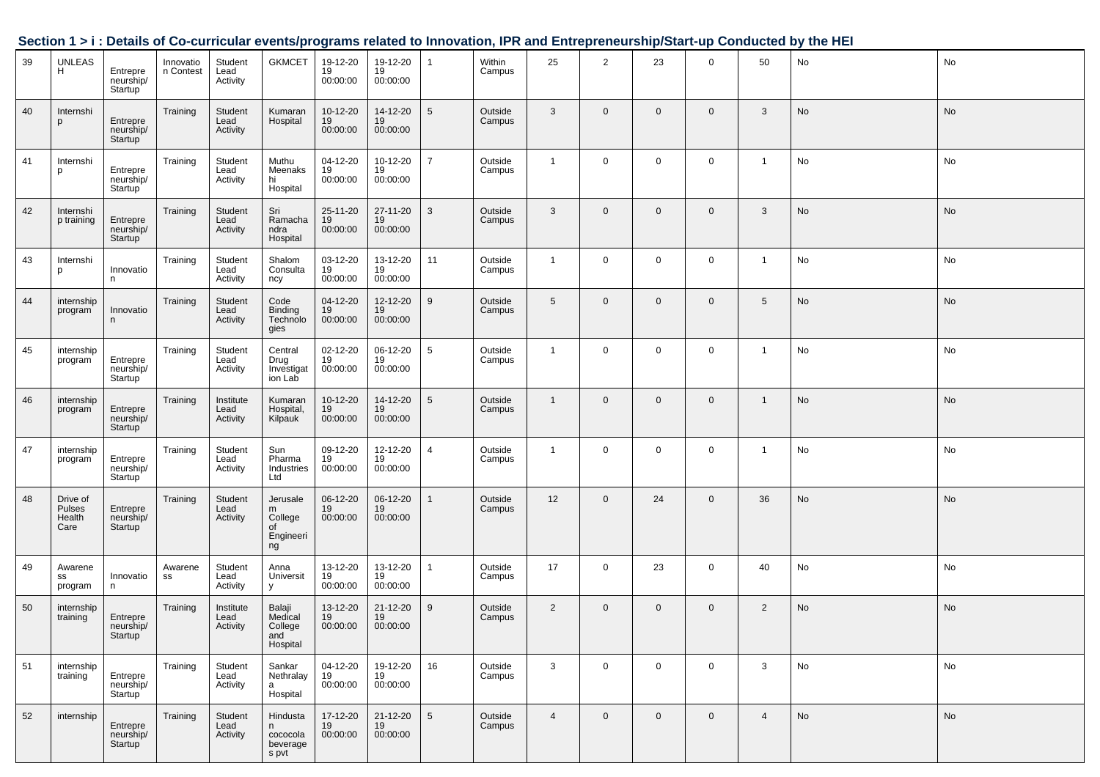|    |                                      |                                         |                        |                               | ------                                            | $5.4112 + 0.4104$          |                            | .               |                   | $\cdots$ $\cdots$ $\cdots$ $\cdots$ $\cdots$ $\cdots$ | ,,,,,,         |                |             |                |    |    |
|----|--------------------------------------|-----------------------------------------|------------------------|-------------------------------|---------------------------------------------------|----------------------------|----------------------------|-----------------|-------------------|-------------------------------------------------------|----------------|----------------|-------------|----------------|----|----|
| 39 | UNLEAS<br>H                          | Entrepre<br>neurship/<br>Startup        | Innovatio<br>n Contest | Student<br>Lead<br>Activity   | <b>GKMCET</b>                                     | 19-12-20<br>19<br>00:00:00 | 19-12-20<br>19<br>00:00:00 | $\mathbf{1}$    | Within<br>Campus  | 25                                                    | $\overline{2}$ | 23             | $\mathbf 0$ | 50             | No | No |
| 40 | Internshi<br>p                       | Entrepre<br>neurship/<br>Startup        | Training               | Student<br>Lead<br>Activity   | Kumaran<br>Hospital                               | 10-12-20<br>19<br>00:00:00 | 14-12-20<br>19<br>00:00:00 | 5               | Outside<br>Campus | 3                                                     | $\mathbf{0}$   | $\mathbf{0}$   | $\mathbf 0$ | $\mathbf{3}$   | No | No |
| 41 | Internshi<br>p                       | Entrepre<br>neurship/<br>Startup        | Training               | Student<br>Lead<br>Activity   | Muthu<br>Meenaks<br>hi<br>Hospital                | 04-12-20<br>19<br>00:00:00 | 10-12-20<br>19<br>00:00:00 | $\overline{7}$  | Outside<br>Campus | $\mathbf{1}$                                          | $\mathbf 0$    | $\mathbf{0}$   | $\mathbf 0$ | $\overline{1}$ | No | No |
| 42 | Internshi<br>p training              | Entrepre<br>neurship/<br>Startup        | Training               | Student<br>Lead<br>Activity   | Sri<br>Ramacha<br>ndra<br>Hospital                | 25-11-20<br>19<br>00:00:00 | 27-11-20<br>19<br>00:00:00 | 3               | Outside<br>Campus | $\mathbf{3}$                                          | $\mathbf 0$    | $\mathbf{0}$   | $\mathbf 0$ | $\mathbf{3}$   | No | No |
| 43 | Internshi<br>p                       | Innovatio<br>n.                         | Training               | Student<br>Lead<br>Activity   | Shalom<br>Consulta<br>ncy                         | 03-12-20<br>19<br>00:00:00 | 13-12-20<br>19<br>00:00:00 | 11              | Outside<br>Campus | $\overline{1}$                                        | $\mathbf 0$    | $\overline{0}$ | $\mathbf 0$ | $\mathbf{1}$   | No | No |
| 44 | internship<br>program                | Innovatio<br>n                          | Training               | Student<br>Lead<br>Activity   | Code<br>Binding<br>Technolo<br>gies               | 04-12-20<br>19<br>00:00:00 | 12-12-20<br>19<br>00:00:00 | 9               | Outside<br>Campus | $5\phantom{.0}$                                       | $\overline{0}$ | $\mathbf{0}$   | $\mathbf 0$ | 5 <sup>5</sup> | No | No |
| 45 | internship<br>program                | Entrepre<br>neurship/<br>Startup        | Training               | Student<br>Lead<br>Activity   | Central<br>Drug<br>Investigat<br>ion Lab          | 02-12-20<br>19<br>00:00:00 | 06-12-20<br>19<br>00:00:00 | 5               | Outside<br>Campus | $\mathbf{1}$                                          | $\mathbf 0$    | $\overline{0}$ | $\mathbf 0$ | $\mathbf{1}$   | No | No |
| 46 | internship<br>program                | Entrepre<br>neurship/<br>Startup        | Training               | Institute<br>Lead<br>Activity | Kumaran<br>Hospital,<br>Kilpauk                   | 10-12-20<br>19<br>00:00:00 | 14-12-20<br>19<br>00:00:00 | $5\phantom{.0}$ | Outside<br>Campus | $\mathbf{1}$                                          | $\mathbf{0}$   | $\mathbf{0}$   | $\mathbf 0$ | $\mathbf{1}$   | No | No |
| 47 | internship<br>program                | Entrepre<br>neurship/<br>Startup        | Training               | Student<br>Lead<br>Activity   | Sun<br>Pharma<br>Industries<br>Ltd                | 09-12-20<br>19<br>00:00:00 | 12-12-20<br>19<br>00:00:00 | $\overline{4}$  | Outside<br>Campus | $\mathbf{1}$                                          | $\mathbf 0$    | $\mathbf 0$    | $\mathbf 0$ | $\overline{1}$ | No | No |
| 48 | Drive of<br>Pulses<br>Health<br>Care | Entrepre<br>neurship/<br>Startup        | Training               | Student<br>Lead<br>Activity   | Jerusale<br>m<br>College<br>of<br>Engineeri<br>ng | 06-12-20<br>19<br>00:00:00 | 06-12-20<br>19<br>00:00:00 | $\mathbf{1}$    | Outside<br>Campus | 12                                                    | $\overline{0}$ | 24             | $\mathbf 0$ | 36             | No | No |
| 49 | Awarene<br>SS<br>program             | Innovatio<br>n                          | Awarene<br>SS          | Student<br>Lead<br>Activity   | Anna<br>Universit<br>У                            | 13-12-20<br>19<br>00:00:00 | 13-12-20<br>19<br>00:00:00 | $\mathbf{1}$    | Outside<br>Campus | 17                                                    | $\mathbf 0$    | 23             | $\mathbf 0$ | 40             | No | No |
| 50 | internship<br>training               | Entrepre<br>neurship/<br><b>Startup</b> | Training               | Institute<br>Lead<br>Activity | Balaji<br>Medical<br>College<br>and<br>Hospital   | 13-12-20<br>19<br>00:00:00 | 21-12-20<br>19<br>00:00:00 | 9               | Outside<br>Campus | 2                                                     | $\mathbf 0$    | $\overline{0}$ | $\mathbf 0$ | $\overline{2}$ | No | No |
| 51 | internship<br>training               | Entrepre<br>neurship/<br>Startup        | Training               | Student<br>Lead<br>Activity   | Sankar<br>Nethralay<br>a<br>Hospital              | 04-12-20<br>19<br>00:00:00 | 19-12-20<br>19<br>00:00:00 | 16              | Outside<br>Campus | 3                                                     | $\mathbf 0$    | $\mathbf 0$    | $\mathbf 0$ | 3              | No | No |
| 52 | internship                           | Entrepre<br>neurship/<br>Startup        | Training               | Student<br>Lead<br>Activity   | Hindusta<br>n<br>cococola<br>beverage<br>s pvt    | 17-12-20<br>19<br>00:00:00 | 21-12-20<br>19<br>00:00:00 | 5               | Outside<br>Campus | $\overline{4}$                                        | $\mathbf 0$    | $\mathbf 0$    | $\mathbf 0$ | 4              | No | No |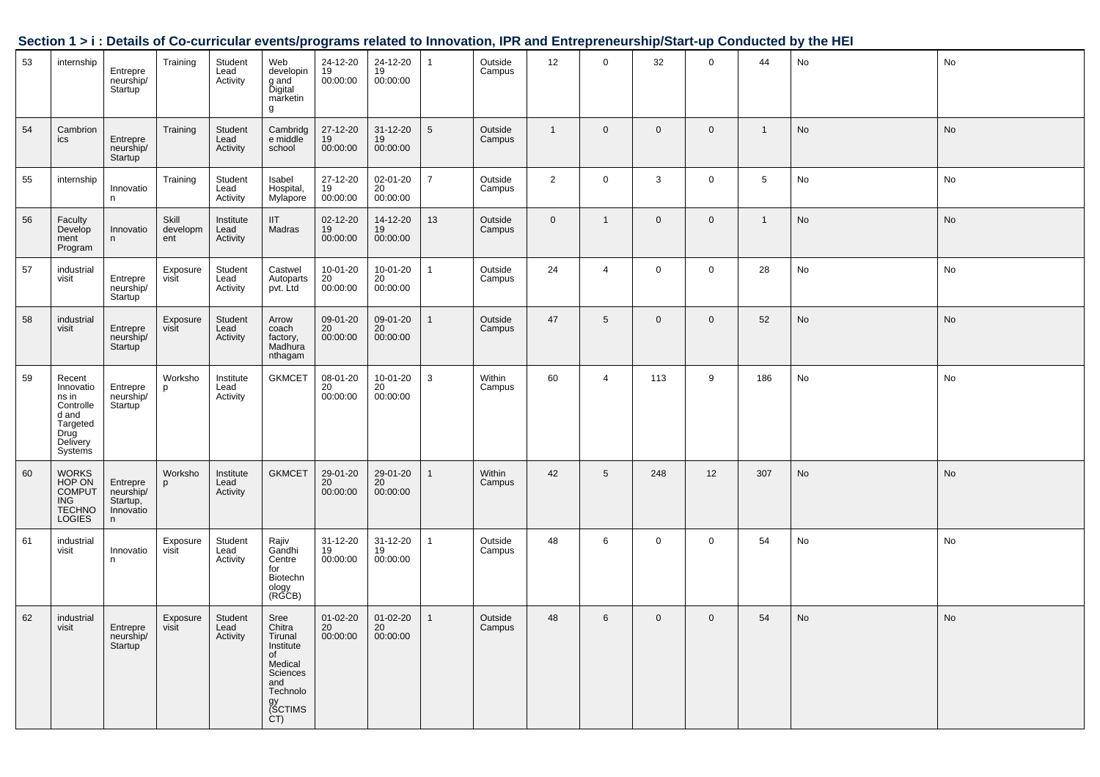|    |                                                                                               |                                                     |                          |                               |                                                                                                                |                                  |                                         |                 |                   |                |                 |                |              |                 | <u>Uccupit IVI. Details of Ob-curricular eventsipi ografiis related to impovation, if it and Entrepreneurship/otalt-up Conducted by the HET</u> |               |
|----|-----------------------------------------------------------------------------------------------|-----------------------------------------------------|--------------------------|-------------------------------|----------------------------------------------------------------------------------------------------------------|----------------------------------|-----------------------------------------|-----------------|-------------------|----------------|-----------------|----------------|--------------|-----------------|-------------------------------------------------------------------------------------------------------------------------------------------------|---------------|
| 53 | internship                                                                                    | Entrepre<br>neurship/<br>Startup                    | Training                 | Student<br>Lead<br>Activity   | Web<br>developin<br>g and<br>Digital<br>marketin<br>g                                                          | 24-12-20<br>19<br>00:00:00       | 24-12-20<br>19<br>00:00:00              | $\mathbf{1}$    | Outside<br>Campus | 12             | $\overline{0}$  | 32             | $\mathbf 0$  | 44              | No                                                                                                                                              | No            |
| 54 | Cambrion<br>ics                                                                               | Entrepre<br>neurship/<br>Startup <sup>1</sup>       | Training                 | Student<br>Lead<br>Activity   | Cambridg<br>e middle<br>school                                                                                 | 27-12-20<br>19<br>00:00:00       | 31-12-20<br>19<br>00:00:00              | $5\phantom{.0}$ | Outside<br>Campus | $\mathbf{1}$   | $\mathbf 0$     | $\overline{0}$ | $\mathbf{0}$ | $\overline{1}$  | No                                                                                                                                              | $\mathsf{No}$ |
| 55 | internship                                                                                    | Innovatio<br>n                                      | Training                 | Student<br>Lead<br>Activity   | Isabel<br>Hospital,<br>Mylapore                                                                                | 27-12-20<br>19<br>00:00:00       | 02-01-20<br>20<br>00:00:00              | $\overline{7}$  | Outside<br>Campus | $\overline{2}$ | $\mathbf 0$     | $\mathbf{3}$   | $\mathsf 0$  | $5\phantom{.0}$ | No                                                                                                                                              | No            |
| 56 | Faculty<br>Develop<br>ment<br>Program                                                         | Innovatio<br>n                                      | Skill<br>developm<br>ent | Institute<br>Lead<br>Activity | <b>IIT</b><br>Madras                                                                                           | 02-12-20<br>19<br>00:00:00       | 14-12-20<br>19<br>00:00:00              | 13              | Outside<br>Campus | $\mathbf 0$    | $\mathbf{1}$    | $\mathbf 0$    | $\mathbf 0$  | $\mathbf{1}$    | No                                                                                                                                              | No            |
| 57 | industrial<br>visit                                                                           | Entrepre<br>neurship/<br>Startup <sup>'</sup>       | Exposure<br>visit        | Student<br>Lead<br>Activity   | Castwel<br>Autoparts<br>pvt. Ltd                                                                               | $10-01-20$<br>$20$<br>00:00:00   | 10-01-20<br>20<br>00:00:00              | $\mathbf{1}$    | Outside<br>Campus | 24             | $\overline{4}$  | $\mathbf 0$    | $\mathsf 0$  | 28              | No                                                                                                                                              | No            |
| 58 | industrial<br>visit                                                                           | Entrepre<br>neurship/<br>Startup                    | Exposure<br>visit        | Student<br>Lead<br>Activity   | Arrow<br>coach<br>factory,<br>Madhura<br>nthagam                                                               | 09-01-20<br>20<br>00:00:00       | 09-01-20<br>20<br>00:00:00              | $\mathbf{1}$    | Outside<br>Campus | 47             | $5\overline{)}$ | $\mathbf 0$    | $\mathbf{0}$ | 52              | No                                                                                                                                              | <b>No</b>     |
| 59 | Recent<br>Innovatio<br>ns in<br>Controlle<br>d and<br>Targeted<br>Drug<br>Delivery<br>Systems | Entrepre<br>neurship/<br>Startup                    | Worksho<br>p             | Institute<br>Lead<br>Activity | <b>GKMCET</b>                                                                                                  | 08-01-20<br>20<br>00:00:00       | 10-01-20<br>20<br>00:00:00              | $\mathbf{3}$    | Within<br>Campus  | 60             | $\overline{4}$  | 113            | 9            | 186             | No                                                                                                                                              | No            |
| 60 | WORKS<br>HOP ON<br>COMPUT<br><b>ING</b><br><b>TECHNO</b><br><b>LOGIES</b>                     | Entrepre<br>neurship/<br>Startup,<br>Innovatio<br>n | Worksho<br>p             | Institute<br>Lead<br>Activity | <b>GKMCET</b>                                                                                                  | 29-01-20<br>20<br>00:00:00       | 29-01-20<br>20 <sup>°</sup><br>00:00:00 | $\mathbf{1}$    | Within<br>Campus  | 42             | $5\overline{)}$ | 248            | 12           | 307             | No                                                                                                                                              | <b>No</b>     |
| 61 | industrial<br>visit                                                                           | Innovatio<br>n                                      | Exposure<br>visit        | Student<br>Lead<br>Activity   | Rajiv<br>Gandhi<br>Centre<br>for<br>Biotechn<br>ology<br>(RGCB)                                                | 31-12-20<br>19<br>00:00:00       | 31-12-20<br>19<br>00:00:00              | $\mathbf{1}$    | Outside<br>Campus | 48             | 6               | $\mathbf 0$    | $\mathsf 0$  | 54              | No                                                                                                                                              | $\mathsf{No}$ |
| 62 | industrial<br>visit                                                                           | Entrepre<br>neurship/<br>Startup <sup>'</sup>       | Exposure<br>visit        | Student<br>Lead<br>Activity   | Sree<br>Chitra<br>Tirunal<br>Institute<br>of<br>Medical<br>Sciences<br>and<br>Technolo<br>gy<br>(SCTIMS<br>CT) | $01 - 02 - 20$<br>20<br>00:00:00 | 01-02-20<br>20<br>00:00:00              | $\mathbf{1}$    | Outside<br>Campus | 48             | $6\overline{6}$ | $\overline{0}$ | $\mathbf 0$  | 54              | No                                                                                                                                              | No            |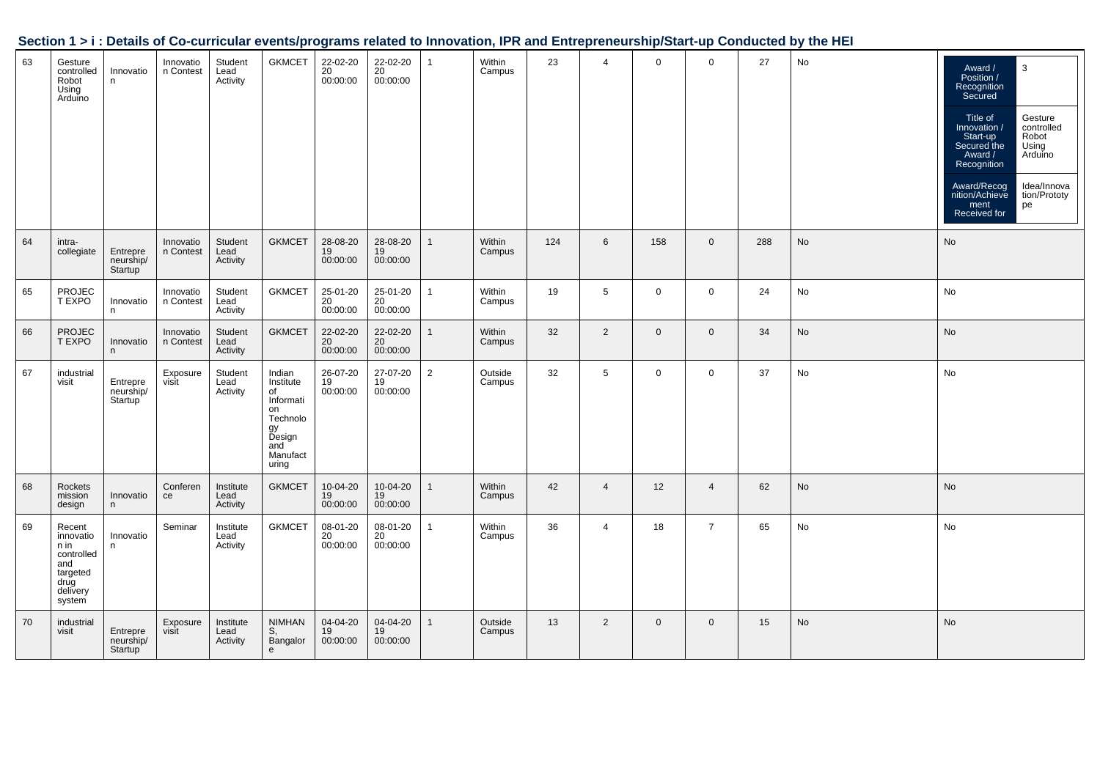|  | Section 1 > i : Details of Co-curricular events/programs related to Innovation, IPR and Entrepreneurship/Start-up Conducted by the HEI |
|--|----------------------------------------------------------------------------------------------------------------------------------------|
|  |                                                                                                                                        |

| 63 | Gesture<br>controlled<br>Robot<br>Using<br>Arduino                                         | Innovatio<br>n                                | Innovatio<br>n Contest | Student<br>Lead<br>Activity   | <b>GKMCET</b>                                                                                        | 22-02-20<br>20<br>00:00:00 | 22-02-20<br>20<br>00:00:00 |                | Within<br>Campus  | 23  | $\overline{4}$ | $\mathbf 0$  | $\mathbf 0$    | 27  | No | 3<br>Award /<br>Position /<br>Recognition<br>Secured<br>Title of<br>Gesture<br>controlled<br>Innovation /<br>Start-up<br>Robot<br>Secured the<br>Using<br>Award /<br>Arduino<br>Recognition<br>Idea/Innova<br>Award/Recog<br>nition/Achieve<br>tion/Prototy<br>ment<br>pe<br>Received for |
|----|--------------------------------------------------------------------------------------------|-----------------------------------------------|------------------------|-------------------------------|------------------------------------------------------------------------------------------------------|----------------------------|----------------------------|----------------|-------------------|-----|----------------|--------------|----------------|-----|----|-------------------------------------------------------------------------------------------------------------------------------------------------------------------------------------------------------------------------------------------------------------------------------------------|
| 64 | intra-<br>collegiate                                                                       | Entrepre<br>neurship/<br>Startup <sup>1</sup> | Innovatio<br>n Contest | Student<br>Lead<br>Activity   | <b>GKMCET</b>                                                                                        | 28-08-20<br>19<br>00:00:00 | 28-08-20<br>19<br>00:00:00 |                | Within<br>Campus  | 124 | 6              | 158          | $\mathbf 0$    | 288 | No | No                                                                                                                                                                                                                                                                                        |
| 65 | <b>PROJEC</b><br>T EXPO                                                                    | Innovatio<br>n                                | Innovatio<br>n Contest | Student<br>Lead<br>Activity   | <b>GKMCET</b>                                                                                        | 25-01-20<br>20<br>00:00:00 | 25-01-20<br>20<br>00:00:00 |                | Within<br>Campus  | 19  | 5              | 0            | $\mathbf 0$    | 24  | No | No                                                                                                                                                                                                                                                                                        |
| 66 | PROJEC<br>T EXPO                                                                           | Innovatio<br>n                                | Innovatio<br>n Contest | Student<br>Lead<br>Activity   | <b>GKMCET</b>                                                                                        | 22-02-20<br>20<br>00:00:00 | 22-02-20<br>20<br>00:00:00 |                | Within<br>Campus  | 32  | $\overline{2}$ | $\mathbf 0$  | $\mathbf 0$    | 34  | No | No                                                                                                                                                                                                                                                                                        |
| 67 | industrial<br>visit                                                                        | Entrepre<br>neurship/<br>Startup <sup>'</sup> | Exposure<br>visit      | Student<br>Lead<br>Activity   | Indian<br>Institute<br>of<br>Informati<br>on<br>Technolo<br>gy<br>Design<br>and<br>Manufact<br>uring | 26-07-20<br>19<br>00:00:00 | 27-07-20<br>19<br>00:00:00 | $\overline{2}$ | Outside<br>Campus | 32  | $\sqrt{5}$     | $\mathbf 0$  | $\mathsf 0$    | 37  | No | No                                                                                                                                                                                                                                                                                        |
| 68 | Rockets<br>mission<br>design                                                               | Innovatio<br>n                                | Conferen<br>ce         | Institute<br>Lead<br>Activity | <b>GKMCET</b>                                                                                        | 10-04-20<br>19<br>00:00:00 | 10-04-20<br>19<br>00:00:00 |                | Within<br>Campus  | 42  | $\overline{4}$ | 12           | $\overline{4}$ | 62  | No | No                                                                                                                                                                                                                                                                                        |
| 69 | Recent<br>innovatio<br>n in<br>controlled<br>and<br>targeted<br>drug<br>delivery<br>system | Innovatio<br>n                                | Seminar                | Institute<br>Lead<br>Activity | <b>GKMCET</b>                                                                                        | 08-01-20<br>20<br>00:00:00 | 08-01-20<br>20<br>00:00:00 |                | Within<br>Campus  | 36  | $\overline{4}$ | 18           | $\overline{7}$ | 65  | No | No                                                                                                                                                                                                                                                                                        |
| 70 | industrial<br>visit                                                                        | Entrepre<br>neurship/<br>Startup              | Exposure<br>visit      | Institute<br>Lead<br>Activity | <b>NIMHAN</b><br>S,<br>Bangalor<br>e                                                                 | 04-04-20<br>19<br>00:00:00 | 04-04-20<br>19<br>00:00:00 |                | Outside<br>Campus | 13  | 2              | $\mathbf{0}$ | $\mathbf{0}$   | 15  | No | No                                                                                                                                                                                                                                                                                        |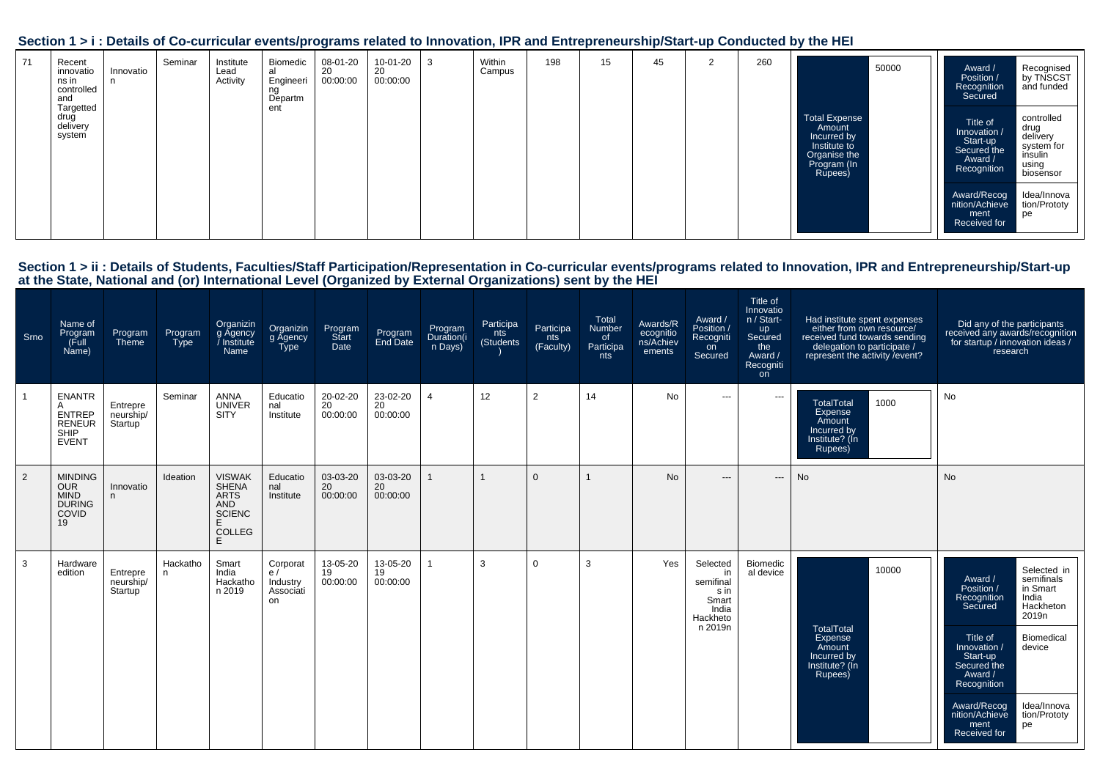| 71 | Recent<br>innovatio<br>ns in<br>controlled<br>and | Innovatio<br>n. | Seminar | Institute<br>Lead<br>Activity | Biomedic<br>al<br>Engineeri<br>ng<br>Departm | 08-01-20<br>20<br>00:00:00 | 10-01-20<br>20<br>00:00:00 | 3 | Within<br>Campus | 198 | 15 | 45 | 2 | 260 | 50000                                                                                                   | Award /<br>Position /<br>Recognition<br>Secured                               | Recognised<br>by TNSCST<br>and funded                                         |
|----|---------------------------------------------------|-----------------|---------|-------------------------------|----------------------------------------------|----------------------------|----------------------------|---|------------------|-----|----|----|---|-----|---------------------------------------------------------------------------------------------------------|-------------------------------------------------------------------------------|-------------------------------------------------------------------------------|
|    | Targetted<br>druğ<br>delivery<br>system           |                 |         |                               | ent                                          |                            |                            |   |                  |     |    |    |   |     | <b>Total Expense</b><br>Amount<br>Incurred by<br>Institute to<br>Organise the<br>Program (In<br>Rupees) | Title of<br>Innovation /<br>Start-up<br>Secured the<br>Award /<br>Recognition | controlled<br>drug<br>delivery<br>system for<br>insulin<br>using<br>biosensor |
|    |                                                   |                 |         |                               |                                              |                            |                            |   |                  |     |    |    |   |     |                                                                                                         | Award/Recog<br>  nition/Achieve<br>ment<br>Received for                       | Idea/Innova<br>tion/Prototy<br>pe                                             |

| Srno | Name of<br>Program<br>(Full<br>Name)                                         | Program<br>Theme                              | Program<br>Type | Organizin<br>g Agency<br>/ Institute<br>Name                                                            | Organizin<br>g Agency<br>Type                 | Program<br>Start<br>Date   | Program<br>End Date                     | Program<br>Duration(i<br>n Days) | Participa<br>nts<br>(Students | Participa<br>nts<br>(Faculty) | Total<br>Number<br>of<br>Participa<br>nts | Awards/R<br>ecognitio<br>ns/Achiev<br>ements | Award /<br>Position /<br>Recogniti<br>on<br>Secured                          | Title of<br>Innovatio<br>n / Start-<br>up<br>Secured<br>the<br>Award /<br>Recogniti<br>on | Had institute spent expenses<br>either from own resource/<br>received fund towards sending<br>delegation to participate /<br>represent the activity / event? | Did any of the participants<br>received any awards/recognition<br>for startup / innovation ideas /<br>research                                                                                                                                                                                                                 |
|------|------------------------------------------------------------------------------|-----------------------------------------------|-----------------|---------------------------------------------------------------------------------------------------------|-----------------------------------------------|----------------------------|-----------------------------------------|----------------------------------|-------------------------------|-------------------------------|-------------------------------------------|----------------------------------------------|------------------------------------------------------------------------------|-------------------------------------------------------------------------------------------|--------------------------------------------------------------------------------------------------------------------------------------------------------------|--------------------------------------------------------------------------------------------------------------------------------------------------------------------------------------------------------------------------------------------------------------------------------------------------------------------------------|
|      | <b>ENANTR</b><br>A<br><b>ENTREP</b><br><b>RENEUR</b><br>SHIP<br><b>EVENT</b> | Entrepre<br>neurship/<br>Startup <sup>'</sup> | Seminar         | ANNA<br><b>UNIVER</b><br>SITY                                                                           | Educatio<br>nal<br>Institute                  | 20-02-20<br>20<br>00:00:00 | 23-02-20<br>20<br>00:00:00              | $\overline{4}$                   | 12                            | $\overline{2}$                | 14                                        | <b>No</b>                                    | $\cdots$                                                                     | $\hspace{1.5cm} \textbf{---}$                                                             | <b>TotalTotal</b><br>1000<br>Expense<br>Amount<br>Incurred by<br>Institute? (In<br>Rupees)                                                                   | No                                                                                                                                                                                                                                                                                                                             |
| 2    | <b>MINDING</b><br><b>OUR</b><br><b>MIND</b><br><b>DURING</b><br>COVID<br>19  | Innovatio<br>n                                | Ideation        | <b>VISWAK</b><br><b>SHENA</b><br><b>ARTS</b><br><b>AND</b><br><b>SCIENC</b><br>E.<br><b>COLLEG</b><br>F | Educatio<br>nal<br>Institute                  | 03-03-20<br>20<br>00:00:00 | 03-03-20<br>20 <sup>2</sup><br>00:00:00 | $\mathbf 1$                      |                               | $\mathbf 0$                   |                                           | <b>No</b>                                    | $\cdots$                                                                     | ---                                                                                       | No                                                                                                                                                           | No                                                                                                                                                                                                                                                                                                                             |
| 3    | Hardware<br>edition                                                          | Entrepre<br>neurship/<br>Startup              | Hackatho<br>n.  | Smart<br>India<br>Hackatho<br>n 2019                                                                    | Corporat<br>e/<br>Industry<br>Associati<br>on | 13-05-20<br>19<br>00:00:00 | 13-05-20<br>19<br>00:00:00              |                                  | 3                             | 0                             | 3                                         | Yes                                          | Selected<br>in<br>semifinal<br>s in<br>Smart<br>India<br>Hackheto<br>n 2019n | Biomedic<br>al device                                                                     | 10000<br><b>TotalTotal</b><br>Expense<br>Amount<br>Incurred by<br>Institute? (In<br>Rupees)                                                                  | Selected in<br>semifinals<br>Award /<br>in Smart<br>Position /<br>India<br>Recognition<br>Hackheton<br>Secured<br>2019n<br>Title of<br>Biomedical<br>Innovation /<br>device<br>Start-up<br>Secured the<br>Award /<br>Recognition<br>Award/Recog<br>Idea/Innova<br>nition/Achieve<br>tion/Prototy<br>pe<br>ment<br>Received for |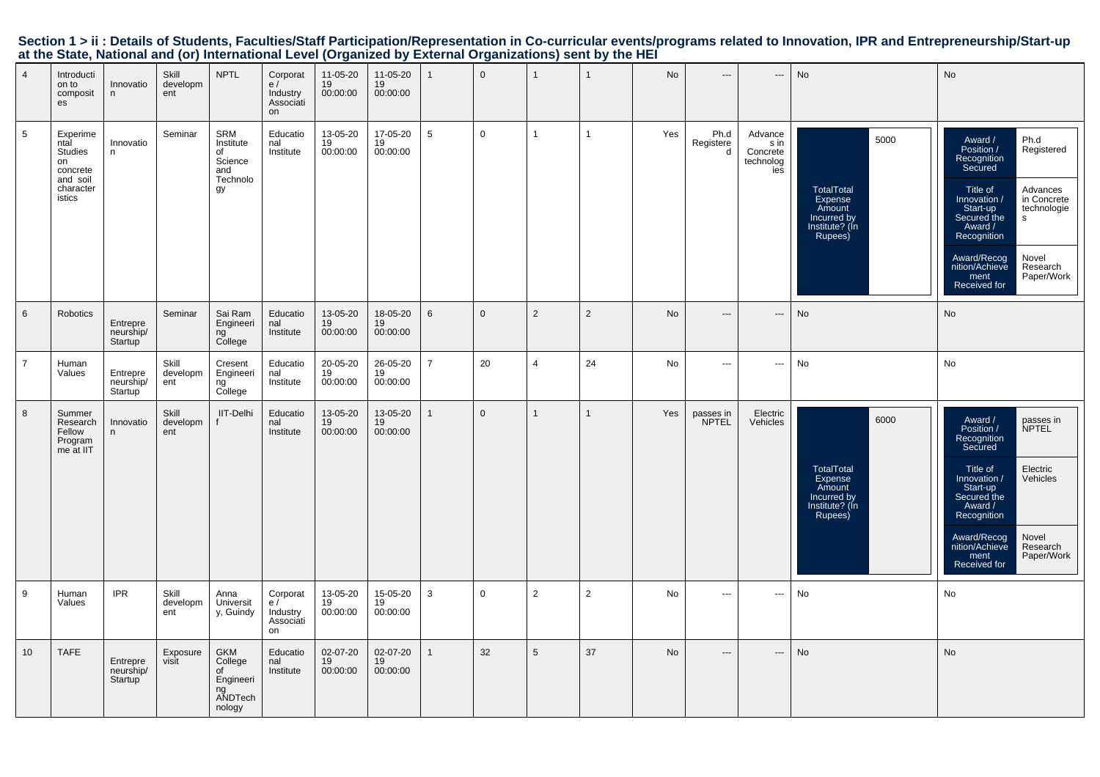|                                                                                                           |  | Section 1 > ii : Details of Students, Faculties/Staff Participation/Representation in Co-curricular events/programs related to Innovation, IPR and Entrepreneurship/Start-up |
|-----------------------------------------------------------------------------------------------------------|--|------------------------------------------------------------------------------------------------------------------------------------------------------------------------------|
| at the State, National and (or) International Level (Organized by External Organizations) sent by the HEI |  |                                                                                                                                                                              |

| $\overline{4}$ | Introducti<br>on to<br>composit<br>es                                                   | Innovatio<br>$\mathsf n$         | Skill<br>developm<br>ent | <b>NPTL</b>                                                         | Corporat<br>e/<br>Industry<br>Associati<br>on | 11-05-20<br>19<br>00:00:00 | 11-05-20<br>19<br>00:00:00 |                 | $\mathbf{0}$   | $\overline{1}$ | $\mathbf{1}$   | <b>No</b> | $---$                     | $\overline{a}$                                  | No                                                                                         | No                                                                                                                                                                                                                                                                                                |
|----------------|-----------------------------------------------------------------------------------------|----------------------------------|--------------------------|---------------------------------------------------------------------|-----------------------------------------------|----------------------------|----------------------------|-----------------|----------------|----------------|----------------|-----------|---------------------------|-------------------------------------------------|--------------------------------------------------------------------------------------------|---------------------------------------------------------------------------------------------------------------------------------------------------------------------------------------------------------------------------------------------------------------------------------------------------|
| 5              | Experime<br>ntal<br><b>Studies</b><br>on<br>concrete<br>and soil<br>character<br>istics | Innovatio<br>n                   | Seminar                  | SRM<br>Institute<br>of<br>Science<br>and<br>Technolo<br>gy          | Educatio<br>nal<br>Institute                  | 13-05-20<br>19<br>00:00:00 | 17-05-20<br>19<br>00:00:00 | $5\phantom{.0}$ | $\overline{0}$ | $\mathbf{1}$   | $\mathbf{1}$   | Yes       | Ph.d<br>Registere<br>d    | Advance<br>s in<br>Concrete<br>technolog<br>ies | 5000<br>TotalTotal<br>Expense<br>Amount<br>Incurred by<br>Institute? (In<br>Rupees)        | Ph.d<br>Award /<br>Position /<br>Registered<br>Recognition<br>Secured<br>Title of<br>Advances<br>in Concrete<br>Innovation /<br>Start-up<br>technologie<br>Secured the<br>s<br>Award /<br>Recognition<br>Award/Recog<br>Novel<br>nition/Achieve<br>Research<br>Paper/Work<br>ment<br>Received for |
| 6              | Robotics                                                                                | Entrepre<br>neurship/<br>Startup | Seminar                  | Sai Ram<br>Engineeri<br>ng<br>College                               | Educatio<br>nal<br>Institute                  | 13-05-20<br>19<br>00:00:00 | 18-05-20<br>19<br>00:00:00 | 6               | $\Omega$       | $\overline{2}$ | $\overline{2}$ | <b>No</b> | $---$                     | $\overline{a}$                                  | No                                                                                         | No                                                                                                                                                                                                                                                                                                |
| $\overline{7}$ | Human<br>Values                                                                         | Entrepre<br>neurship/<br>Startup | Skill<br>developm<br>ent | Cresent<br>Engineeri<br>ng<br>College                               | Educatio<br>nal<br>Institute                  | 20-05-20<br>19<br>00:00:00 | 26-05-20<br>19<br>00:00:00 | $\overline{7}$  | 20             | $\overline{4}$ | 24             | No        | $\hspace{0.05cm} \ldots$  | ---                                             | No                                                                                         | No                                                                                                                                                                                                                                                                                                |
| 8              | Summer<br>Research<br>Fellow<br>Program<br>me at IIT                                    | Innovatio<br>n                   | Skill<br>developm<br>ent | IIT-Delhi                                                           | Educatio<br>nal<br>Institute                  | 13-05-20<br>19<br>00:00:00 | 13-05-20<br>19<br>00:00:00 | 1               | $\mathbf{0}$   | $\overline{1}$ | $\mathbf{1}$   | Yes       | passes in<br><b>NPTEL</b> | Electric<br>Vehicles                            | 6000<br><b>TotalTotal</b><br>Expense<br>Amount<br>Incurred by<br>Institute? (In<br>Rupees) | Award /<br>passes in<br>Position /<br><b>NPTEL</b><br>Recognition<br>Secured<br>Title of<br>Electric<br>Vehicles<br>Innovation /<br>Start-up<br>Secured the<br>Award /<br>Recognition<br>Award/Recog<br>Novel<br>nition/Achieve<br>Research<br>Paper/Work<br>ment<br>Received for                 |
| 9              | Human<br>Values                                                                         | <b>IPR</b>                       | Skill<br>developm<br>ent | Anna<br>Universit<br>y, Guindy                                      | Corporat<br>e/<br>Industry<br>Associati<br>on | 13-05-20<br>19<br>00:00:00 | 15-05-20<br>19<br>00:00:00 | 3               | $\mathbf 0$    | $\overline{2}$ | $\overline{2}$ | No        | $\hspace{0.05cm} \ldots$  | ---                                             | No                                                                                         | No                                                                                                                                                                                                                                                                                                |
| 10             | <b>TAFE</b>                                                                             | Entrepre<br>neurship/<br>Startup | Exposure<br>visit        | <b>GKM</b><br>College<br>οf<br>Engineeri<br>ng<br>ANDTech<br>nology | Educatio<br>nal<br>Institute                  | 02-07-20<br>19<br>00:00:00 | 02-07-20<br>19<br>00:00:00 | $\mathbf{1}$    | 32             | 5              | 37             | <b>No</b> | $---$                     | $\overline{\phantom{a}}$                        | No                                                                                         | No                                                                                                                                                                                                                                                                                                |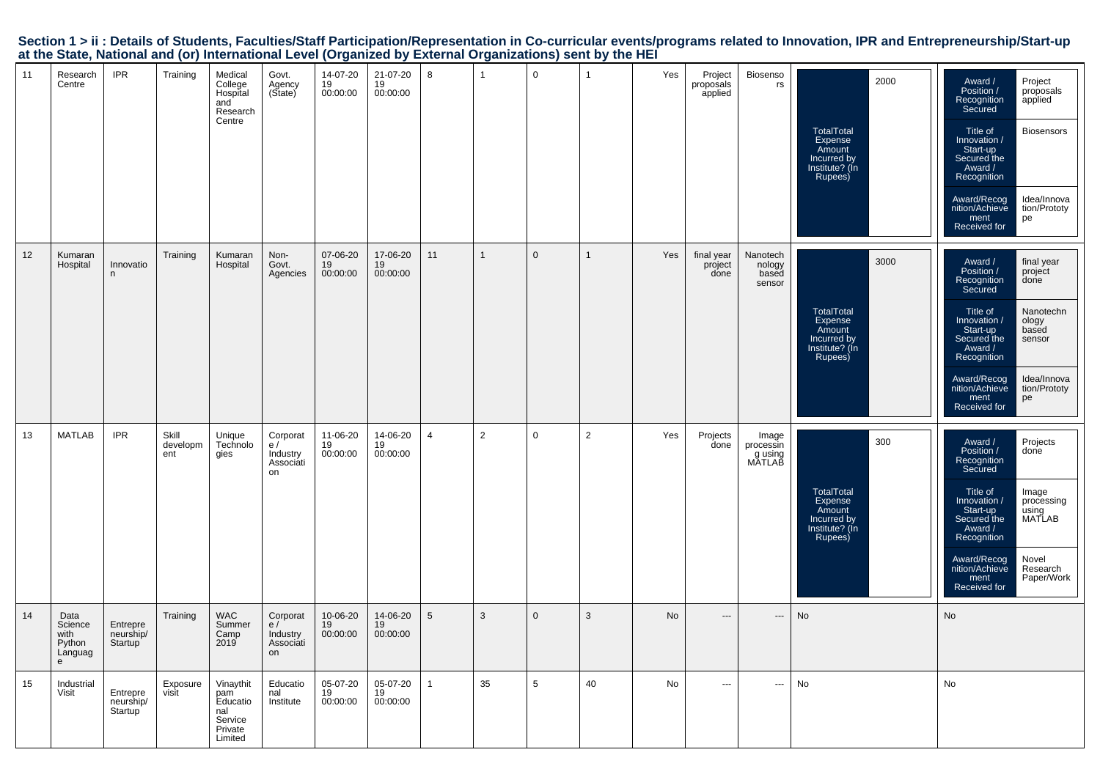| Section 1 > ii : Details of Students, Faculties/Staff Participation/Representation in Co-curricular events/programs related to Innovation, IPR and Entrepreneurship/Start-up |  |
|------------------------------------------------------------------------------------------------------------------------------------------------------------------------------|--|
| at the State, National and (or) International Level (Organized by External Organizations) sent by the HEI                                                                    |  |

| 11 | Research<br>Centre                                | <b>IPR</b>                                    | Training                 | Medical<br>College<br>Hospital<br>and<br>Research<br>Centre          | Govt.<br>Agency<br>(State)                    | 14-07-20<br>19<br>00:00:00 | 21-07-20<br>19<br>00:00:00 | 8               |    | $\mathbf 0$ | 1              | Yes | Project<br>proposals<br>applied | Biosenso<br>rs                         | 2000<br>TotalTotal<br>Expense<br>Amount<br>Incurred by<br>Institute? (In<br>Rupees) | Award /<br>Project<br>Position /<br>proposals<br>Recognition<br>applied<br>Secured<br>Title of<br><b>Biosensors</b><br>Innovation /<br>Start-up<br>Secured the<br>Award /<br>Recognition<br>Award/Recog<br>Idea/Innova<br>tion/Prototy<br>nition/Achieve<br>ment<br>pe<br>Received for                   |
|----|---------------------------------------------------|-----------------------------------------------|--------------------------|----------------------------------------------------------------------|-----------------------------------------------|----------------------------|----------------------------|-----------------|----|-------------|----------------|-----|---------------------------------|----------------------------------------|-------------------------------------------------------------------------------------|----------------------------------------------------------------------------------------------------------------------------------------------------------------------------------------------------------------------------------------------------------------------------------------------------------|
| 12 | Kumaran<br>Hospital                               | Innovatio<br>n                                | Training                 | Kumaran<br>Hospital                                                  | Non-<br>Govt.<br>Agencies                     | 07-06-20<br>19<br>00:00:00 | 17-06-20<br>19<br>00:00:00 | 11              |    | $\mathbf 0$ |                | Yes | final year<br>project<br>done   | Nanotech<br>nology<br>based<br>sensor  | 3000<br>TotalTotal<br>Expense<br>Amount<br>Incurred by<br>Institute? (In<br>Rupees) | final year<br>Award /<br>Position /<br>project<br>Recognition<br>Secured<br>done<br>Title of<br>Nanotechn<br>Innovation /<br>ology<br>Start-up<br>based<br>Secured the<br>sensor<br>Award /<br>Recognition<br>Award/Recog<br>Idea/Innova<br>nition/Achieve<br>tion/Prototy<br>ment<br>pe<br>Received for |
| 13 | <b>MATLAB</b>                                     | <b>IPR</b>                                    | Skill<br>developm<br>ent | Unique<br>Technolo<br>gies                                           | Corporat<br>e/<br>Industry<br>Associati<br>on | 11-06-20<br>19<br>00:00:00 | 14-06-20<br>19<br>00:00:00 | $\overline{4}$  | 2  | $\mathbf 0$ | $\overline{2}$ | Yes | Projects<br>done                | Image<br>processin<br>gusing<br>MATLAB | 300<br>TotalTotal<br>Expense<br>Amount<br>Incurred by<br>Institute? (In<br>Rupees)  | Projects<br>Award /<br>Position /<br>done<br>Recognition<br>Secured<br>Title of<br>Image<br>Innovation /<br>processing<br>Start-up<br>using<br>MATLAB<br>Secured the<br>Award /<br>Recognition<br>Award/Recog<br>Novel<br>nition/Achieve<br>Research<br>Paper/Work<br>ment<br>Received for               |
| 14 | Data<br>Science<br>with<br>Python<br>Languag<br>e | Entrepre<br>neurship/<br>Startup <sup>1</sup> | Training                 | <b>WAC</b><br>Summer<br>Camp<br>2019                                 | Corporat<br>e/<br>Industry<br>Associati<br>on | 10-06-20<br>19<br>00:00:00 | 14-06-20<br>19<br>00:00:00 | $5\phantom{.0}$ | 3  | $\mathbf 0$ | 3              | No  | $---$                           | ---                                    | No                                                                                  | No                                                                                                                                                                                                                                                                                                       |
| 15 | Industrial<br>Visit                               | Entrepre<br>neurship/<br>Startup              | Exposure<br>visit        | Vinaythit<br>pam<br>Educatio<br>nal<br>Service<br>Private<br>Limited | Educatio<br>nal<br>Institute                  | 05-07-20<br>19<br>00:00:00 | 05-07-20<br>19<br>00:00:00 | $\mathbf{1}$    | 35 | 5           | 40             | No  | $\hspace{0.05cm} \ldots$        | ---                                    | No                                                                                  | No                                                                                                                                                                                                                                                                                                       |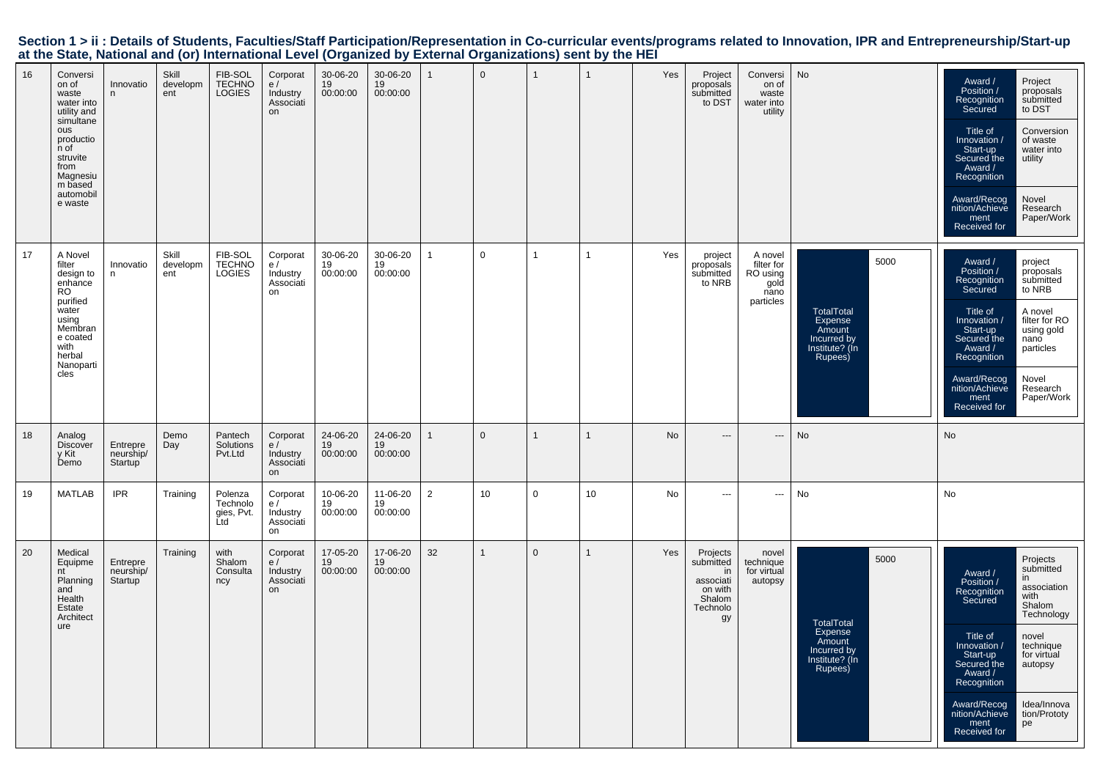|  |                                                                                                           |  |  | Section 1 > ii : Details of Students, Faculties/Staff Participation/Representation in Co-curricular events/programs related to Innovation, IPR and Entrepreneurship/Start-up |  |
|--|-----------------------------------------------------------------------------------------------------------|--|--|------------------------------------------------------------------------------------------------------------------------------------------------------------------------------|--|
|  | at the State, National and (or) International Level (Organized by External Organizations) sent by the HEI |  |  |                                                                                                                                                                              |  |

| 16 | Conversi<br>on of<br>waste<br>water into<br>utility and<br>simultane<br>ous<br>productio<br>n of<br>struvite<br>from<br>Magnesiu<br>m based<br>automobil<br>e waste | Innovatio<br>n.                               | Skill<br>developm<br>ent | FIB-SOL<br><b>TECHNO</b><br><b>LOGIES</b> | Corporat<br>e/<br>Industry<br>Associati<br>on | 30-06-20<br>19<br>00:00:00 | 30-06-20<br>19<br>00:00:00 | $\mathbf{1}$ | $\mathbf{0}$ |              | $\mathbf{1}$   | Yes | Project<br>proposals<br>submitted<br>to DST                                     | Conversi<br>on of<br>waste<br>water into<br>utility            | No                                                                                         | Award /<br>Project<br>Position /<br>proposals<br>submitted<br>Recognition<br>to DST<br>Secured<br>Title of<br>Conversion<br>Innovation /<br>of waste<br>Start-up<br>water into<br>Secured the<br>utility<br>Award /<br>Recognition<br>Award/Recog<br>Novel<br>nition/Achieve<br>Research<br>Paper/Work<br>ment<br>Received for                               |
|----|---------------------------------------------------------------------------------------------------------------------------------------------------------------------|-----------------------------------------------|--------------------------|-------------------------------------------|-----------------------------------------------|----------------------------|----------------------------|--------------|--------------|--------------|----------------|-----|---------------------------------------------------------------------------------|----------------------------------------------------------------|--------------------------------------------------------------------------------------------|--------------------------------------------------------------------------------------------------------------------------------------------------------------------------------------------------------------------------------------------------------------------------------------------------------------------------------------------------------------|
| 17 | A Novel<br>filter<br>design to<br>enhance<br><b>RO</b><br>purified<br>water<br>using<br>Membran<br>e coated<br>with<br>herbal<br>Nanoparti<br>cles                  | Innovatio<br>n.                               | Skill<br>developm<br>ent | FIB-SOL<br>TECHNO<br><b>LOGIES</b>        | Corporat<br>e/<br>Industry<br>Associati<br>on | 30-06-20<br>19<br>00:00:00 | 30-06-20<br>19<br>00:00:00 | $\mathbf{1}$ | $\mathbf 0$  | 1            | $\overline{1}$ | Yes | project<br>proposals<br>submitted<br>to NRB                                     | A novel<br>filter for<br>RO using<br>gold<br>nano<br>particles | 5000<br><b>TotalTotal</b><br>Expense<br>Amount<br>Incurred by<br>Institute? (In<br>Rupees) | Award /<br>project<br>Position /<br>proposals<br>Recognition<br>submitted<br>to NRB<br>Secured<br>Title of<br>A novel<br>filter for RO<br>Innovation /<br>Start-up<br>using gold<br>Secured the<br>nano<br>Award /<br>particles<br>Recognition<br>Award/Recog<br>Novel<br>nition/Achieve<br>Research<br>Paper/Work<br>ment<br><b>Received for</b>            |
| 18 | Analog<br><b>Discover</b><br>y Kit<br>Demo                                                                                                                          | Entrepre<br>neurship/<br>Startup              | Demo<br>Day              | Pantech<br>Solutions<br>Pvt.Ltd           | Corporat<br>e/<br>Industry<br>Associati<br>on | 24-06-20<br>19<br>00:00:00 | 24-06-20<br>19<br>00:00:00 | $\mathbf{1}$ | $\mathbf{0}$ | $\mathbf{1}$ | $\overline{1}$ | No  | $---$                                                                           | $\overline{\phantom{a}}$                                       | No                                                                                         | No                                                                                                                                                                                                                                                                                                                                                           |
| 19 | <b>MATLAB</b>                                                                                                                                                       | <b>IPR</b>                                    | Training                 | Polenza<br>Technolo<br>gies, Pvt.<br>Ltd  | Corporat<br>e/<br>Industry<br>Associati<br>on | 10-06-20<br>19<br>00:00:00 | 11-06-20<br>19<br>00:00:00 | 2            | 10           | $\mathbf 0$  | 10             | No  | ---                                                                             | $\sim$ $\sim$                                                  | <b>No</b>                                                                                  | <b>No</b>                                                                                                                                                                                                                                                                                                                                                    |
| 20 | Medical<br>Equipme<br>nt<br>Planning<br>and<br>Health<br>Estate<br>Architect<br>ure                                                                                 | Entrepre<br>neurship/<br>Startup <sup>1</sup> | Training                 | with<br>Shalom<br>Consulta<br>ncy         | Corporat<br>e/<br>Industry<br>Associati<br>on | 17-05-20<br>19<br>00:00:00 | 17-06-20<br>19<br>00:00:00 | 32           | $\mathbf{1}$ | $\mathbf 0$  | $\mathbf{1}$   | Yes | Projects<br>submitted<br>in<br>associati<br>on with<br>Shalom<br>Technolo<br>gy | novel<br>technique<br>for virtual<br>autopsy                   | 5000<br>TotalTotal<br>Expense<br>Amount<br>Incurred by<br>Institute? (In<br>Rupees)        | Projects<br>submitted<br>Award /<br>in<br>Position /<br>association<br>Recognition<br>with<br>Secured<br>Shalom<br>Technology<br>Title of<br>novel<br>Innovation /<br>technique<br>Start-up<br>for virtual<br>Secured the<br>autopsy<br>Award /<br>Recognition<br>Award/Recog<br>Idea/Innova<br>nition/Achieve<br>tion/Prototy<br>ment<br>pe<br>Received for |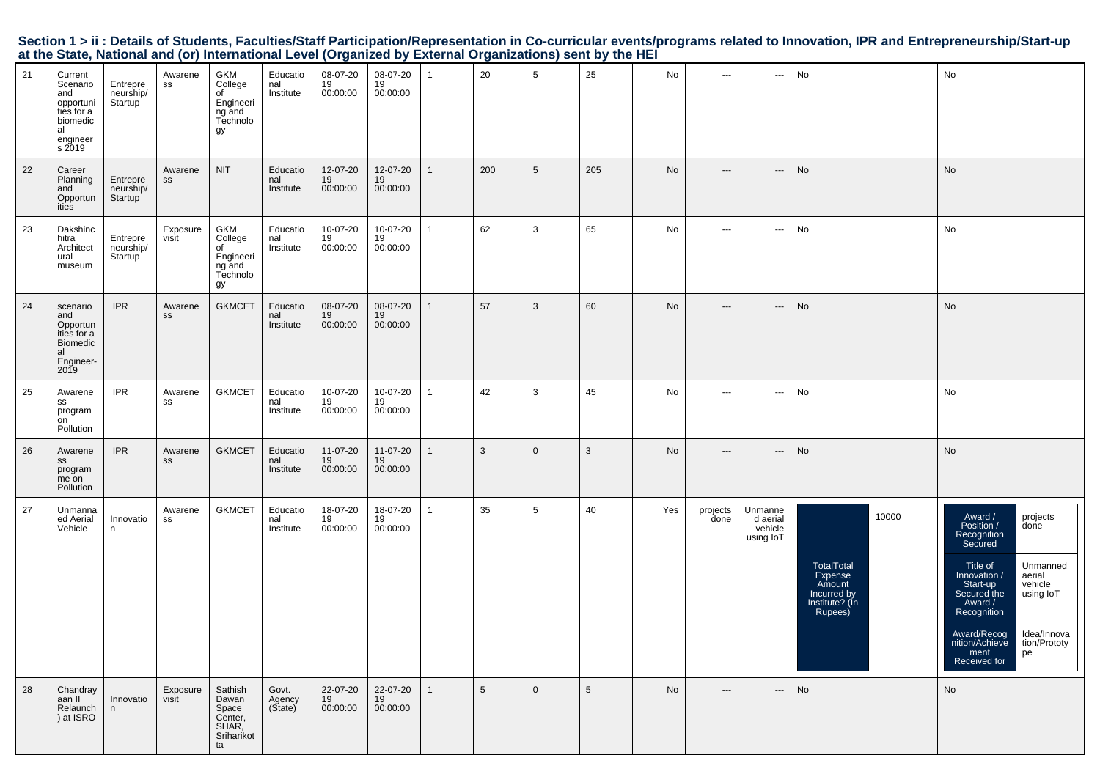|                                                                                                           |  |  | Section 1 > ii : Details of Students, Faculties/Staff Participation/Representation in Co-curricular events/programs related to Innovation, IPR and Entrepreneurship/Start-up |
|-----------------------------------------------------------------------------------------------------------|--|--|------------------------------------------------------------------------------------------------------------------------------------------------------------------------------|
| at the State, National and (or) International Level (Organized by External Organizations) sent by the HEI |  |  |                                                                                                                                                                              |

| 21 | Current<br>Scenario<br>and<br>opportuni<br>ties for a<br>biomedic<br>al<br>engineer<br>s 2019 | Entrepre<br>neurship/<br>Startup | Awarene<br>SS     | GKM<br>College<br>of<br>Engineeri<br>ng and<br>Technolo<br>gy     | Educatio<br>nal<br>Institute | 08-07-20<br>19<br>00:00:00 | 08-07-20<br>19<br>00:00:00 | $\mathbf{1}$ | 20  | 5            | 25              | No  | $\cdots$                                 | $\hspace{0.05cm} \ldots$                    | No                                                                                   | No                                                                                                                                                                                                                                                                                               |
|----|-----------------------------------------------------------------------------------------------|----------------------------------|-------------------|-------------------------------------------------------------------|------------------------------|----------------------------|----------------------------|--------------|-----|--------------|-----------------|-----|------------------------------------------|---------------------------------------------|--------------------------------------------------------------------------------------|--------------------------------------------------------------------------------------------------------------------------------------------------------------------------------------------------------------------------------------------------------------------------------------------------|
| 22 | Career<br>Planning<br>and<br>Opportun<br>ities                                                | Entrepre<br>neurship/<br>Startup | Awarene<br>SS     | <b>NIT</b>                                                        | Educatio<br>nal<br>Institute | 12-07-20<br>19<br>00:00:00 | 12-07-20<br>19<br>00:00:00 | $\mathbf{1}$ | 200 | 5            | 205             | No  | $\hspace{0.05cm} \ldots \hspace{0.05cm}$ | $\hspace{0.05cm} \cdots$                    | No                                                                                   | No                                                                                                                                                                                                                                                                                               |
| 23 | Dakshinc<br>hitra<br>Architect<br>ural<br>museum                                              | Entrepre<br>neurship/<br>Startup | Exposure<br>visit | GKM<br>College<br>of<br>Engineeri<br>ng and<br>Technolo<br>gy     | Educatio<br>nal<br>Institute | 10-07-20<br>19<br>00:00:00 | 10-07-20<br>19<br>00:00:00 | $\mathbf{1}$ | 62  | 3            | 65              | No  | ---                                      | ---                                         | No                                                                                   | No                                                                                                                                                                                                                                                                                               |
| 24 | scenario<br>and<br>Opportun<br>ities for a<br><b>Biomedic</b><br>al<br>Engineer-<br>2019      | <b>IPR</b>                       | Awarene<br>SS     | <b>GKMCET</b>                                                     | Educatio<br>nal<br>Institute | 08-07-20<br>19<br>00:00:00 | 08-07-20<br>19<br>00:00:00 | $\mathbf{1}$ | 57  | 3            | 60              | No  | $\hspace{0.05cm} \ldots \hspace{0.05cm}$ | $\hspace{0.05cm} \cdots$                    | No                                                                                   | No                                                                                                                                                                                                                                                                                               |
| 25 | Awarene<br>SS<br>program<br>on<br>Pollution                                                   | <b>IPR</b>                       | Awarene<br>SS     | <b>GKMCET</b>                                                     | Educatio<br>nal<br>Institute | 10-07-20<br>19<br>00:00:00 | 10-07-20<br>19<br>00:00:00 | $\mathbf{1}$ | 42  | 3            | 45              | No  | $\hspace{0.05cm} \ldots \hspace{0.05cm}$ | $\hspace{0.05cm} \cdots$                    | No                                                                                   | No                                                                                                                                                                                                                                                                                               |
| 26 | Awarene<br>SS<br>program<br>me on<br>Pollution                                                | <b>IPR</b>                       | Awarene<br>SS     | <b>GKMCET</b>                                                     | Educatio<br>nal<br>Institute | 11-07-20<br>19<br>00:00:00 | 11-07-20<br>19<br>00:00:00 | $\mathbf{1}$ | 3   | $\mathbf{0}$ | 3               | No  | $\hspace{0.05cm} \cdots$                 | $\hspace{0.05cm} \cdots$                    | No                                                                                   | No                                                                                                                                                                                                                                                                                               |
| 27 | Unmanna<br>ed Aerial<br>Vehicle                                                               | Innovatio<br>n                   | Awarene<br>SS     | <b>GKMCET</b>                                                     | Educatio<br>nal<br>Institute | 18-07-20<br>19<br>00:00:00 | 18-07-20<br>19<br>00:00:00 | $\mathbf{1}$ | 35  | 5            | 40              | Yes | projects<br>done                         | Unmanne<br>d aerial<br>vehicle<br>using loT | 10000<br>TotalTotal<br>Expense<br>Amount<br>Incurred by<br>Institute? (In<br>Rupees) | Award /<br>Position /<br>projects<br>done<br>Recognition<br>Secured<br>Unmanned<br>Title of<br>Innovation /<br>aerial<br>Start-up<br>vehicle<br>Secured the<br>using loT<br>Award /<br>Recognition<br>Award/Recog<br>nition/Achieve<br>Idea/Innova<br>tion/Prototy<br>ment<br>Received for<br>pe |
| 28 | Chandray<br>aan II<br>Relaunch<br>) at ISRO                                                   | Innovatio<br>n                   | Exposure<br>visit | Sathish<br>Dawan<br>Space<br>Center,<br>SHAR,<br>Sriharikot<br>ta | Govt.<br>Agency<br>(State)   | 22-07-20<br>19<br>00:00:00 | 22-07-20<br>19<br>00:00:00 | $\mathbf{1}$ | 5   | $\mathbf{0}$ | $5\phantom{.0}$ | No  | $\hspace{0.05cm} \cdots$                 | $\hspace{0.05cm} \ldots$                    | No                                                                                   | No                                                                                                                                                                                                                                                                                               |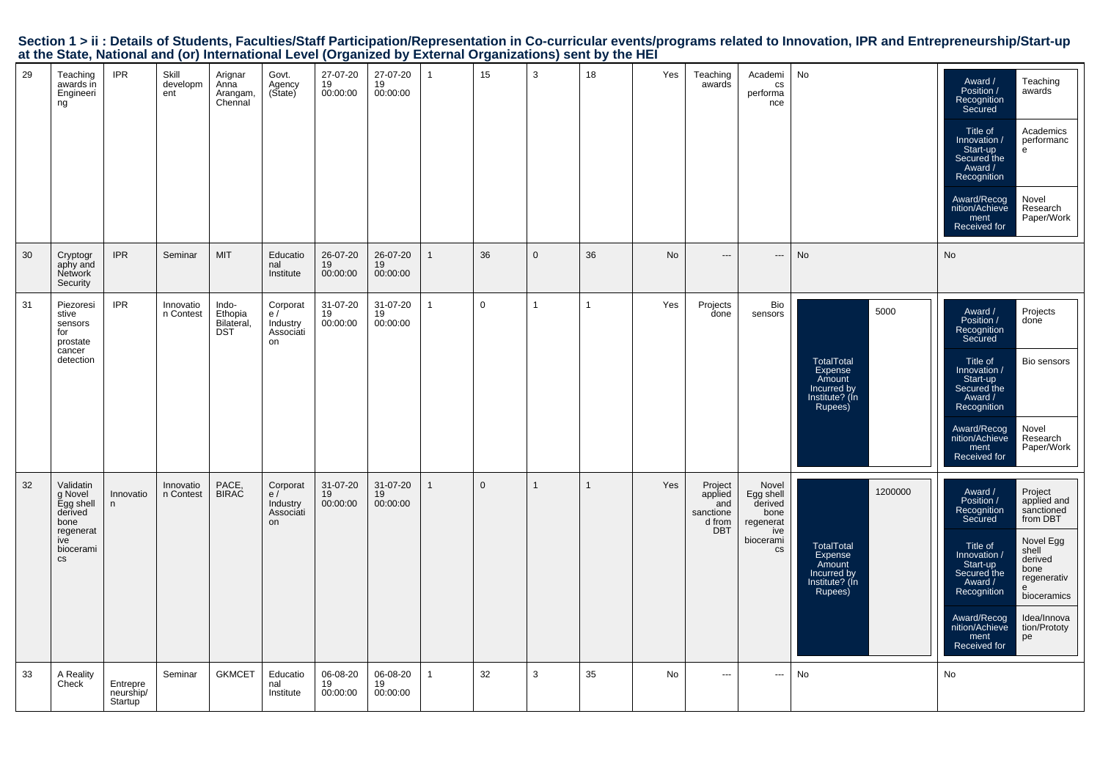|  |                                                                                                           |  |  | Section 1 > ii : Details of Students, Faculties/Staff Participation/Representation in Co-curricular events/programs related to Innovation, IPR and Entrepreneurship/Start-up |  |
|--|-----------------------------------------------------------------------------------------------------------|--|--|------------------------------------------------------------------------------------------------------------------------------------------------------------------------------|--|
|  | at the State, National and (or) International Level (Organized by External Organizations) sent by the HEI |  |  |                                                                                                                                                                              |  |

| 29 | Teaching<br>awards in<br>Engineeri<br>ng                                                               | <b>IPR</b>                       | Skill<br>developm<br>ent | Arignar<br>Anna<br>Arangam,<br>Chennal       | Govt.<br>Agency<br>(State)                    | 27-07-20<br>19<br>00:00:00 | 27-07-20<br>19<br>00:00:00 | $\overline{1}$ | 15           | 3            | 18 | Yes       | Teaching<br>awards                                             | Academi<br>cs<br>performa<br>nce                                             | No                                                                                            | Award /<br>Teaching<br>Position /<br>awards<br>Recognition<br>Secured<br>Title of<br>Academics<br>performanc<br>Innovation /<br>Start-up<br>e<br>Secured the<br>Award /<br>Recognition<br>Novel<br>Award/Recog<br>nition/Achieve<br>Research<br>Paper/Work<br>ment<br>Received for                                                                           |
|----|--------------------------------------------------------------------------------------------------------|----------------------------------|--------------------------|----------------------------------------------|-----------------------------------------------|----------------------------|----------------------------|----------------|--------------|--------------|----|-----------|----------------------------------------------------------------|------------------------------------------------------------------------------|-----------------------------------------------------------------------------------------------|--------------------------------------------------------------------------------------------------------------------------------------------------------------------------------------------------------------------------------------------------------------------------------------------------------------------------------------------------------------|
| 30 | Cryptogr<br>aphy and<br>Network<br>Security                                                            | <b>IPR</b>                       | Seminar                  | <b>MIT</b>                                   | Educatio<br>nal<br>Institute                  | 26-07-20<br>19<br>00:00:00 | 26-07-20<br>19<br>00:00:00 | $\mathbf{1}$   | 36           | $\mathbf{0}$ | 36 | <b>No</b> | $---$                                                          | $\overline{\phantom{a}}$                                                     | No                                                                                            | No                                                                                                                                                                                                                                                                                                                                                           |
| 31 | Piezoresi<br>stive<br>sensors<br>for<br>prostate<br>cancer<br>detection                                | <b>IPR</b>                       | Innovatio<br>n Contest   | Indo-<br>Ethopia<br>Bilateral,<br><b>DST</b> | Corporat<br>e/<br>Industry<br>Associati<br>on | 31-07-20<br>19<br>00:00:00 | 31-07-20<br>19<br>00:00:00 | $\mathbf{1}$   | $\mathbf 0$  | $\mathbf{1}$ | 1  | Yes       | Projects<br>done                                               | Bio<br>sensors                                                               | 5000<br><b>TotalTotal</b><br>Expense<br>Amount<br>Incurred by<br>Institute? (In<br>Rupees)    | Award /<br>Projects<br>Position /<br>done<br>Recognition<br>Secured<br>Title of<br>Bio sensors<br>Innovation /<br>Start-up<br>Secured the<br>Award /<br>Recognition<br>Award/Recog<br>Novel<br>nition/Achieve<br>Research<br>Paper/Work<br>ment<br>Received for                                                                                              |
| 32 | Validatin<br>g Novel<br>Egg shell<br>derived<br>bone<br>regenerat<br>ive<br>biocerami<br>$\mathsf{cs}$ | Innovatio<br>n                   | Innovatio<br>n Contest   | PACE,<br>BIRAC                               | Corporat<br>e/<br>Industry<br>Associati<br>on | 31-07-20<br>19<br>00:00:00 | 31-07-20<br>19<br>00:00:00 | $\overline{1}$ | $\mathbf{0}$ | $\mathbf{1}$ |    | Yes       | Project<br>applied<br>and<br>sanctione<br>d from<br><b>DBT</b> | Novel<br>Egg shell<br>derived<br>bone<br>regenerat<br>ive<br>biocerami<br>CS | 1200000<br><b>TotalTotal</b><br>Expense<br>Amount<br>Incurred by<br>Institute? (In<br>Rupees) | Project<br>Award /<br>applied and<br>Position /<br>Recognition<br>sanctioned<br>from DBT<br>Secured<br>Novel Egg<br>Title of<br>shell<br>Innovation<br>derived<br>Start-up<br>bone<br>Secured the<br>regenerativ<br>Award /<br>e<br>Recognition<br>bioceramics<br>Award/Recog<br>Idea/Innova<br>nition/Achieve<br>tion/Prototy<br>ment<br>pe<br>Received for |
| 33 | A Reality<br>Check                                                                                     | Entrepre<br>neurship/<br>Startup | Seminar                  | <b>GKMCET</b>                                | Educatio<br>nal<br>Institute                  | 06-08-20<br>19<br>00:00:00 | 06-08-20<br>19<br>00:00:00 | $\overline{1}$ | 32           | 3            | 35 | No        | $\hspace{0.05cm} \ldots$                                       | ---                                                                          | No                                                                                            | No                                                                                                                                                                                                                                                                                                                                                           |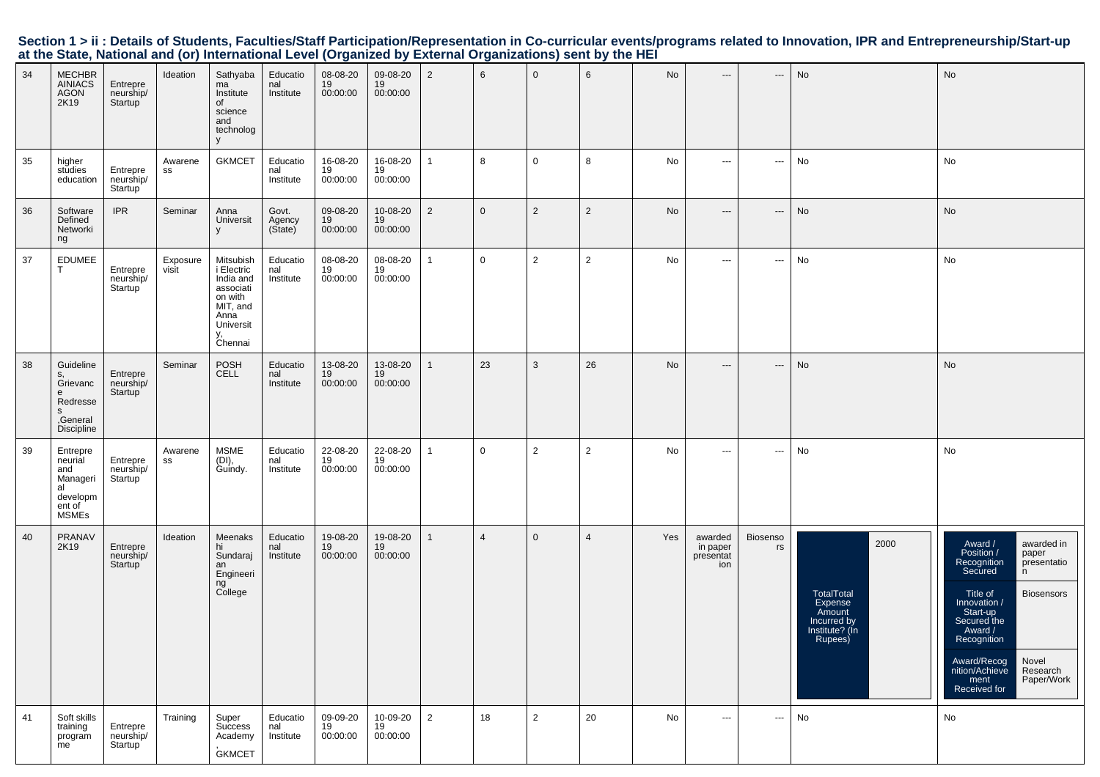| 34 | <b>MECHBR</b><br><b>AINIACS</b><br><b>AGON</b><br>2K19                             | Entrepre<br>neurship/<br>Startup              | Ideation          | Sathyaba<br>ma<br>Institute<br>οf<br>science<br>and<br>technolog<br>V                                          | Educatio<br>nal<br>Institute | 08-08-20<br>19<br>00:00:00 | 09-08-20<br>19<br>00:00:00 | $\overline{2}$ | 6              | $\mathbf 0$    | 6              | No  | $---$                                   | ---                      | No                                                                                  | No                                                                                                                                                                                                                                                                                           |
|----|------------------------------------------------------------------------------------|-----------------------------------------------|-------------------|----------------------------------------------------------------------------------------------------------------|------------------------------|----------------------------|----------------------------|----------------|----------------|----------------|----------------|-----|-----------------------------------------|--------------------------|-------------------------------------------------------------------------------------|----------------------------------------------------------------------------------------------------------------------------------------------------------------------------------------------------------------------------------------------------------------------------------------------|
| 35 | higher<br>studies<br>education                                                     | Entrepre<br>neurship/<br>Startup              | Awarene<br>SS     | <b>GKMCET</b>                                                                                                  | Educatio<br>nal<br>Institute | 16-08-20<br>19<br>00:00:00 | 16-08-20<br>19<br>00:00:00 | 1              | 8              | $\mathbf 0$    | 8              | No  | $\hspace{0.05cm} \ldots$                | ---                      | No                                                                                  | No                                                                                                                                                                                                                                                                                           |
| 36 | Software<br>Defined<br>Networki<br>ng                                              | <b>IPR</b>                                    | Seminar           | Anna<br>Universit<br>y                                                                                         | Govt.<br>Agency<br>(Sitate)  | 09-08-20<br>19<br>00:00:00 | 10-08-20<br>19<br>00:00:00 | $\overline{2}$ | $\overline{0}$ | $\overline{2}$ | $\overline{2}$ | No  | $\hspace{0.05cm} \ldots$                | $\hspace{0.05cm} \cdots$ | No                                                                                  | No                                                                                                                                                                                                                                                                                           |
| 37 | <b>EDUMEE</b>                                                                      | Entrepre<br>neurship/<br>Startup              | Exposure<br>visit | Mitsubish<br>i Electric<br>India and<br>associati<br>on with<br>MIT, and<br>Anna<br>Universit<br>y,<br>Chennai | Educatio<br>nal<br>Institute | 08-08-20<br>19<br>00:00:00 | 08-08-20<br>19<br>00:00:00 |                | 0              | $\overline{2}$ | $\overline{2}$ | No  | $\sim$ $\sim$                           | $\hspace{0.05cm} \ldots$ | No                                                                                  | No                                                                                                                                                                                                                                                                                           |
| 38 | Guideline<br>s,<br>Grievanc<br>e<br>Redresse<br>s<br>,General<br><b>Discipline</b> | Entrepre<br>neurship/<br>Startup              | Seminar           | POSH<br><b>CELL</b>                                                                                            | Educatio<br>nal<br>Institute | 13-08-20<br>19<br>00:00:00 | 13-08-20<br>19<br>00:00:00 | $\mathbf{1}$   | 23             | 3              | 26             | No  | $\hspace{0.05cm} \cdots$                | $\hspace{0.05cm} \cdots$ | No                                                                                  | No                                                                                                                                                                                                                                                                                           |
| 39 | Entrepre<br>neurial<br>and<br>Manageri<br>al<br>developm<br>ent of<br>MSMEs        | Entrepre<br>neurship/<br>Startup <sup>'</sup> | Awarene<br>SS     | <b>MSME</b><br>(DI),<br>Guindy.                                                                                | Educatio<br>nal<br>Institute | 22-08-20<br>19<br>00:00:00 | 22-08-20<br>19<br>00:00:00 | 1              | $\mathbf 0$    | 2              | $\overline{2}$ | No  | $\hspace{0.05cm} \ldots$                | $\hspace{0.05cm} \ldots$ | No                                                                                  | No                                                                                                                                                                                                                                                                                           |
| 40 | PRANAV<br>2K19                                                                     | Entrepre<br>neurship/<br>Startup              | Ideation          | Meenaks<br>hi<br>Sundaraj<br>an<br>Engineeri<br>ng<br>College                                                  | Educatio<br>nal<br>Institute | 19-08-20<br>19<br>00:00:00 | 19-08-20<br>19<br>00:00:00 | $\mathbf{1}$   | $\overline{4}$ | $\mathbf 0$    | $\overline{4}$ | Yes | awarded<br>in paper<br>presentat<br>ion | Biosenso<br>rs           | 2000<br>TotalTotal<br>Expense<br>Amount<br>Incurred by<br>Institute? (In<br>Rupees) | Award /<br>awarded in<br>Position /<br>paper<br>Recognition<br>presentatio<br>Secured<br>n<br><b>Biosensors</b><br>Title of<br>Innovation /<br>Start-up<br>Secured the<br>Award /<br>Recognition<br>Award/Recog<br>Novel<br>nition/Achieve<br>Research<br>Paper/Work<br>ment<br>Received for |
| 41 | Soft skills<br>training<br>program<br>me                                           | Entrepre<br>neurship/<br>Startup              | Training          | Super<br>Success<br>Academy<br><b>GKMCET</b>                                                                   | Educatio<br>nal<br>Institute | 09-09-20<br>19<br>00:00:00 | 10-09-20<br>19<br>00:00:00 | $\overline{2}$ | 18             | 2              | 20             | No  | $\hspace{0.05cm} \ldots$                | $\hspace{0.05cm} \ldots$ | No                                                                                  | No                                                                                                                                                                                                                                                                                           |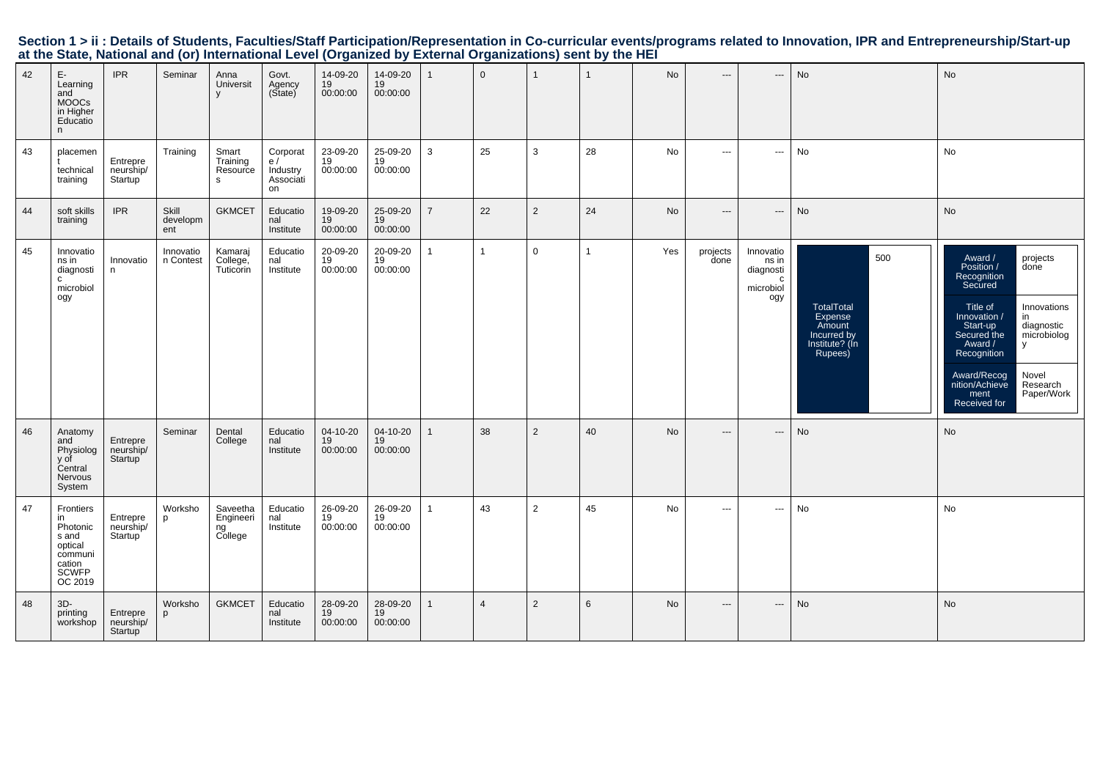|    |                                                                                        |                                               |                          | at the State, National and (0) international Level (Organized by External Organizations) Sent by the HET |                                               |                              |                            |                |                |                |              |           |                          |                                                                    |                                                                                    |                                                                                                                                                                                                                                                                                                         |
|----|----------------------------------------------------------------------------------------|-----------------------------------------------|--------------------------|----------------------------------------------------------------------------------------------------------|-----------------------------------------------|------------------------------|----------------------------|----------------|----------------|----------------|--------------|-----------|--------------------------|--------------------------------------------------------------------|------------------------------------------------------------------------------------|---------------------------------------------------------------------------------------------------------------------------------------------------------------------------------------------------------------------------------------------------------------------------------------------------------|
| 42 | $\mathsf{E}\text{-}$<br>Learning<br>and<br>MOOCs<br>in Higher<br>Educatio<br>n         | <b>IPR</b>                                    | Seminar                  | Anna<br>Universit<br>$\mathsf{V}$                                                                        | Govt.<br>Agency<br>(State)                    | 14-09-20<br>19<br>00:00:00   | 14-09-20<br>19<br>00:00:00 | 1              | $\overline{0}$ | $\overline{1}$ | $\mathbf{1}$ | No        | $\cdots$                 | $\hspace{0.05cm} \ldots$                                           | No                                                                                 | No                                                                                                                                                                                                                                                                                                      |
| 43 | placemen<br>technical<br>training                                                      | Entrepre<br>neurship/<br>Startup <sup>'</sup> | Training                 | Smart<br>Training<br>Resource<br>s                                                                       | Corporat<br>e/<br>Industry<br>Associati<br>on | 23-09-20<br>19<br>00:00:00   | 25-09-20<br>19<br>00:00:00 | 3              | 25             | 3              | 28           | No        | $\sim$ $\sim$ $\sim$     | $\hspace{0.05cm} \cdots$                                           | No                                                                                 | No                                                                                                                                                                                                                                                                                                      |
| 44 | soft skills<br>training                                                                | <b>IPR</b>                                    | Skill<br>developm<br>ent | <b>GKMCET</b>                                                                                            | Educatio<br>nal<br>Institute                  | 19-09-20<br>19<br>00:00:00   | 25-09-20<br>19<br>00:00:00 | $\overline{7}$ | 22             | 2              | 24           | No        | $\hspace{0.05cm} \ldots$ | $\hspace{0.05cm} \ldots$                                           | No                                                                                 | No                                                                                                                                                                                                                                                                                                      |
| 45 | Innovatio<br>ns in<br>diagnosti<br>$\mathtt{C}$<br>microbiol<br>ogy                    | Innovatio<br>n                                | Innovatio<br>n Contest   | Kamaraj<br>College,<br>Tuticorin                                                                         | Educatio<br>$\overline{nal}$<br>Institute     | 20-09-20<br>19<br>00:00:00   | 20-09-20<br>19<br>00:00:00 | $\mathbf{1}$   | $\mathbf{1}$   | $\mathbf 0$    | $\mathbf{1}$ | Yes       | projects<br>done         | Innovatio<br>ns in<br>diagnosti<br>$\mathbf c$<br>microbiol<br>ogy | 500<br>TotalTotal<br>Expense<br>Amount<br>Incurred by<br>Institute? (In<br>Rupees) | Award /<br>Position /<br>Recognition<br>Secured<br>projects<br>done<br>Title of<br>Innovation /<br>Start-up<br>Secured the<br>Innovations<br>in<br>diagnostic<br>microbiolog<br>Award /<br>y<br>Recognition<br>Novel<br>Research<br>Paper/Work<br>Award/Recog<br>nition/Achieve<br>ment<br>Received for |
| 46 | Anatomy<br>and<br>Physiolog<br>y of<br>Central<br>Nervous<br>System                    | Entrepre<br>neurship/<br>Startup              | Seminar                  | Dental<br>College                                                                                        | Educatio<br>nal<br>Institute                  | 04-10-20<br>19<br>00:00:00   | 04-10-20<br>19<br>00:00:00 | $\mathbf{1}$   | 38             | 2              | 40           | <b>No</b> | $\cdots$                 | $\hspace{0.05cm} \ldots$                                           | No                                                                                 | No                                                                                                                                                                                                                                                                                                      |
| 47 | Frontiers<br>in<br>Photonic<br>s and<br>o and<br>communi<br>cation<br>SCWFP<br>OC 2019 | Entrepre<br>neurship/<br>Startup              | Worksho<br>p             | Saveetha<br>Engineeri<br>ng<br>College                                                                   | Educatio<br>nal<br>Institute                  | 26-09-20<br>19<br>00:00:00   | 26-09-20<br>19<br>00:00:00 | $\mathbf{1}$   | 43             | $\overline{2}$ | 45           | No        | $\sim$ $\sim$            | $\hspace{0.05cm} \cdots$                                           | No                                                                                 | No                                                                                                                                                                                                                                                                                                      |
| 48 | $3D -$<br>printing<br>workshop                                                         | Entrepre<br>neurship/<br>Startup              | Worksho                  | <b>GKMCET</b>                                                                                            | Educatio<br>nal<br>Institute                  | $28-09-20$<br>19<br>00:00:00 | 28-09-20<br>19<br>00:00:00 | $\mathbf{1}$   | $\overline{4}$ | $\overline{2}$ | 6            | No        | $\cdots$                 | $\hspace{0.05cm} \cdots$                                           | No                                                                                 | No                                                                                                                                                                                                                                                                                                      |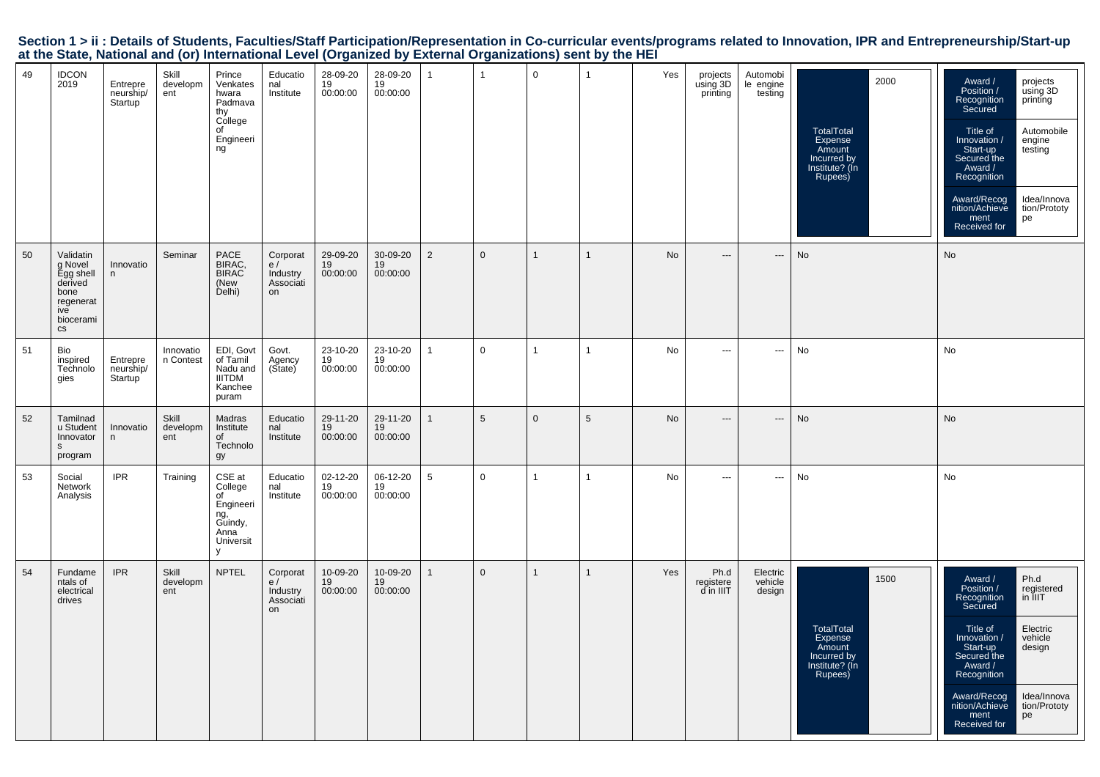|  |                                                                                                           |  |  | Section 1 > ii : Details of Students, Faculties/Staff Participation/Representation in Co-curricular events/programs related to Innovation, IPR and Entrepreneurship/Start-up |  |
|--|-----------------------------------------------------------------------------------------------------------|--|--|------------------------------------------------------------------------------------------------------------------------------------------------------------------------------|--|
|  | at the State, National and (or) International Level (Organized by External Organizations) sent by the HEI |  |  |                                                                                                                                                                              |  |

| 49 | <b>IDCON</b><br>2019                                                                                   | Entrepre<br>neurship/<br>Startup | Skill<br>developm<br>ent | Prince<br>Venkates<br>hwara<br>Padmava<br>thy<br>College<br>of<br>Engineeri<br>ng  | Educatio<br>nal<br>Institute                  | 28-09-20<br>19<br>00:00:00 | 28-09-20<br>19<br>00:00:00 | $\mathbf{1}$    | $\overline{1}$ | 0              | $\mathbf{1}$   | Yes | projects<br>using 3D<br>printing | Automobi<br>le engine<br>testing | 2000<br><b>TotalTotal</b><br>Expense<br>Amount<br>Incurred by<br>Institute? (In<br>Rupees) | Award /<br>projects<br>using 3D<br>Position /<br>Recognition<br>Secured<br>printing<br>Title of<br>Automobile<br>Innovation /<br>engine<br>testing<br>Start-up<br>Secured the<br>Award /<br>Recognition<br>Idea/Innova<br>Award/Recog<br>nition/Achieve<br>tion/Prototy<br>ment<br>Received for<br>pe |
|----|--------------------------------------------------------------------------------------------------------|----------------------------------|--------------------------|------------------------------------------------------------------------------------|-----------------------------------------------|----------------------------|----------------------------|-----------------|----------------|----------------|----------------|-----|----------------------------------|----------------------------------|--------------------------------------------------------------------------------------------|-------------------------------------------------------------------------------------------------------------------------------------------------------------------------------------------------------------------------------------------------------------------------------------------------------|
| 50 | Validatin<br>g Novel<br>Egg shell<br>derived<br>bone<br>regenerat<br>ive<br>biocerami<br>$\mathtt{CS}$ | Innovatio<br>n                   | Seminar                  | PACE<br>BIRAC,<br>BIRAC<br>(New<br>Delhi)                                          | Corporat<br>e/<br>Industry<br>Associati<br>on | 29-09-20<br>19<br>00:00:00 | 30-09-20<br>19<br>00:00:00 | 2               | $\mathbf{0}$   | $\mathbf{1}$   | $\mathbf{1}$   | No  | $\overline{a}$                   | $\hspace{0.05cm} \ldots$         | No                                                                                         | No                                                                                                                                                                                                                                                                                                    |
| 51 | Bio<br>inspired<br>Technolo<br>gies                                                                    | Entrepre<br>neurship/<br>Startup | Innovatio<br>n Contest   | EDI, Govt<br>of Tamil<br>Nadu and<br><b>IIITDM</b><br>Kanchee<br>puram             | Govt.<br>Agency<br>(Sitate)                   | 23-10-20<br>19<br>00:00:00 | 23-10-20<br>19<br>00:00:00 | $\mathbf{1}$    | $\mathbf 0$    | $\mathbf{1}$   | $\overline{1}$ | No  | $\sim$ $\sim$                    | $\hspace{0.05cm} \cdots$         | No                                                                                         | No                                                                                                                                                                                                                                                                                                    |
| 52 | Tamilnad<br>u Student<br>Innovator<br>S<br>program                                                     | Innovatio<br>n                   | Skill<br>developm<br>ent | Madras<br>Institute<br>of<br>Technolo<br>gy                                        | Educatio<br>nal<br>Institute                  | 29-11-20<br>19<br>00:00:00 | 29-11-20<br>19<br>00:00:00 | $\mathbf{1}$    | 5              | $\overline{0}$ | $\sqrt{5}$     | No  | $\overline{\phantom{a}}$         | ---                              | No                                                                                         | No                                                                                                                                                                                                                                                                                                    |
| 53 | Social<br>Network<br>Analysis                                                                          | <b>IPR</b>                       | Training                 | CSE at<br>College<br>of<br>Engineeri<br>ng, ̃<br>Guindy,<br>Anna<br>Universit<br>y | Educatio<br>nal<br>Institute                  | 02-12-20<br>19<br>00:00:00 | 06-12-20<br>19<br>00:00:00 | $5\phantom{.0}$ | $\mathbf 0$    | $\mathbf{1}$   | $\mathbf{1}$   | No  | $\cdots$                         | $\hspace{0.05cm} \cdots$         | No                                                                                         | No                                                                                                                                                                                                                                                                                                    |
| 54 | Fundame<br>ntals of<br>electrical<br>drives                                                            | <b>IPR</b>                       | Skill<br>developm<br>ent | <b>NPTEL</b>                                                                       | Corporat<br>e/<br>Industry<br>Associati<br>on | 10-09-20<br>19<br>00:00:00 | 10-09-20<br>19<br>00:00:00 | $\mathbf{1}$    | $\mathbf{0}$   | $\mathbf{1}$   | $\mathbf{1}$   | Yes | Ph.d<br>registere<br>d in IIIT   | Electric<br>vehicle<br>design    | 1500<br><b>TotalTotal</b><br>Expense<br>Amount<br>Incurred by<br>Institute? (In<br>Rupees) | Ph.d<br>registered<br>in IIIT<br>Award /<br>Position /<br>Recognition<br>Secured<br>Electric<br>Title of<br>Innovation /<br>vehicle<br>design<br>Start-up<br>Secured the<br>Award /<br>Recognition<br>Award/Recog<br>Idea/Innova<br>nition/Achieve<br>tion/Prototy<br>ment<br>pe<br>Received for      |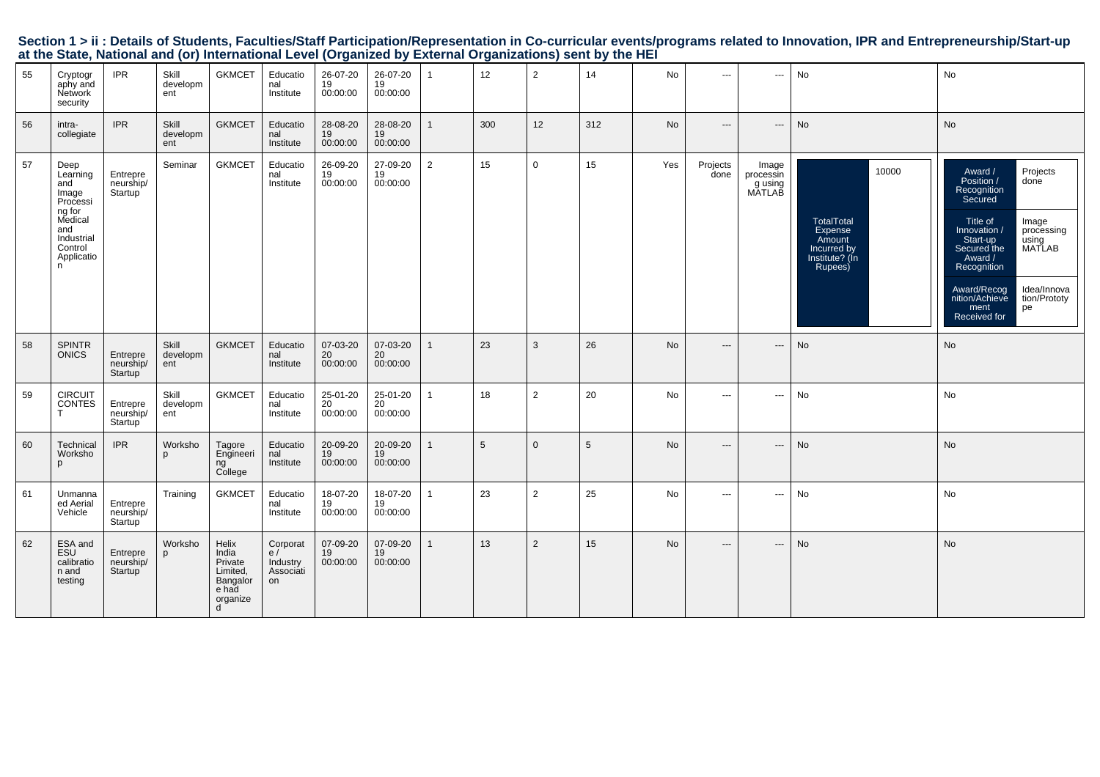| 55 | Cryptogr<br>aphy and<br>Network<br>security                                                                          | <b>IPR</b>                       | Skill<br>developm<br>ent | <b>GKMCET</b>                                                               | Educatio<br>nal<br>Institute                  | 26-07-20<br>19<br>00:00:00 | 26-07-20<br>19<br>00:00:00 |   | 12  | $\overline{2}$ | 14  | No        | $\cdots$                 | $\hspace{0.05cm} \ldots$                | No                                                                                          | No                                                                                                                                                                                                                                                                                           |
|----|----------------------------------------------------------------------------------------------------------------------|----------------------------------|--------------------------|-----------------------------------------------------------------------------|-----------------------------------------------|----------------------------|----------------------------|---|-----|----------------|-----|-----------|--------------------------|-----------------------------------------|---------------------------------------------------------------------------------------------|----------------------------------------------------------------------------------------------------------------------------------------------------------------------------------------------------------------------------------------------------------------------------------------------|
| 56 | intra-<br>collegiate                                                                                                 | <b>IPR</b>                       | Skill<br>developm<br>ent | <b>GKMCET</b>                                                               | Educatio<br>nal<br>Institute                  | 28-08-20<br>19<br>00:00:00 | 28-08-20<br>19<br>00:00:00 |   | 300 | 12             | 312 | No        | $\hspace{0.05cm} \ldots$ | $\cdots$                                | No                                                                                          | No                                                                                                                                                                                                                                                                                           |
| 57 | Deep<br>Learning<br>and<br>Image<br>Processi<br>ng for<br>Medical<br>and<br>Industrial<br>Control<br>Applicatio<br>n | Entrepre<br>neurship/<br>Startup | Seminar                  | <b>GKMCET</b>                                                               | Educatio<br>nal<br>Institute                  | 26-09-20<br>19<br>00:00:00 | 27-09-20<br>19<br>00:00:00 | 2 | 15  | $\mathbf 0$    | 15  | Yes       | Projects<br>done         | Image<br>processin<br>g using<br>MATLAB | 10000<br>TotalTotal<br><b>Expense</b><br>Amount<br>Incurred by<br>Institute? (In<br>Rupees) | Award /<br>Projects<br>Position /<br>done<br>Recognition<br>Secured<br>Title of<br>Image<br>Innovation /<br>processing<br>Start-up<br>using<br>MATLAB<br>Secured the<br>Award /<br>Recognition<br>Idea/Innova<br>Award/Recog<br>nition/Achieve<br>tion/Prototy<br>ment<br>pe<br>Received for |
| 58 | <b>SPINTR</b><br><b>ONICS</b>                                                                                        | Entrepre<br>neurship/<br>Startup | Skill<br>developm<br>ent | <b>GKMCET</b>                                                               | Educatio<br>nal<br>Institute                  | 07-03-20<br>20<br>00:00:00 | 07-03-20<br>20<br>00:00:00 |   | 23  | 3              | 26  | <b>No</b> | $\overline{\phantom{a}}$ | ---                                     | No                                                                                          | No                                                                                                                                                                                                                                                                                           |
| 59 | <b>CIRCUIT</b><br><b>CONTES</b>                                                                                      | Entrepre<br>neurship/<br>Startup | Skill<br>developm<br>ent | <b>GKMCET</b>                                                               | Educatio<br>nal<br>Institute                  | 25-01-20<br>20<br>00:00:00 | 25-01-20<br>20<br>00:00:00 |   | 18  | $\overline{2}$ | 20  | No.       | $---$                    | ---                                     | No                                                                                          | No                                                                                                                                                                                                                                                                                           |
| 60 | Technical<br>Worksho<br>p                                                                                            | <b>IPR</b>                       | Worksho<br>p             | Tagore<br>Engineeri<br>ng<br>College                                        | Educatio<br>nal<br>Institute                  | 20-09-20<br>19<br>00:00:00 | 20-09-20<br>19<br>00:00:00 |   | 5   | $\mathbf{0}$   | 5   | No        | $---$                    | ---                                     | No                                                                                          | No                                                                                                                                                                                                                                                                                           |
| 61 | Unmanna<br>ed Aerial<br>Vehicle                                                                                      | Entrepre<br>neurship/<br>Startup | Training                 | <b>GKMCET</b>                                                               | Educatio<br>nal<br>Institute                  | 18-07-20<br>19<br>00:00:00 | 18-07-20<br>19<br>00:00:00 |   | 23  | $\overline{2}$ | 25  | No        | $\cdots$                 | $\hspace{0.05cm} \ldots$                | No                                                                                          | No                                                                                                                                                                                                                                                                                           |
| 62 | ESA and<br>ESU<br>calibratio<br>n and<br>testing                                                                     | Entrepre<br>neurship/<br>Startup | Worksho<br>p             | Helix<br>India<br>Private<br>Limited,<br>Bangalor<br>e had<br>organize<br>d | Corporat<br>e/<br>Industry<br>Associati<br>on | 07-09-20<br>19<br>00:00:00 | 07-09-20<br>19<br>00:00:00 |   | 13  | 2              | 15  | No        | $\qquad \qquad \cdots$   | $\hspace{0.05cm} \ldots$                | No                                                                                          | No                                                                                                                                                                                                                                                                                           |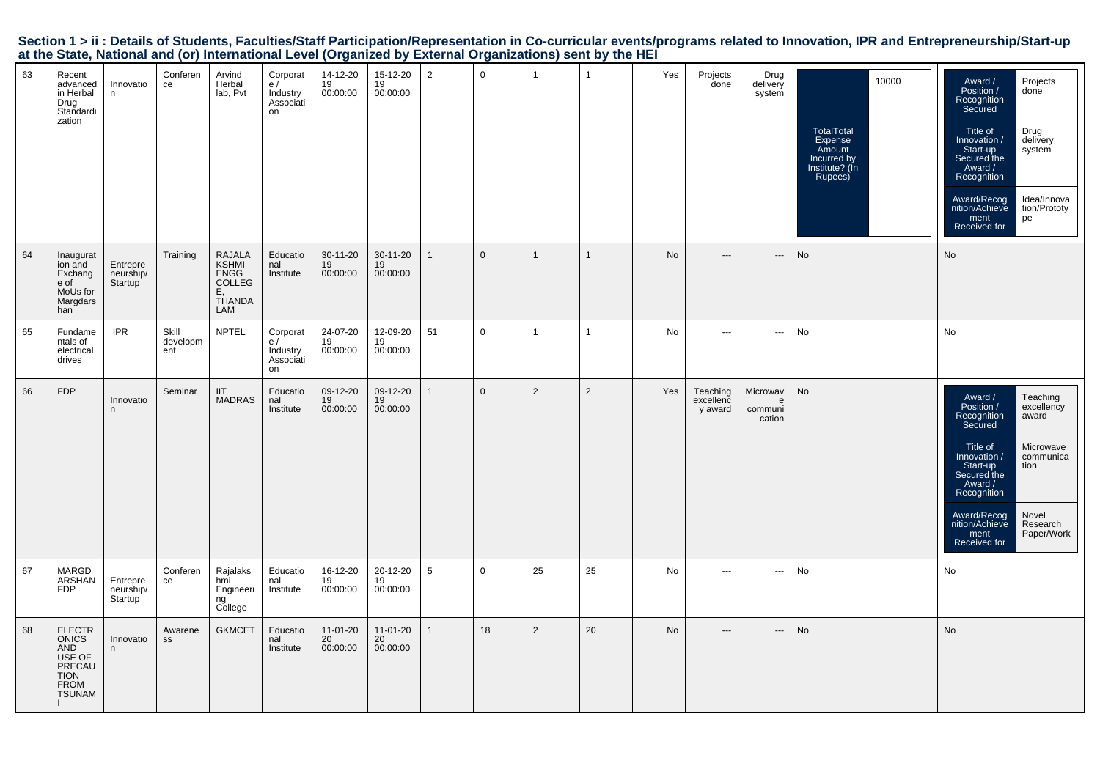|  |                                                                                                           |  |  | Section 1 > ii : Details of Students, Faculties/Staff Participation/Representation in Co-curricular events/programs related to Innovation, IPR and Entrepreneurship/Start-up |  |
|--|-----------------------------------------------------------------------------------------------------------|--|--|------------------------------------------------------------------------------------------------------------------------------------------------------------------------------|--|
|  | at the State, National and (or) International Level (Organized by External Organizations) sent by the HEI |  |  |                                                                                                                                                                              |  |

| 63 | Recent<br>advanced<br>in Herbal<br>Drug<br>Standardi<br>zation                            | Innovatio<br>n                   | Conferen<br>ce           | Arvind<br>Herbal<br>lab, Pvt                                                         | Corporat<br>e/<br>Industry<br>Associati<br>on | 14-12-20<br>19<br>00:00:00 | 15-12-20<br>19<br>00:00:00 | $\overline{2}$ | $\overline{0}$ | $\overline{1}$ | -1             | Yes | Projects<br>done                 | Drug<br>delivery<br>system         | 10000<br><b>TotalTotal</b><br>Expense<br>Amount<br>Incurred by<br>Institute? (Ín<br>Rupees) | Award /<br>Projects<br>Position /<br>done<br>Recognition<br>Secured<br>Drug<br>delivery<br>Title of<br>Innovation /<br>Start-up<br>system<br>Secured the<br>Award /<br>Recognition<br>Idea/Innova<br>Award/Recog<br>nition/Achieve<br>tion/Prototy<br>ment<br>pe<br>Received for                  |
|----|-------------------------------------------------------------------------------------------|----------------------------------|--------------------------|--------------------------------------------------------------------------------------|-----------------------------------------------|----------------------------|----------------------------|----------------|----------------|----------------|----------------|-----|----------------------------------|------------------------------------|---------------------------------------------------------------------------------------------|---------------------------------------------------------------------------------------------------------------------------------------------------------------------------------------------------------------------------------------------------------------------------------------------------|
| 64 | Inaugurat<br>ion and<br>Exchang<br>e of<br>MoUs for<br>Margdars<br>han                    | Entrepre<br>neurship/<br>Startup | Training                 | <b>RAJALA</b><br><b>KSHMI</b><br><b>ENGG</b><br>COLLEG<br>Е,<br><b>THANDA</b><br>LAM | Educatio<br>nal<br>Institute                  | 30-11-20<br>19<br>00:00:00 | 30-11-20<br>19<br>00:00:00 | $\mathbf{1}$   | $\mathbf 0$    | $\mathbf{1}$   | $\overline{1}$ | No  | $\hspace{0.05cm} \ldots$         | $\qquad \qquad -\qquad$            | No                                                                                          | No                                                                                                                                                                                                                                                                                                |
| 65 | Fundame<br>ntals of<br>electrical<br>drives                                               | <b>IPR</b>                       | Skill<br>developm<br>ent | <b>NPTEL</b>                                                                         | Corporat<br>e/<br>Industry<br>Associati<br>on | 24-07-20<br>19<br>00:00:00 | 12-09-20<br>19<br>00:00:00 | 51             | $\mathbf 0$    | $\overline{1}$ | -1             | No  | $\hspace{0.05cm} \cdots$         | $\hspace{0.05cm} \ldots$           | No                                                                                          | No                                                                                                                                                                                                                                                                                                |
| 66 | <b>FDP</b>                                                                                | Innovatio<br>n                   | Seminar                  | <b>IIT</b><br><b>MADRAS</b>                                                          | Educatio<br>nal<br>Institute                  | 09-12-20<br>19<br>00:00:00 | 09-12-20<br>19<br>00:00:00 |                | $\mathbf 0$    | 2              | $\overline{2}$ | Yes | Teaching<br>excellenc<br>y award | Microwav<br>e<br>communi<br>cation | No                                                                                          | Teaching<br>Award /<br>Position /<br>excellency<br>award<br>Recognition<br>Secured<br>Microwave<br>Title of<br>Innovation /<br>communica<br>Start-up<br>Secured the<br>tion<br>Award /<br>Recognition<br>Award/Recog<br>Novel<br>nition/Achieve<br>Research<br>Paper/Work<br>ment<br>Received for |
| 67 | <b>MARGD</b><br>ARSHAN<br><b>FDP</b>                                                      | Entrepre<br>neurship/<br>Startup | Conferen<br>ce           | Rajalaks<br>hmi<br>Engineeri<br>ng<br>College                                        | Educatio<br>nal<br>Institute                  | 16-12-20<br>19<br>00:00:00 | 20-12-20<br>19<br>00:00:00 | 5              | $\mathbf 0$    | 25             | 25             | No  | $\hspace{0.05cm} \cdots$         | $\hspace{0.05cm} \ldots$           | No                                                                                          | No                                                                                                                                                                                                                                                                                                |
| 68 | ELECTR<br>ONICS<br>AND<br>USE OF<br>PRECAU<br><b>TION</b><br><b>FROM</b><br><b>TSUNAM</b> | Innovatio<br>n                   | Awarene<br>SS            | <b>GKMCET</b>                                                                        | Educatio<br>nal<br>Institute                  | 11-01-20<br>20<br>00:00:00 | 11-01-20<br>20<br>00:00:00 | $\mathbf{1}$   | 18             | 2              | 20             | No  | $\hspace{0.05cm} \ldots$         | ---                                | No                                                                                          | No                                                                                                                                                                                                                                                                                                |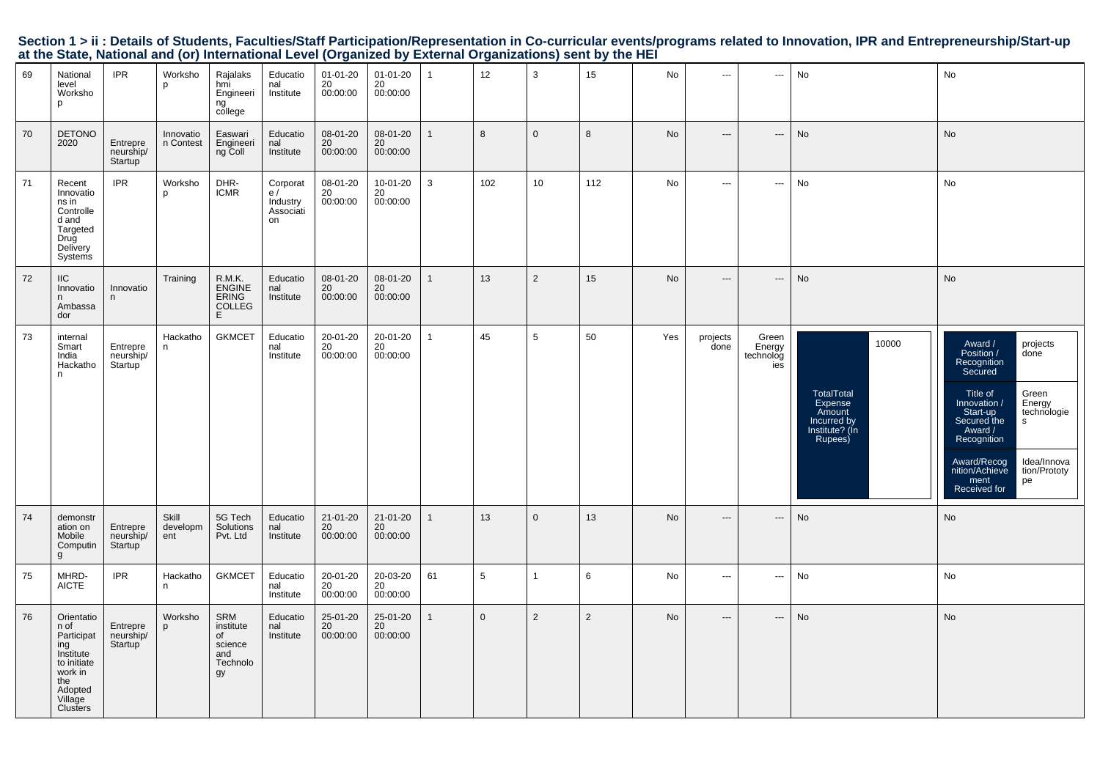|                                                                                                           |  |  | Section 1 > ii : Details of Students, Faculties/Staff Participation/Representation in Co-curricular events/programs related to Innovation, IPR and Entrepreneurship/Start-up |  |
|-----------------------------------------------------------------------------------------------------------|--|--|------------------------------------------------------------------------------------------------------------------------------------------------------------------------------|--|
| at the State, National and (or) International Level (Organized by External Organizations) sent by the HEI |  |  |                                                                                                                                                                              |  |

| 69 | National<br>level<br>Worksho<br>p                                                                                       | <b>IPR</b>                       | Worksho<br>p             | Rajalaks<br>hmi<br>Engineeri<br>ng<br>college              | Educatio<br>nal<br>Institute                  | $01 - 01 - 20$<br>20<br>00:00:00 | $01 - 01 - 20$<br>20<br>00:00:00 | $\mathbf{1}$ | 12           | 3              | 15             | No        | $\hspace{0.05cm} \ldots$ | ---                                 | No                                                                                   | No                                                                                                                                                                                                                                                                                        |
|----|-------------------------------------------------------------------------------------------------------------------------|----------------------------------|--------------------------|------------------------------------------------------------|-----------------------------------------------|----------------------------------|----------------------------------|--------------|--------------|----------------|----------------|-----------|--------------------------|-------------------------------------|--------------------------------------------------------------------------------------|-------------------------------------------------------------------------------------------------------------------------------------------------------------------------------------------------------------------------------------------------------------------------------------------|
| 70 | <b>DETONO</b><br>2020                                                                                                   | Entrepre<br>neurship/<br>Startup | Innovatio<br>n Contest   | Easwari<br>Engineeri<br>ng Coll                            | Educatio<br>nal<br>Institute                  | 08-01-20<br>20<br>00:00:00       | 08-01-20<br>20<br>00:00:00       | $\mathbf{1}$ | 8            | $\mathbf 0$    | 8              | No        | $---$                    | $\cdots$                            | No                                                                                   | No                                                                                                                                                                                                                                                                                        |
| 71 | Recent<br>Innovatio<br>ns in<br>Controlle<br>d and<br>Targeted<br>Drug<br>Delivery<br>Systems                           | <b>IPR</b>                       | Worksho<br>p             | DHR-<br><b>ICMR</b>                                        | Corporat<br>e/<br>Industry<br>Associati<br>on | 08-01-20<br>20<br>00:00:00       | 10-01-20<br>20<br>00:00:00       | $\mathbf{3}$ | 102          | 10             | 112            | No        | $\cdots$                 | $\hspace{0.05cm} \ldots$            | No                                                                                   | No                                                                                                                                                                                                                                                                                        |
| 72 | <b>IIC</b><br>Innovatio<br>n<br>Ambassa<br>dor                                                                          | Innovatio<br>n                   | Training                 | R.M.K.<br>ENGINE<br>ERING<br>COLLEG<br>E.                  | Educatio<br>nal<br>Institute                  | 08-01-20<br>20<br>00:00:00       | 08-01-20<br>20<br>00:00:00       | $\mathbf{1}$ | 13           | $\overline{2}$ | 15             | No        | $\overline{a}$           | $\overline{\phantom{a}}$            | No                                                                                   | No                                                                                                                                                                                                                                                                                        |
| 73 | internal<br>Smart<br>India<br>Hackatho<br>n                                                                             | Entrepre<br>neurship/<br>Startup | Hackatho<br>n            | <b>GKMCET</b>                                              | Educatio<br>nal<br>Institute                  | 20-01-20<br>20<br>00:00:00       | 20-01-20<br>20<br>00:00:00       | $\mathbf{1}$ | 45           | 5              | 50             | Yes       | projects<br>done         | Green<br>Energy<br>technolog<br>ies | 10000<br>TotalTotal<br>Expense<br>Amount<br>Incurred by<br>Institute? (In<br>Rupees) | Award /<br>projects<br>Position /<br>done<br>Recognition<br>Secured<br>Title of<br>Green<br>Energy<br>Innovation /<br>technologie<br>Start-up<br>Secured the<br>s<br>Award /<br>Recognition<br>Award/Recog<br>nition/Achieve<br>Idea/Innova<br>tion/Prototy<br>ment<br>pe<br>Received for |
| 74 | demonstr<br>ation on<br>Mobile<br>Computin<br>g                                                                         | Entrepre<br>neurship/<br>Startup | Skill<br>developm<br>ent | 5G Tech<br>Solutions<br>Pvt. Ltd                           | Educatio<br>nal<br>Institute                  | 21-01-20<br>20<br>00:00:00       | 21-01-20<br>20<br>00:00:00       | $\mathbf{1}$ | 13           | $\mathbf 0$    | 13             | <b>No</b> | $\hspace{0.05cm} \ldots$ | $\hspace{0.05cm} \ldots$            | No                                                                                   | No                                                                                                                                                                                                                                                                                        |
| 75 | MHRD-<br><b>AICTE</b>                                                                                                   | <b>IPR</b>                       | Hackatho<br>n            | <b>GKMCET</b>                                              | Educatio<br>nal<br>Institute                  | 20-01-20<br>20<br>00:00:00       | 20-03-20<br>20<br>00:00:00       | 61           | 5            | 1              | 6              | No        | $\overline{\phantom{a}}$ | $\hspace{0.05cm} \cdots$            | No                                                                                   | No                                                                                                                                                                                                                                                                                        |
| 76 | Orientatio<br>n of<br>Participat<br>ing<br>Institute<br>to initiate<br>work in<br>the<br>Adopted<br>Village<br>Clusters | Entrepre<br>neurship/<br>Startup | Worksho<br>p             | SRM<br>institute<br>of<br>science<br>and<br>Technolo<br>gy | Educatio<br>nal<br>Institute                  | 25-01-20<br>20<br>00:00:00       | 25-01-20<br>20<br>00:00:00       | $\mathbf{1}$ | $\mathbf{0}$ | $\overline{2}$ | $\overline{2}$ | No        | $\hspace{0.05cm} \cdots$ | $\hspace{0.05cm} \cdots$            | No                                                                                   | No                                                                                                                                                                                                                                                                                        |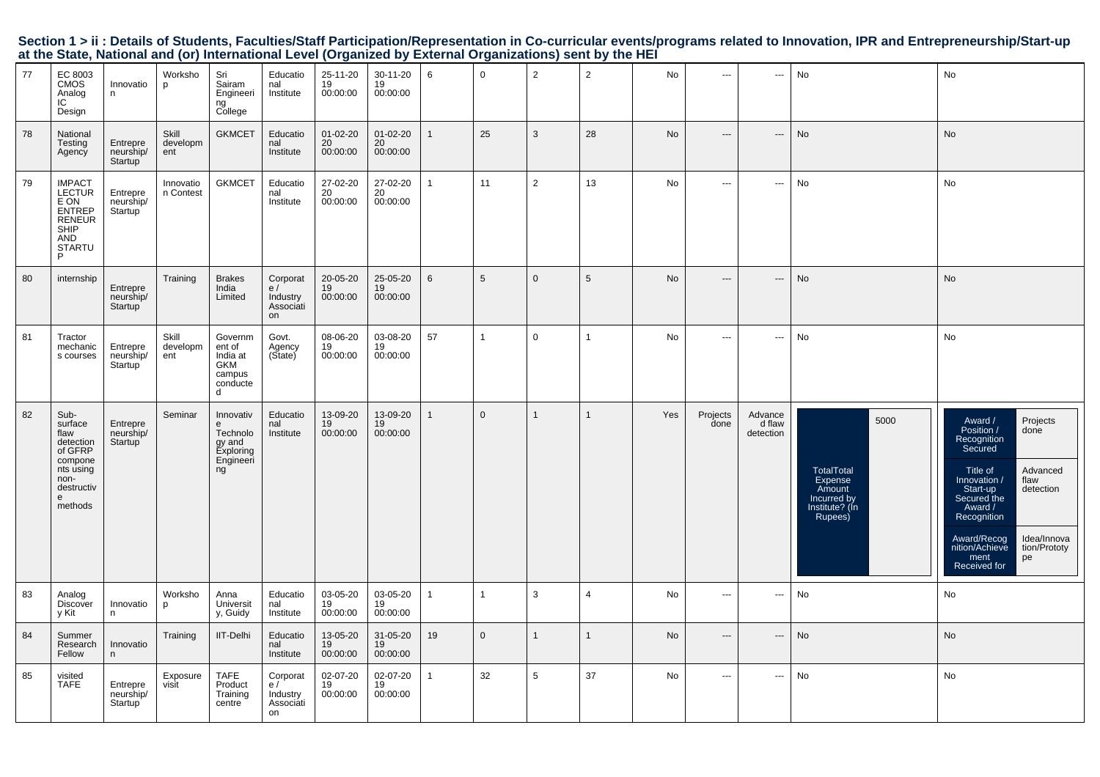| 77 | EC 8003<br><b>CMOS</b><br>Analog<br>IC<br>Design                                                              | Innovatio<br>n.                               | Worksho<br>p             | Sri<br>Sairam<br>Engineeri<br>ng<br>College                          | Educatio<br>nal<br>Institute                  | 25-11-20<br>19<br>00:00:00 | 30-11-20<br>19<br>00:00:00 | 6               | $\mathbf 0$    | $\overline{2}$ | $\overline{2}$  | No        | $\hspace{0.05cm} \ldots$ | ---                            | No                                                                                         | No                                                                                                                                                                                                                                                                                         |
|----|---------------------------------------------------------------------------------------------------------------|-----------------------------------------------|--------------------------|----------------------------------------------------------------------|-----------------------------------------------|----------------------------|----------------------------|-----------------|----------------|----------------|-----------------|-----------|--------------------------|--------------------------------|--------------------------------------------------------------------------------------------|--------------------------------------------------------------------------------------------------------------------------------------------------------------------------------------------------------------------------------------------------------------------------------------------|
| 78 | National<br>Testing<br>Agency                                                                                 | Entrepre<br>neurship/<br>Startup              | Skill<br>developm<br>ent | <b>GKMCET</b>                                                        | Educatio<br>nal<br>Institute                  | 01-02-20<br>20<br>00:00:00 | 01-02-20<br>20<br>00:00:00 | $\mathbf{1}$    | 25             | 3              | 28              | No        | $\hspace{0.05cm} \ldots$ | $\hspace{0.05cm} \ldots$       | No                                                                                         | No                                                                                                                                                                                                                                                                                         |
| 79 | <b>IMPACT</b><br><b>LECTUR</b><br>E ON<br><b>ENTREP</b><br><b>RENEUR</b><br>SHIP<br>AND<br><b>STARTU</b><br>P | Entrepre<br>neurship/<br>Startup <sup>'</sup> | Innovatio<br>n Contest   | <b>GKMCET</b>                                                        | Educatio<br>nal<br>Institute                  | 27-02-20<br>20<br>00:00:00 | 27-02-20<br>20<br>00:00:00 | -1              | 11             | $\overline{2}$ | 13              | No        | $\cdots$                 | ---                            | No                                                                                         | No                                                                                                                                                                                                                                                                                         |
| 80 | internship                                                                                                    | Entrepre<br>neurship/<br>Startup              | Training                 | <b>Brakes</b><br>India<br>Limited                                    | Corporat<br>e/<br>Industry<br>Associati<br>on | 20-05-20<br>19<br>00:00:00 | 25-05-20<br>19<br>00:00:00 | $6\phantom{1}6$ | 5              | $\Omega$       | $5\phantom{.0}$ | No        | $---$                    | $\overline{\phantom{a}}$       | No                                                                                         | No                                                                                                                                                                                                                                                                                         |
| 81 | Tractor<br>mechanic<br>s courses                                                                              | Entrepre<br>neurship/<br>Startup              | Skill<br>developm<br>ent | Governm<br>ent of<br>India at<br>GKM<br>campus<br>conducte<br>d      | Govt.<br>Agency<br>(State)                    | 08-06-20<br>19<br>00:00:00 | 03-08-20<br>19<br>00:00:00 | 57              | $\mathbf{1}$   | $\mathbf 0$    | $\mathbf{1}$    | <b>No</b> | $\hspace{0.05cm} \ldots$ | $\sim$ $\sim$                  | No                                                                                         | No                                                                                                                                                                                                                                                                                         |
| 82 | Sub-<br>surface<br>flaw<br>detection<br>of GFRP<br>compone<br>nts using<br>non-<br>destructiv<br>e<br>methods | Entrepre<br>neurship/<br>Startup              | Seminar                  | Innovativ<br>e<br>Technolo<br>gy and<br>Exploring<br>Engineeri<br>ng | Educatio<br>nal<br>Institute                  | 13-09-20<br>19<br>00:00:00 | 13-09-20<br>19<br>00:00:00 | $\mathbf{1}$    | $\Omega$       | $\mathbf{1}$   | $\mathbf{1}$    | Yes       | Projects<br>done         | Advance<br>d flaw<br>detection | 5000<br><b>TotalTotal</b><br>Expense<br>Amount<br>Incurred by<br>Institute? (In<br>Rupees) | Projects<br>Award /<br>Position /<br>done<br>Recognition<br>Secured<br>Title of<br>Advanced<br>Innovation /<br>flaw<br>Start-up<br>Secured the<br>detection<br>Award /<br>Recognition<br>Award/Recog<br>Idea/Innova<br>nition/Achieve<br>tion/Prototy<br>ment<br>pe<br><b>Received for</b> |
| 83 | Analog<br>Discover<br>y Kit                                                                                   | Innovatio<br>n                                | Worksho<br>p             | Anna<br>Universit<br>y, Guidy                                        | Educatio<br>nal<br>Institute                  | 03-05-20<br>19<br>00:00:00 | 03-05-20<br>19<br>00:00:00 | $\mathbf{1}$    | $\overline{1}$ | 3              | $\overline{4}$  | No        | $\hspace{0.05cm} \ldots$ | $\overline{\phantom{a}}$       | No                                                                                         | No                                                                                                                                                                                                                                                                                         |
| 84 | Summer<br>Research<br>Fellow                                                                                  | Innovatio<br>n                                | Training                 | IIT-Delhi                                                            | Educatio<br>nal<br>Institute                  | 13-05-20<br>19<br>00:00:00 | 31-05-20<br>19<br>00:00:00 | 19              | $\mathbf{0}$   | $\mathbf{1}$   | $\mathbf{1}$    | No        | $\hspace{0.05cm} \ldots$ | $\overline{\phantom{a}}$       | No                                                                                         | No                                                                                                                                                                                                                                                                                         |
| 85 | visited<br><b>TAFE</b>                                                                                        | Entrepre<br>neurship/<br>Startup              | Exposure<br>visit        | <b>TAFE</b><br>Product<br>Training<br>centre                         | Corporat<br>e/<br>Industry<br>Associati<br>on | 02-07-20<br>19<br>00:00:00 | 02-07-20<br>19<br>00:00:00 | $\mathbf{1}$    | 32             | 5              | 37              | No        | $\overline{a}$           | $\overline{\phantom{a}}$       | No                                                                                         | No                                                                                                                                                                                                                                                                                         |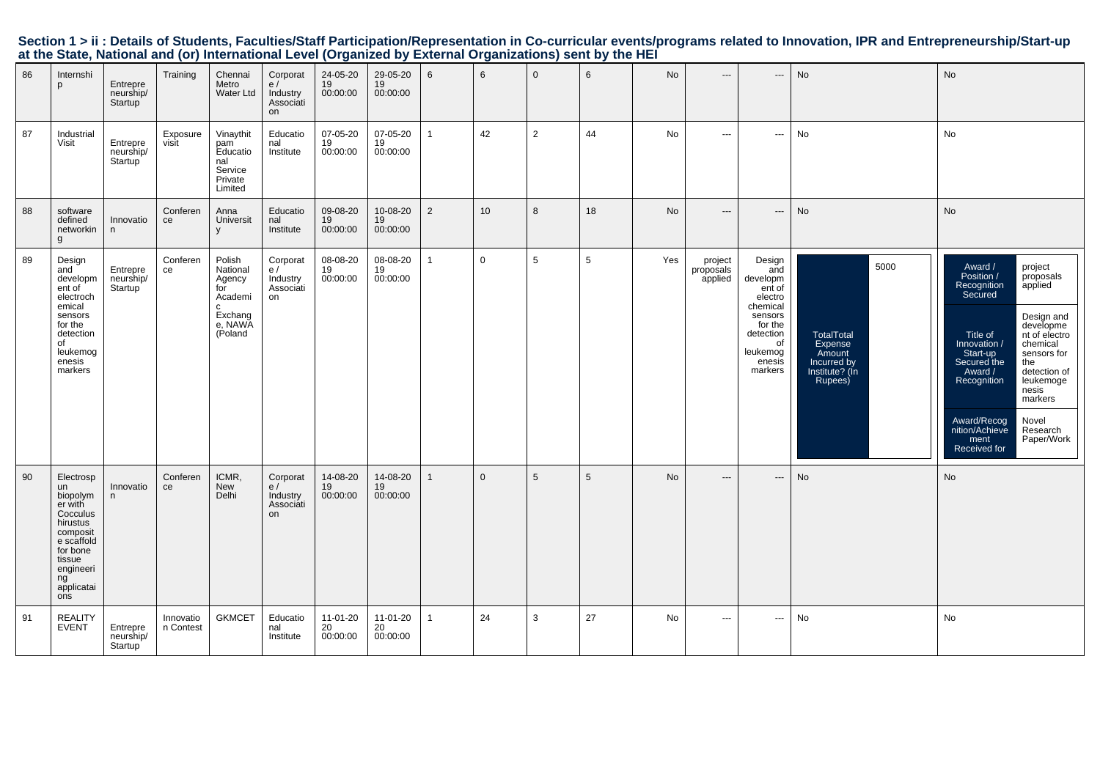|  |                                                                                                           |  |  | Section 1 > ii : Details of Students, Faculties/Staff Participation/Representation in Co-curricular events/programs related to Innovation, IPR and Entrepreneurship/Start-up |  |
|--|-----------------------------------------------------------------------------------------------------------|--|--|------------------------------------------------------------------------------------------------------------------------------------------------------------------------------|--|
|  | at the State, National and (or) International Level (Organized by External Organizations) sent by the HEI |  |  |                                                                                                                                                                              |  |

| 86 | Internshi<br>p                                                                                                                                         | Entrepre<br>neurship/<br>Startup              | Training               | Chennai<br>Metro<br>Water Ltd                                                         | Corporat<br>e/<br>Industry<br>Associati<br>on | 24-05-20<br>19<br>00:00:00 | 29-05-20<br>19<br>00:00:00 | 6              | 6               | $\mathbf 0$    | 6  | No        | $\hspace{0.05cm} \ldots$        | $\hspace{0.05cm} \cdots$                                                                                                             | No                                                                                         | No                                                                                                                                                                                                                                                                                                                                                                                             |
|----|--------------------------------------------------------------------------------------------------------------------------------------------------------|-----------------------------------------------|------------------------|---------------------------------------------------------------------------------------|-----------------------------------------------|----------------------------|----------------------------|----------------|-----------------|----------------|----|-----------|---------------------------------|--------------------------------------------------------------------------------------------------------------------------------------|--------------------------------------------------------------------------------------------|------------------------------------------------------------------------------------------------------------------------------------------------------------------------------------------------------------------------------------------------------------------------------------------------------------------------------------------------------------------------------------------------|
| 87 | Industrial<br>Visit                                                                                                                                    | Entrepre<br>neurship/<br>Startup <sup>'</sup> | Exposure<br>visit      | Vinaythit<br>pam<br>Educatio<br>nal<br>Service<br>Private<br>Limited                  | Educatio<br>nal<br>Institute                  | 07-05-20<br>19<br>00:00:00 | 07-05-20<br>19<br>00:00:00 | $\overline{1}$ | 42              | $\overline{2}$ | 44 | <b>No</b> | $\cdots$                        | $\overline{\phantom{a}}$                                                                                                             | No                                                                                         | No                                                                                                                                                                                                                                                                                                                                                                                             |
| 88 | software<br>defined<br>networkin<br>g                                                                                                                  | Innovatio<br>n                                | Conferen<br>ce         | Anna<br>Universit<br>$\mathsf{V}$                                                     | Educatio<br>nal<br>Institute                  | 09-08-20<br>19<br>00:00:00 | 10-08-20<br>19<br>00:00:00 | 2              | 10 <sup>1</sup> | 8              | 18 | No        | $---$                           | $\overline{\phantom{a}}$                                                                                                             | No                                                                                         | <b>No</b>                                                                                                                                                                                                                                                                                                                                                                                      |
| 89 | Design<br>and<br>developm<br>ent of<br>electroch<br>emical<br>sensors<br>for the<br>detection<br>of<br>leukemog<br>enesis<br>markers                   | Entrepre<br>neurship/<br>Startup              | Conferen<br>ce         | Polish<br>National<br>Agency<br>for<br>Academi<br>C.<br>Exchang<br>e, NAWA<br>(Poland | Corporat<br>e/<br>Industry<br>Associati<br>on | 08-08-20<br>19<br>00:00:00 | 08-08-20<br>19<br>00:00:00 | 1              | $\mathbf 0$     | 5              | 5  | Yes       | project<br>proposals<br>applied | Design<br>and<br>developm<br>ent of<br>electro<br>chemical<br>sensors<br>for the<br>detection<br>of<br>leukemog<br>enesis<br>markers | 5000<br><b>TotalTotal</b><br>Expense<br>Amount<br>Incurred by<br>Institute? (In<br>Rupees) | Award /<br>project<br>Position /<br>proposals<br>applied<br>Recognition<br>Secured<br>Design and<br>developme<br>Title of<br>nt of electro<br>chemical<br>Innovation /<br>Start-up<br>sensors for<br>Secured the<br>the<br>detection of<br>Award /<br>Recognition<br>leukemoge<br>nesis<br>markers<br>Award/Recog<br>Novel<br>nition/Achieve<br>Research<br>Paper/Work<br>ment<br>Received for |
| 90 | Electrosp<br>un<br>biopolym<br>er with<br>Cocculus<br>hirustus<br>composit<br>e scaffold<br>for bone<br>tissue<br>engineeri<br>ng<br>applicatai<br>ons | Innovatio<br>n                                | Conferen<br>ce         | ICMR,<br>New<br>Delhi                                                                 | Corporat<br>e/<br>Industry<br>Associati<br>on | 14-08-20<br>19<br>00:00:00 | 14-08-20<br>19<br>00:00:00 |                | $\mathbf{0}$    | 5              | 5  | No        | ---                             | $---$                                                                                                                                | No                                                                                         | No                                                                                                                                                                                                                                                                                                                                                                                             |
| 91 | <b>REALITY</b><br><b>EVENT</b>                                                                                                                         | Entrepre<br>neurship/<br>Startup              | Innovatio<br>n Contest | <b>GKMCET</b>                                                                         | Educatio<br>nal<br>Institute                  | 11-01-20<br>20<br>00:00:00 | 11-01-20<br>20<br>00:00:00 |                | 24              | 3              | 27 | No        | $\overline{a}$                  | $\hspace{0.05cm} \cdots$                                                                                                             | No                                                                                         | No                                                                                                                                                                                                                                                                                                                                                                                             |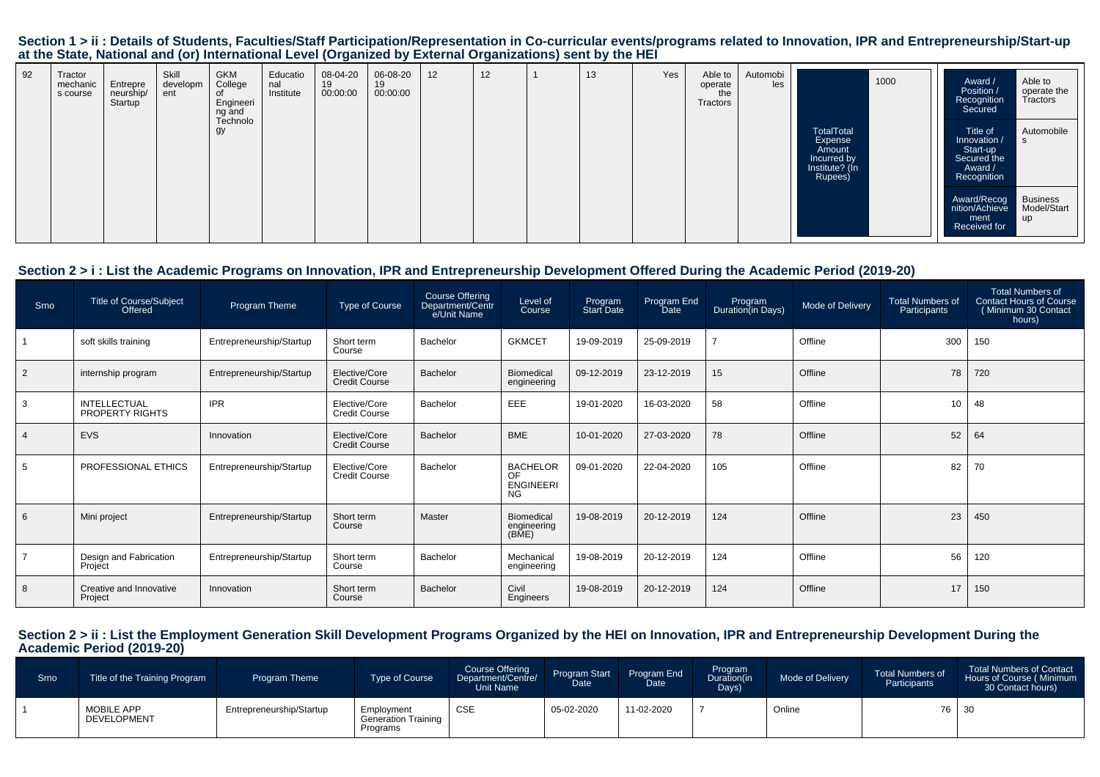| 92 | Tractor<br>mechanic<br>s course | Entrepre<br>neurship/<br>Startup | Skill<br>developm<br>ent | <b>GKM</b><br>College<br>0f<br>Engineeri<br>ng and<br>Technolo | Educatio<br>nal<br>Institute | 08-04-20<br>19<br>00:00:00 | 06-08-20<br>19<br>00:00:00 | 12 | 12 | 13 | Yes | Able to<br>operate<br>the<br>Tractors | Automobi<br>les |                                                                             | 1000 | Award /<br>Position /<br>Recognition<br>Secured                               | Able to<br>operate the<br>Tractors   |
|----|---------------------------------|----------------------------------|--------------------------|----------------------------------------------------------------|------------------------------|----------------------------|----------------------------|----|----|----|-----|---------------------------------------|-----------------|-----------------------------------------------------------------------------|------|-------------------------------------------------------------------------------|--------------------------------------|
|    |                                 |                                  |                          | gy                                                             |                              |                            |                            |    |    |    |     |                                       |                 | TotalTotal<br>Expense<br>Amount<br>Incurred by<br>Institute? (In<br>Rupees) |      | Title of<br>Innovation /<br>Start-up<br>Secured the<br>Award /<br>Recognition | Automobile<br>-S                     |
|    |                                 |                                  |                          |                                                                |                              |                            |                            |    |    |    |     |                                       |                 |                                                                             |      | Award/Recog<br>nition/Achieve<br>ment<br>Received for                         | <b>Business</b><br>Model/Start<br>up |

#### **Section 2 > i : List the Academic Programs on Innovation, IPR and Entrepreneurship Development Offered During the Academic Period (2019-20)**

| Srno           | Title of Course/Subject<br>Offered     | Program Theme            | <b>Type of Course</b>                 | Course Offering<br>Department/Centr<br>e/Unit Name | Level of<br>Course                                     | Program<br>Start Date | Program End<br><b>Date</b> | Program<br>Duration(in Days) | Mode of Delivery | <b>Total Numbers of</b><br>Participants | Total Numbers of<br><b>Contact Hours of Course</b><br>(Minimum 30 Contact<br>hours) |
|----------------|----------------------------------------|--------------------------|---------------------------------------|----------------------------------------------------|--------------------------------------------------------|-----------------------|----------------------------|------------------------------|------------------|-----------------------------------------|-------------------------------------------------------------------------------------|
|                | soft skills training                   | Entrepreneurship/Startup | Short term<br>Course                  | Bachelor                                           | <b>GKMCET</b>                                          | 19-09-2019            | 25-09-2019                 |                              | Offline          | 300                                     | 150                                                                                 |
| $\overline{2}$ | internship program                     | Entrepreneurship/Startup | Elective/Core<br><b>Credit Course</b> | Bachelor                                           | Biomedical<br>engineering                              | 09-12-2019            | 23-12-2019                 | 15                           | Offline          | 78                                      | 720                                                                                 |
| -3             | <b>INTELLECTUAL</b><br>PROPERTY RIGHTS | <b>IPR</b>               | Elective/Core<br><b>Credit Course</b> | Bachelor                                           | EEE                                                    | 19-01-2020            | 16-03-2020                 | 58                           | Offline          | 10                                      | 48                                                                                  |
| $\overline{4}$ | <b>EVS</b>                             | Innovation               | Elective/Core<br><b>Credit Course</b> | Bachelor                                           | <b>BME</b>                                             | 10-01-2020            | 27-03-2020                 | 78                           | Offline          | 52                                      | 64                                                                                  |
| -5             | PROFESSIONAL ETHICS                    | Entrepreneurship/Startup | Elective/Core<br><b>Credit Course</b> | Bachelor                                           | <b>BACHELOR</b><br>OF<br><b>ENGINEERI</b><br><b>NG</b> | 09-01-2020            | 22-04-2020                 | 105                          | Offline          | 82                                      | 70                                                                                  |
| 6              | Mini project                           | Entrepreneurship/Startup | Short term<br>Course                  | Master                                             | Biomedical<br>engineering<br>(BME)                     | 19-08-2019            | 20-12-2019                 | 124                          | Offline          | 23                                      | 450                                                                                 |
|                | Design and Fabrication<br>Project      | Entrepreneurship/Startup | Short term<br>Course                  | Bachelor                                           | Mechanical<br>engineering                              | 19-08-2019            | 20-12-2019                 | 124                          | Offline          | 56                                      | 120                                                                                 |
| 8              | Creative and Innovative<br>Project     | Innovation               | Short term<br>Course                  | Bachelor                                           | Civil<br>Engineers                                     | 19-08-2019            | 20-12-2019                 | 124                          | Offline          | 17                                      | 150                                                                                 |

## **Section 2 > ii : List the Employment Generation Skill Development Programs Organized by the HEI on Innovation, IPR and Entrepreneurship Development During the Academic Period (2019-20)**

| Srno | Title of the Training Program    | <b>Program Theme</b>     | <b>Type of Course</b>                                | Course Offering<br>Department/Centre/<br>Unit Name | Program Start<br><b>Date</b> | Program End<br>Date | Program<br>Duration(in<br>Days) | Mode of Delivery | <b>Total Numbers of</b><br>Participants | Total Numbers of Contact<br>Hours of Course (Minimum<br>30 Contact hours) |
|------|----------------------------------|--------------------------|------------------------------------------------------|----------------------------------------------------|------------------------------|---------------------|---------------------------------|------------------|-----------------------------------------|---------------------------------------------------------------------------|
|      | <b>MOBILE APP</b><br>DEVELOPMENT | Entrepreneurship/Startup | Employment<br><b>Generation Training</b><br>Programs | <b>CSE</b>                                         | 05-02-2020                   | 11-02-2020          |                                 | Online           |                                         | 76 30                                                                     |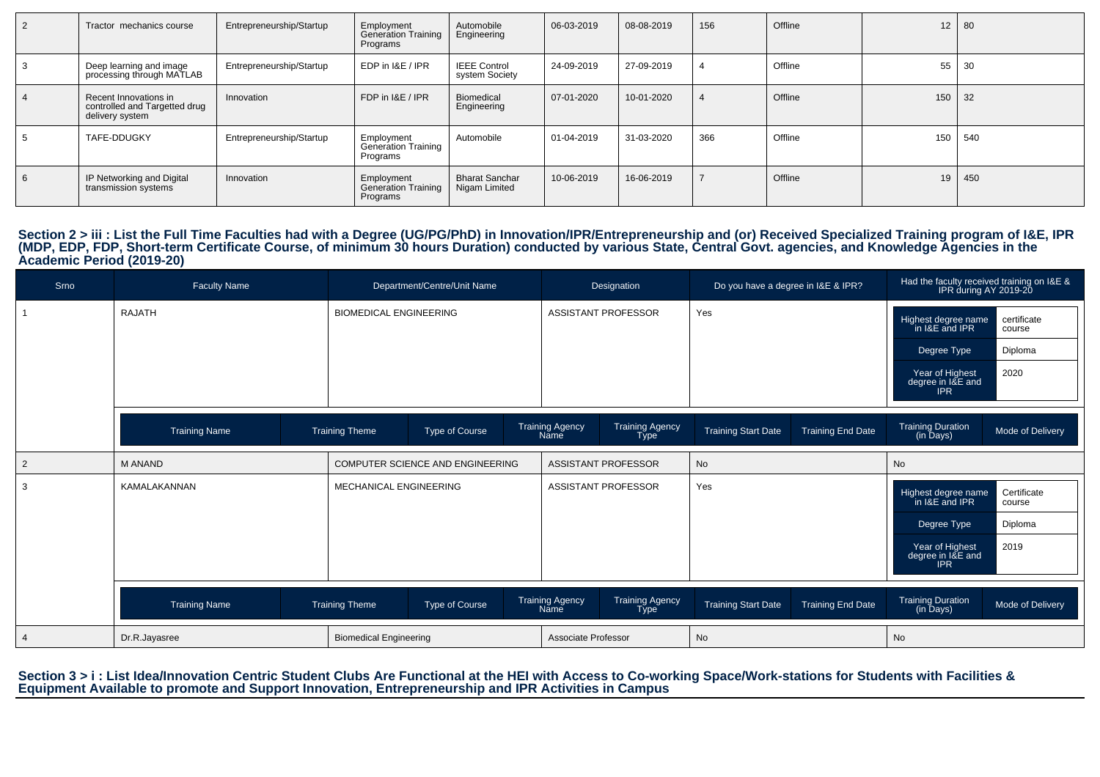| 2 | Tractor mechanics course                                                  | Entrepreneurship/Startup | Employment<br>Generation Training<br>Programs        | Automobile<br>Engineering              | 06-03-2019 | 08-08-2019 | 156 | Offline | 12 <sup>°</sup> | 80  |
|---|---------------------------------------------------------------------------|--------------------------|------------------------------------------------------|----------------------------------------|------------|------------|-----|---------|-----------------|-----|
| 3 | Deep learning and image<br>processing through MATLAB                      | Entrepreneurship/Startup | EDP in I&E / IPR                                     | <b>IEEE Control</b><br>system Society  | 24-09-2019 | 27-09-2019 |     | Offline | 55              | -30 |
|   | Recent Innovations in<br>controlled and Targetted drug<br>delivery system | Innovation               | FDP in I&E / IPR                                     | Biomedical<br>Engineering              | 07-01-2020 | 10-01-2020 |     | Offline | 150             | -32 |
|   | TAFE-DDUGKY                                                               | Entrepreneurship/Startup | Employment<br><b>Generation Training</b><br>Programs | Automobile                             | 01-04-2019 | 31-03-2020 | 366 | Offline | 150             | 540 |
| 6 | IP Networking and Digital<br>transmission systems                         | Innovation               | Employment<br>Generation Training<br>Programs        | <b>Bharat Sanchar</b><br>Nigam Limited | 10-06-2019 | 16-06-2019 |     | Offline | 19              | 450 |

Section 2 > iii : List the Full Time Faculties had with a Degree (UG/PG/PhD) in Innovation/IPR/Entrepreneurship and (or) Received Specialized Training program of I&E, IPR<br>(MDP, EDP, FDP, Short-term Certificate Course, of m

| Srno | <b>Faculty Name</b>  | Department/Centre/Unit Name             | Designation                                        | Do you have a degree in I&E & IPR?                     | Had the faculty received training on I&E &<br>IPR during AY 2019-20                                                                                    |
|------|----------------------|-----------------------------------------|----------------------------------------------------|--------------------------------------------------------|--------------------------------------------------------------------------------------------------------------------------------------------------------|
|      | <b>RAJATH</b>        | <b>BIOMEDICAL ENGINEERING</b>           | <b>ASSISTANT PROFESSOR</b>                         | Yes                                                    | certificate<br>Highest degree name<br>in I&E and IPR<br>course<br>Diploma<br>Degree Type<br>2020<br>Year of Highest<br>degree in I&E and<br><b>IPR</b> |
|      | <b>Training Name</b> | <b>Training Theme</b><br>Type of Course | Training Agency<br>Type<br>Training Agency<br>Name | <b>Training Start Date</b><br><b>Training End Date</b> | Training Duration<br>(in Days)<br>Mode of Delivery                                                                                                     |
| 2    | <b>M ANAND</b>       | COMPUTER SCIENCE AND ENGINEERING        | ASSISTANT PROFESSOR                                | No                                                     | No                                                                                                                                                     |
| 3    | KAMALAKANNAN         | MECHANICAL ENGINEERING                  | ASSISTANT PROFESSOR                                | Yes                                                    | Certificate<br>Highest degree name<br>in I&E and IPR<br>course<br>Degree Type<br>Diploma<br>Year of Highest<br>2019<br>degree in I&E and<br><b>IPR</b> |
|      | <b>Training Name</b> | Type of Course<br><b>Training Theme</b> | Training Agency<br>Type<br>Training Agency<br>Name | <b>Training Start Date</b><br><b>Training End Date</b> | <b>Training Duration</b><br>Mode of Delivery<br>(in Days)                                                                                              |
|      | Dr.R.Jayasree        | <b>Biomedical Engineering</b>           | Associate Professor                                | No                                                     | No                                                                                                                                                     |

Section 3 > i : List Idea/Innovation Centric Student Clubs Are Functional at the HEI with Access to Co-working Space/Work-stations for Students with Facilities &<br>Equipment Available to promote and Support Innovation, Entre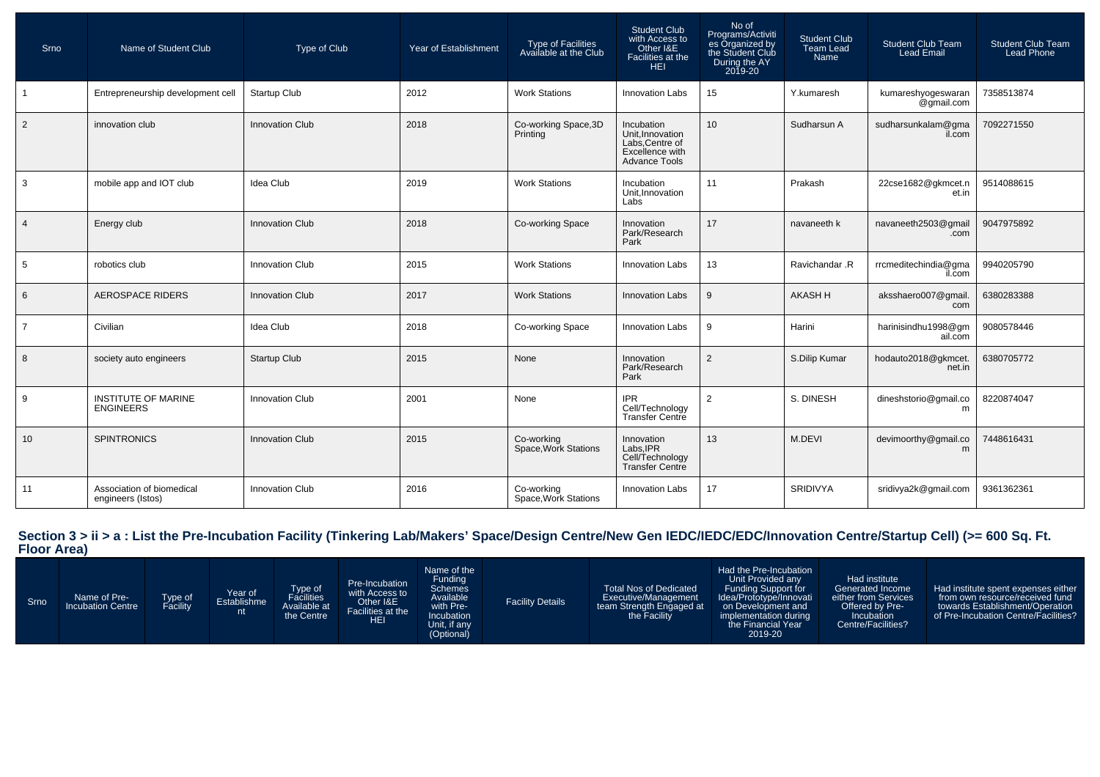| Srno            | Name of Student Club                           | Type of Club           | Year of Establishment | Type of Facilities<br>Available at the Club | <b>Student Club</b><br>with Access to<br>Other I&E<br>Facilities at the<br><b>HEI</b>       | No of<br>Programs/Activiti<br>es Organized by<br>the Student Club<br>During the AY<br>2019-20 | Student Club<br><b>Team Lead</b><br>Name | <b>Student Club Team</b><br><b>Lead Email</b> | <b>Student Club Team</b><br><b>Lead Phone</b> |
|-----------------|------------------------------------------------|------------------------|-----------------------|---------------------------------------------|---------------------------------------------------------------------------------------------|-----------------------------------------------------------------------------------------------|------------------------------------------|-----------------------------------------------|-----------------------------------------------|
|                 | Entrepreneurship development cell              | Startup Club           | 2012                  | <b>Work Stations</b>                        | <b>Innovation Labs</b>                                                                      | 15                                                                                            | Y.kumaresh                               | kumareshyogeswaran<br>@gmail.com              | 7358513874                                    |
| $\overline{2}$  | innovation club                                | <b>Innovation Club</b> | 2018                  | Co-working Space, 3D<br>Printing            | Incubation<br>Unit.Innovation<br>Labs, Centre of<br>Excellence with<br><b>Advance Tools</b> | 10                                                                                            | Sudharsun A                              | sudharsunkalam@gma<br>il.com                  | 7092271550                                    |
| $\mathbf{3}$    | mobile app and IOT club                        | Idea Club              | 2019                  | <b>Work Stations</b>                        | Incubation<br>Unit, Innovation<br>Labs                                                      | 11                                                                                            | Prakash                                  | 22cse1682@gkmcet.n<br>et.in                   | 9514088615                                    |
| $\overline{4}$  | Energy club                                    | <b>Innovation Club</b> | 2018                  | Co-working Space                            | Innovation<br>Park/Research<br>Park                                                         | 17                                                                                            | navaneeth k                              | navaneeth2503@gmail<br>.com                   | 9047975892                                    |
| $5\phantom{.0}$ | robotics club                                  | <b>Innovation Club</b> | 2015                  | <b>Work Stations</b>                        | <b>Innovation Labs</b>                                                                      | 13                                                                                            | Ravichandar .R                           | rrcmeditechindia@gma<br>il.com                | 9940205790                                    |
| 6               | <b>AEROSPACE RIDERS</b>                        | <b>Innovation Club</b> | 2017                  | <b>Work Stations</b>                        | <b>Innovation Labs</b>                                                                      | 9                                                                                             | <b>AKASH H</b>                           | aksshaero007@gmail.<br>com                    | 6380283388                                    |
| $\overline{7}$  | Civilian                                       | Idea Club              | 2018                  | Co-working Space                            | <b>Innovation Labs</b>                                                                      | 9                                                                                             | Harini                                   | harinisindhu1998@gm<br>ail.com                | 9080578446                                    |
| 8               | society auto engineers                         | <b>Startup Club</b>    | 2015                  | None                                        | Innovation<br>Park/Research<br>Park                                                         | 2                                                                                             | S.Dilip Kumar                            | hodauto2018@gkmcet.<br>net.in                 | 6380705772                                    |
| 9               | <b>INSTITUTE OF MARINE</b><br><b>ENGINEERS</b> | <b>Innovation Club</b> | 2001                  | None                                        | <b>IPR</b><br>Cell/Technology<br>Transfer Centre                                            | 2                                                                                             | S. DINESH                                | dineshstorio@gmail.co<br>m                    | 8220874047                                    |
| 10              | <b>SPINTRONICS</b>                             | Innovation Club        | 2015                  | Co-working<br>Space, Work Stations          | Innovation<br>Labs, IPR<br>Cell/Technology<br>Transfer Centre                               | 13                                                                                            | M.DEVI                                   | devimoorthy@gmail.co<br>m                     | 7448616431                                    |
| 11              | Association of biomedical<br>engineers (Istos) | <b>Innovation Club</b> | 2016                  | Co-working<br>Space, Work Stations          | <b>Innovation Labs</b>                                                                      | 17                                                                                            | <b>SRIDIVYA</b>                          | sridivya2k@qmail.com                          | 9361362361                                    |

## **Section 3 > ii > a : List the Pre-Incubation Facility (Tinkering Lab/Makers' Space/Design Centre/New Gen IEDC/IEDC/EDC/Innovation Centre/Startup Cell) (>= 600 Sq. Ft. Floor Area)**

| Srno | Name of Pre-<br>Incubation Centre | ⊺ype of<br><sup>=</sup> acility | Pear of Establishme<br>nt | Type of<br>Facilities<br>Available at<br>the Centre | Pre-Incubation<br>with Access to<br>Other I&E<br>Facilities at the<br>HEI | Name of the<br>Funding<br>Schemes<br>Available<br>with Pre-<br>Incubation<br>Unit, if any<br>(Optional) | <b>Facility Details</b> | <b>Total Nos of Dedicated</b><br>Executive/Management<br>team Strength Engaged at<br>the Facility | Had the Pre-Incubation<br>Unit Provided any<br>Funding Support for<br>Idea/Prototype/Innovati<br>on Development and<br>implementation during<br>the Financial Year<br>2019-20 | Had institute<br>Generated Income<br>either from Services<br>Offered by Pre-<br>Incubation<br>Centre/Facilities? | Had institute spent expenses either<br>from own resource/received fund<br>towards Establishment/Operation<br>of Pre-Incubation Centre/Facilities? |
|------|-----------------------------------|---------------------------------|---------------------------|-----------------------------------------------------|---------------------------------------------------------------------------|---------------------------------------------------------------------------------------------------------|-------------------------|---------------------------------------------------------------------------------------------------|-------------------------------------------------------------------------------------------------------------------------------------------------------------------------------|------------------------------------------------------------------------------------------------------------------|---------------------------------------------------------------------------------------------------------------------------------------------------|
|------|-----------------------------------|---------------------------------|---------------------------|-----------------------------------------------------|---------------------------------------------------------------------------|---------------------------------------------------------------------------------------------------------|-------------------------|---------------------------------------------------------------------------------------------------|-------------------------------------------------------------------------------------------------------------------------------------------------------------------------------|------------------------------------------------------------------------------------------------------------------|---------------------------------------------------------------------------------------------------------------------------------------------------|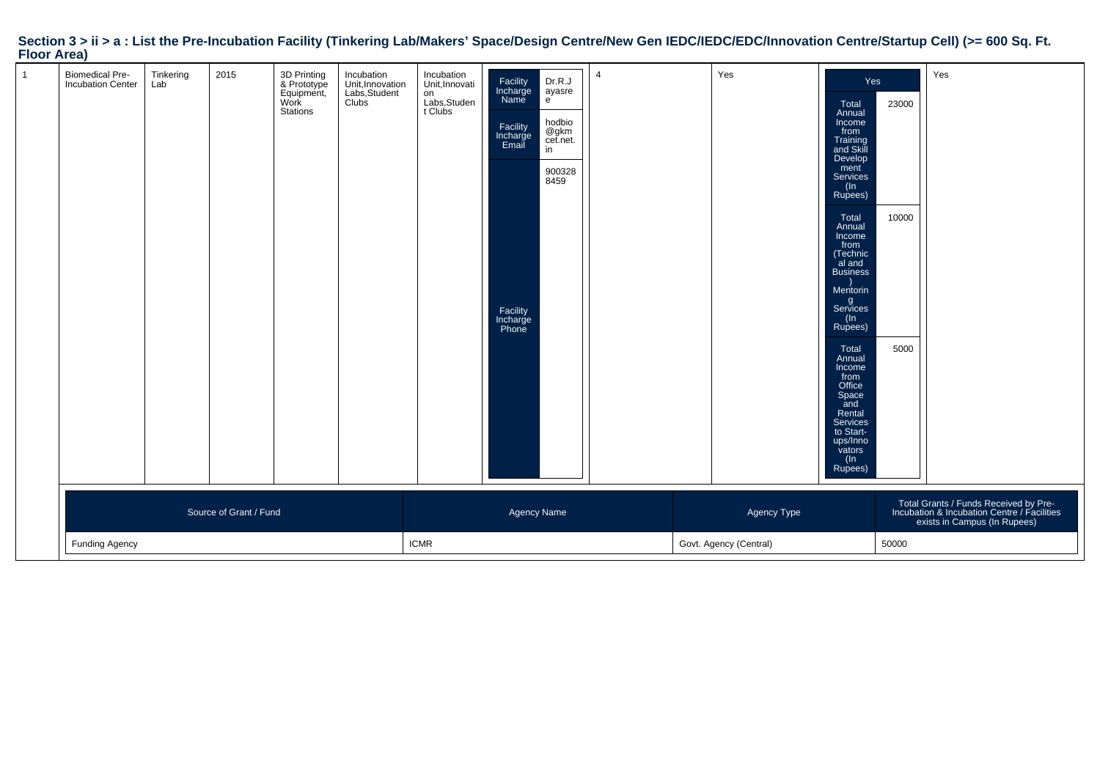| <br>$\mathbf{1}$ | <b>Biomedical Pre-</b><br>Incubation Center | Tinkering<br>Lab | 2015                   | 3D Printing<br>& Prototype<br>Equipment,<br>Work<br><b>Stations</b> | Incubation<br>Unit, Innovation<br>Labs, Student<br>Clubs | Incubation<br>Unit, Innovati<br>on<br>Labs,Studen<br>t Clubs | Facility<br>Incharge<br>Name<br>Facility<br>Incharge<br>Email<br>Facility<br>Incharge<br>Phone | Dr.R.J<br>ayasre<br>e<br>hodbio<br>@gkm<br>cet.net.<br>in<br>900328<br>8459 | $\overline{4}$ | Yes                                   | Yes<br>Total<br>Annual<br>Income<br>from<br>Training<br>and Skill<br>Develop<br>ment<br>Services<br>(In<br>Rupees)<br>Total<br>Annual<br>Income<br>from<br>(Technic<br>al and<br><b>Business</b><br>Mentorin<br>g<br>Services<br>(ln<br>Rupees)<br>Total<br>Annual<br>Income<br>from<br>Office<br>Space<br>and<br>Rental<br>Services<br>to Start-<br>ups/Inno<br>vators | 23000<br>10000<br>5000 | Yes                                                                                                                  |
|------------------|---------------------------------------------|------------------|------------------------|---------------------------------------------------------------------|----------------------------------------------------------|--------------------------------------------------------------|------------------------------------------------------------------------------------------------|-----------------------------------------------------------------------------|----------------|---------------------------------------|-------------------------------------------------------------------------------------------------------------------------------------------------------------------------------------------------------------------------------------------------------------------------------------------------------------------------------------------------------------------------|------------------------|----------------------------------------------------------------------------------------------------------------------|
|                  | <b>Funding Agency</b>                       |                  | Source of Grant / Fund |                                                                     |                                                          | <b>ICMR</b>                                                  | Agency Name                                                                                    |                                                                             |                | Agency Type<br>Govt. Agency (Central) | (ln<br>Rupees)                                                                                                                                                                                                                                                                                                                                                          | 50000                  | Total Grants / Funds Received by Pre-<br>Incubation & Incubation Centre / Facilities<br>exists in Campus (In Rupees) |
|                  |                                             |                  |                        |                                                                     |                                                          |                                                              |                                                                                                |                                                                             |                |                                       |                                                                                                                                                                                                                                                                                                                                                                         |                        |                                                                                                                      |

## **Section 3 > ii > a : List the Pre-Incubation Facility (Tinkering Lab/Makers' Space/Design Centre/New Gen IEDC/IEDC/EDC/Innovation Centre/Startup Cell) (>= 600 Sq. Ft. Floor Area)**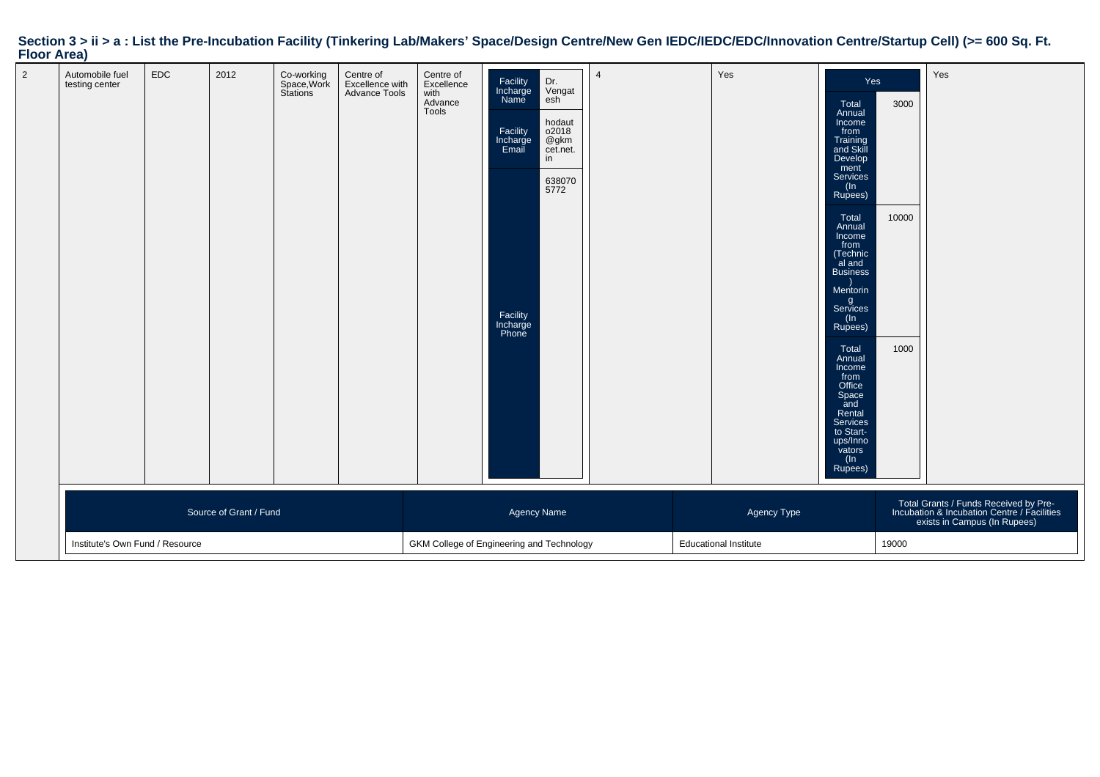| $1001$ Arca    |                                   |                                 |      |                                      |                                               |                                                     |                                                                                                |                                                                                     |                |                              |                                                                                                                                                                                                                                                                                                                                                                                          |                       |                                                                                                                      |
|----------------|-----------------------------------|---------------------------------|------|--------------------------------------|-----------------------------------------------|-----------------------------------------------------|------------------------------------------------------------------------------------------------|-------------------------------------------------------------------------------------|----------------|------------------------------|------------------------------------------------------------------------------------------------------------------------------------------------------------------------------------------------------------------------------------------------------------------------------------------------------------------------------------------------------------------------------------------|-----------------------|----------------------------------------------------------------------------------------------------------------------|
| $\overline{2}$ | Automobile fuel<br>testing center | EDC                             | 2012 | Co-working<br>Space,Work<br>Stations | Centre of<br>Excellence with<br>Advance Tools | Centre of<br>Excellence<br>with<br>Advance<br>Tools | Facility<br>Incharge<br>Name<br>Facility<br>Incharge<br>Email<br>Facility<br>Incharge<br>Phone | Dr.<br>Vengat<br>esh<br>hodaut<br>o2018<br>@gkm<br>cet.net.<br>in<br>638070<br>5772 | $\overline{4}$ | Yes                          | Yes<br>Total<br>Annual<br>Income<br>from<br>Training<br>and Skill<br>Develop<br>ment<br>Services<br>(In<br>Rupees)<br>Total<br>Annual<br>Income<br>from<br>(Technic<br>al and<br>Business<br>Mentorin<br>g<br>Services<br>$($ ln<br>Rupees)<br>Total<br>Annual<br>Income<br>from<br>office<br>Space<br>and<br>Rental<br>Services<br>to Start-<br>ups/Inno<br>vators<br>$(\ln$<br>Rupees) | 3000<br>10000<br>1000 | Yes                                                                                                                  |
|                | Source of Grant / Fund            |                                 |      |                                      |                                               |                                                     |                                                                                                | Agency Name                                                                         |                | Agency Type                  |                                                                                                                                                                                                                                                                                                                                                                                          |                       | Total Grants / Funds Received by Pre-<br>Incubation & Incubation Centre / Facilities<br>exists in Campus (In Rupees) |
|                |                                   | Institute's Own Fund / Resource |      |                                      |                                               | GKM College of Engineering and Technology           |                                                                                                |                                                                                     |                | <b>Educational Institute</b> |                                                                                                                                                                                                                                                                                                                                                                                          | 19000                 |                                                                                                                      |

## **Section 3 > ii > a : List the Pre-Incubation Facility (Tinkering Lab/Makers' Space/Design Centre/New Gen IEDC/IEDC/EDC/Innovation Centre/Startup Cell) (>= 600 Sq. Ft. Floor Area)**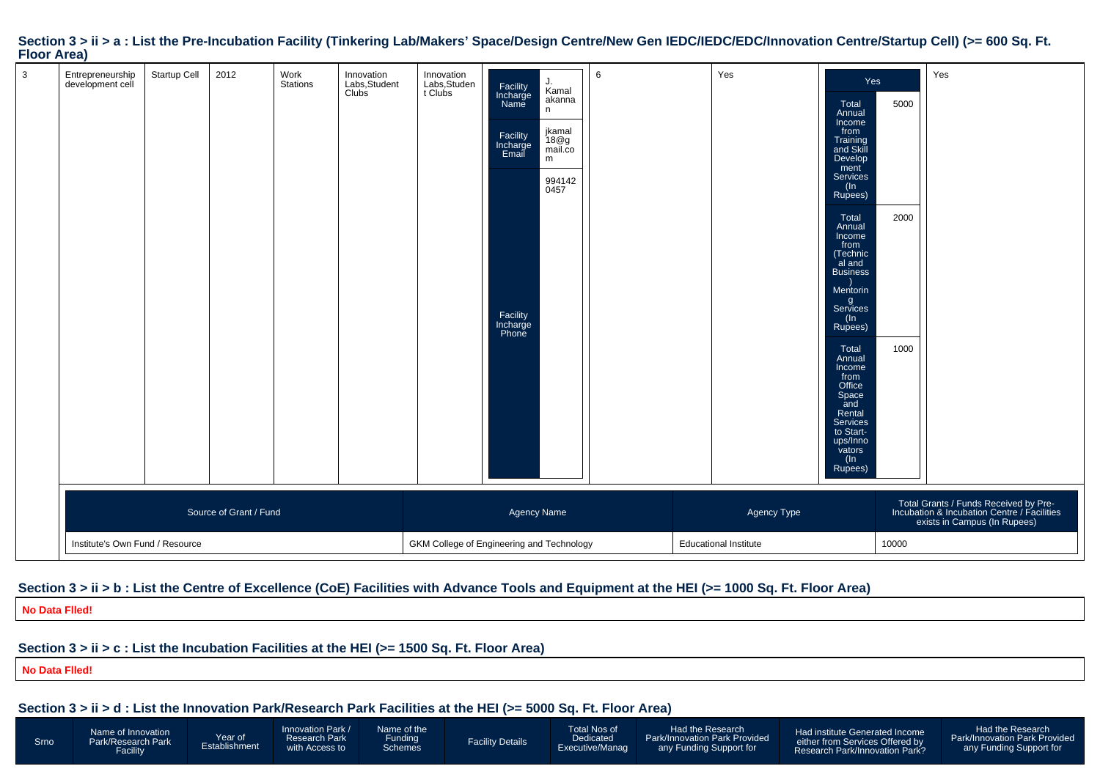| $\mathbf{3}$ | Entrepreneurship<br>development cell | Startup Cell | 2012                   | Work<br>Stations | Innovation<br>Labs,Student<br>Clubs | Innovation<br>Labs,Studen<br>t Clubs      | Facility<br>Incharge<br>Name<br>Facility<br>Incharge<br>Email<br>Facility<br>Incharge<br>Phone | J.<br>Kamal<br>akanna<br>n<br>jkamal<br>18@g<br>mail.co<br>m<br>994142<br>0457 | 6 | Yes                                         | Yes<br>Total<br>Annual<br>Income<br>from<br>Training<br>and Skill<br>Develop<br>ment<br>Services<br>(In<br>Rupees)<br>Total<br>Annual<br>Income<br>from<br>(Technic<br>al and<br><b>Business</b><br>Mentorin<br>g<br>Services<br>$($ ln<br>Rupees)<br>Total<br>Annual<br>Income<br>from<br>Office<br>Space<br>and<br>Rental<br>Services<br>to Start-<br>ups/Inno<br>vators<br>(ln | 5000<br>2000<br>1000 | Yes                                                                                                                  |
|--------------|--------------------------------------|--------------|------------------------|------------------|-------------------------------------|-------------------------------------------|------------------------------------------------------------------------------------------------|--------------------------------------------------------------------------------|---|---------------------------------------------|-----------------------------------------------------------------------------------------------------------------------------------------------------------------------------------------------------------------------------------------------------------------------------------------------------------------------------------------------------------------------------------|----------------------|----------------------------------------------------------------------------------------------------------------------|
|              | Institute's Own Fund / Resource      |              | Source of Grant / Fund |                  |                                     | GKM College of Engineering and Technology | Agency Name                                                                                    |                                                                                |   | Agency Type<br><b>Educational Institute</b> | Rupees)                                                                                                                                                                                                                                                                                                                                                                           | 10000                | Total Grants / Funds Received by Pre-<br>Incubation & Incubation Centre / Facilities<br>exists in Campus (In Rupees) |

#### Section  $3 > i$  i > a : List the Pre-Incubation Facility (Tinkering Lab/Makers' Space/Design Centre/New Gen IEDC/IEDC/EDC/Innovation Centre/Startup Cell) (>= 600 Sq. Ft. **Floor Area)**

#### **Section 3 > ii > b : List the Centre of Excellence (CoE) Facilities with Advance Tools and Equipment at the HEI (>= 1000 Sq. Ft. Floor Area)**

Facility Details

Total Nos of DedicatedExecutive/Manag

Had the ResearchPark/Innovation Park Provided any Funding Support for

Had institute Generated Incomeeither from Services Offered by Research Park/Innovation Park?

Had the ResearchPark/Innovation Park Provided any Funding Support for

**No Data Flled!**

### **Section 3 > ii > c : List the Incubation Facilities at the HEI (>= 1500 Sq. Ft. Floor Area)**

Year ofEstablishment

**No Data Flled!**

**Section 3 > ii > d : List the Innovation Park/Research Park Facilities at the HEI (>= 5000 Sq. Ft. Floor Area)**

Name of theFunding Schemes

Innovation Park / Research Park with Access to

Name of Innovation Park/Research Park**Facility**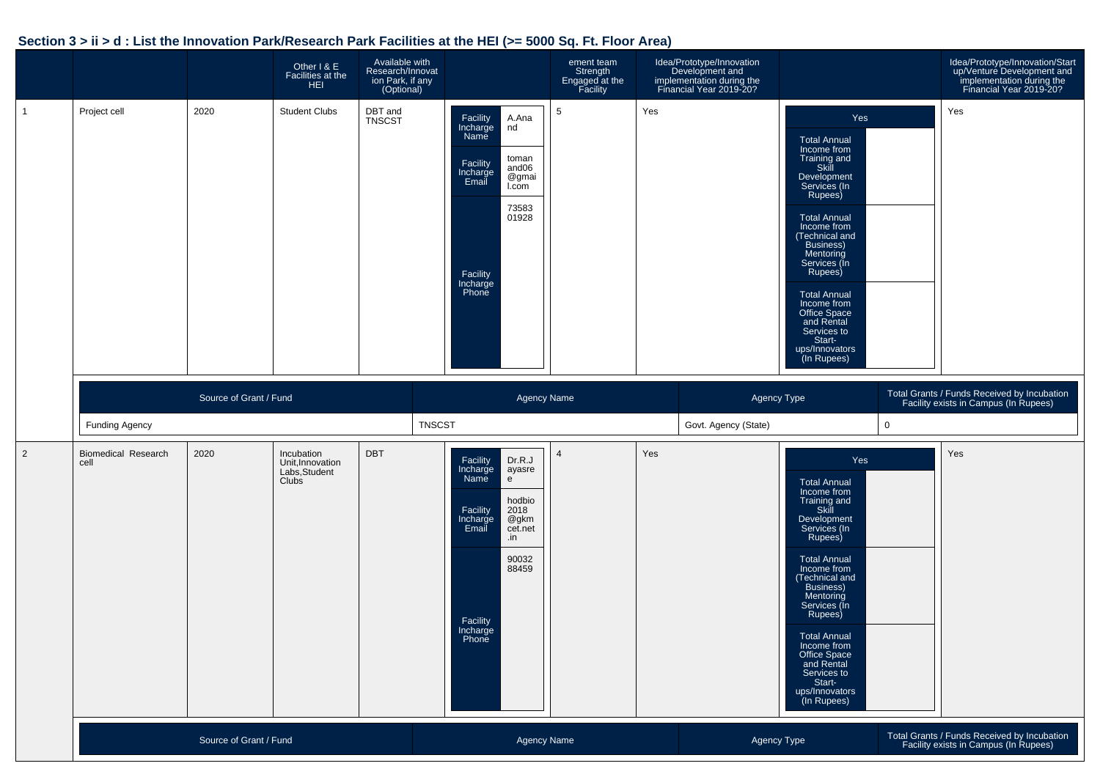### **Section 3 > ii > d : List the Innovation Park/Research Park Facilities at the HEI (>= 5000 Sq. Ft. Floor Area)**

|                |                                    |                        | Other I & E<br>Facilities at the<br><b>HEI</b>                  | Available with<br>Research/Innovat<br>ion Park, if any<br>(Optional) |                                                                                                                                                                                       | ement team<br>Strength<br>Engaged at the<br>Facility | Idea/Prototype/Innovation<br>Development and<br>implementation during the<br>Financial Year 2019-20? |                                                                                                                                                                                                                                                                                                                                                         | Idea/Prototype/Innovation/Start<br>up/Venture Development and<br>implementation during the<br>Financial Year 2019-20? |
|----------------|------------------------------------|------------------------|-----------------------------------------------------------------|----------------------------------------------------------------------|---------------------------------------------------------------------------------------------------------------------------------------------------------------------------------------|------------------------------------------------------|------------------------------------------------------------------------------------------------------|---------------------------------------------------------------------------------------------------------------------------------------------------------------------------------------------------------------------------------------------------------------------------------------------------------------------------------------------------------|-----------------------------------------------------------------------------------------------------------------------|
| $\mathbf{1}$   | Project cell                       | 2020                   | <b>Student Clubs</b>                                            | DBT and<br>TNSCST                                                    | Facility<br>A.Ana<br>Incharge<br>Name<br>nd<br>toman<br>Facility<br>and06<br>Incharge<br>Email<br>@gmai<br>I.com<br>73583<br>01928<br>Facility<br>Incharge<br>Phone                   | $\sqrt{5}$                                           | Yes                                                                                                  | Yes<br><b>Total Annual</b><br>Income from<br>Training and<br>Skill<br>Development<br>Services (In<br>Rupees)<br><b>Total Annual</b><br>Income from<br>(Technical and<br>Business)<br>Mentoring<br>Services (In<br>Rupees)<br><b>Total Annual</b><br>Income from<br>Office Space<br>and Rental<br>Services to<br>Start-<br>ups/Innovators<br>(In Rupees) | Yes                                                                                                                   |
|                | Funding Agency                     | Source of Grant / Fund |                                                                 |                                                                      | <b>Agency Name</b><br><b>TNSCST</b>                                                                                                                                                   |                                                      |                                                                                                      | Agency Type<br>Govt. Agency (State)                                                                                                                                                                                                                                                                                                                     | Total Grants / Funds Received by Incubation<br>Facility exists in Campus (In Rupees)<br>$\mathbf 0$                   |
| $\overline{2}$ | <b>Biomedical Research</b><br>cell | 2020                   | Incubation<br>Unit, Innovation<br>Labs, Student<br><b>Clubs</b> | <b>DBT</b>                                                           | Facility<br>Dr.R.J<br>Incharge<br>ayasre<br>Name<br>e<br>hodbio<br>Facility<br>2018<br>Incharge<br>Email<br>@gkm<br>cet.net<br>.in<br>90032<br>88459<br>Facility<br>Incharge<br>Phone | $\overline{4}$                                       | Yes                                                                                                  | Yes<br><b>Total Annual</b><br>Income from<br>Training and<br>Skill<br>Development<br>Services (In<br>Rupees)<br><b>Total Annual</b><br>Income from<br>(Technical and<br>Business)<br>Mentoring<br>Services (In<br>Rupees)<br><b>Total Annual</b><br>Income from<br>Office Space<br>and Rental<br>Services to<br>Start-<br>ups/Innovators<br>(In Rupees) | Yes                                                                                                                   |
|                |                                    |                        |                                                                 |                                                                      |                                                                                                                                                                                       |                                                      |                                                                                                      |                                                                                                                                                                                                                                                                                                                                                         |                                                                                                                       |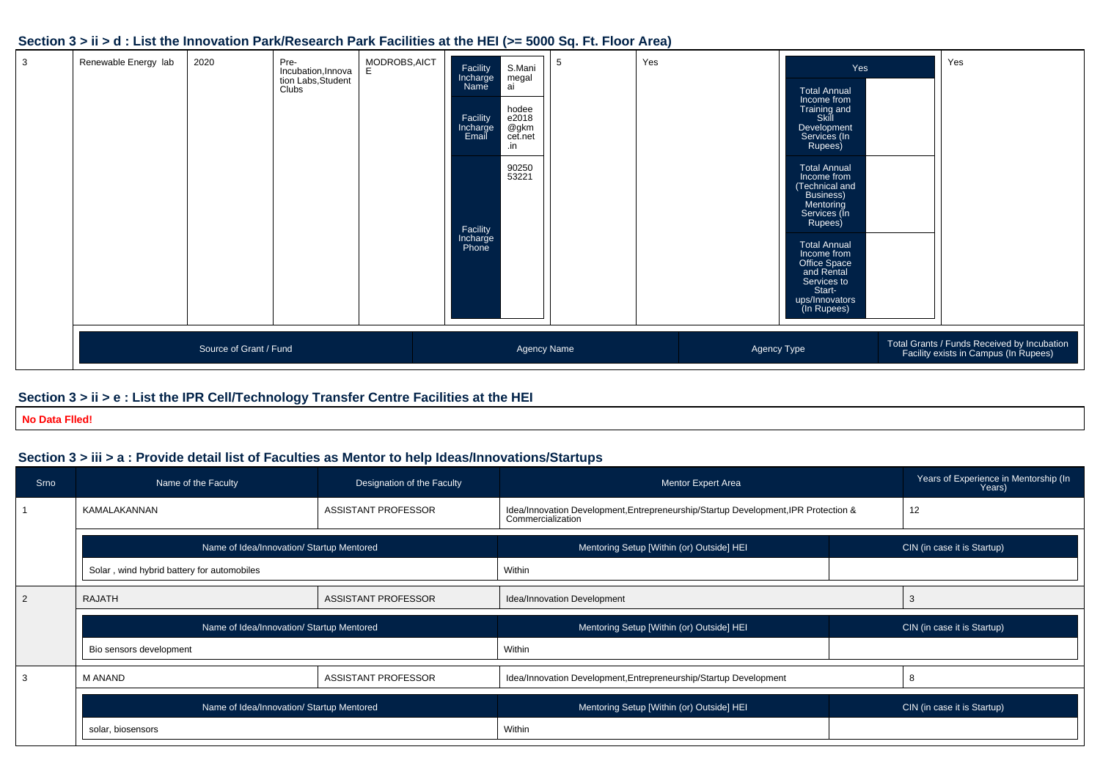#### **Section 3 > ii > d : List the Innovation Park/Research Park Facilities at the HEI (>= 5000 Sq. Ft. Floor Area)**

| $\mathbf{3}$ | Renewable Energy lab | 2020                   | Pre-<br>Incubation, Innova<br>tion Labs, Student<br>Clubs | MODROBS, AICT<br>E. | Facility<br>Incharge<br>Name<br>Facility<br>Incharge<br>Email<br>Facility<br>Incharge<br>Phone | S.Mani<br>megal<br>ai<br>hodee<br>e2018<br>@gkm<br>cet.net<br>.in<br>90250<br>53221 | -5          | Yes |             | Yes<br><b>Total Annual</b><br>Income from<br>Training and<br>Skill<br>Development<br>Services (In<br>Rupees)<br><b>Total Annual</b><br>Income from<br>(Technical and<br>Business)<br>Mentoring<br>Services (In<br>Rupees)<br><b>Total Annual</b><br>Income from<br>Office Space<br>and Rental<br>Services to<br>Start-<br>ups/Innovators<br>(In Rupees) | Yes                                                                                  |
|--------------|----------------------|------------------------|-----------------------------------------------------------|---------------------|------------------------------------------------------------------------------------------------|-------------------------------------------------------------------------------------|-------------|-----|-------------|---------------------------------------------------------------------------------------------------------------------------------------------------------------------------------------------------------------------------------------------------------------------------------------------------------------------------------------------------------|--------------------------------------------------------------------------------------|
|              |                      | Source of Grant / Fund |                                                           |                     |                                                                                                |                                                                                     | Agency Name |     | Agency Type |                                                                                                                                                                                                                                                                                                                                                         | Total Grants / Funds Received by Incubation<br>Facility exists in Campus (In Rupees) |

### **Section 3 > ii > e : List the IPR Cell/Technology Transfer Centre Facilities at the HEI**

**No Data Flled!**

### **Section 3 > iii > a : Provide detail list of Faculties as Mentor to help Ideas/Innovations/Startups**

| Srno           | Name of the Faculty                        | Designation of the Faculty | <b>Mentor Expert Area</b>                                                                                | Years of Experience in Mentorship (In<br>Years) |
|----------------|--------------------------------------------|----------------------------|----------------------------------------------------------------------------------------------------------|-------------------------------------------------|
|                | KAMALAKANNAN                               | <b>ASSISTANT PROFESSOR</b> | Idea/Innovation Development, Entrepreneurship/Startup Development, IPR Protection &<br>Commercialization | 12                                              |
|                | Name of Idea/Innovation/ Startup Mentored  |                            | Mentoring Setup [Within (or) Outside] HEI                                                                | CIN (in case it is Startup)                     |
|                | Solar, wind hybrid battery for automobiles |                            | Within                                                                                                   |                                                 |
| $\overline{2}$ | <b>RAJATH</b>                              | ASSISTANT PROFESSOR        | Idea/Innovation Development                                                                              |                                                 |
|                | Name of Idea/Innovation/ Startup Mentored  |                            | Mentoring Setup [Within (or) Outside] HEI                                                                | CIN (in case it is Startup)                     |
|                | Bio sensors development                    |                            | Within                                                                                                   |                                                 |
| 3              | <b>M ANAND</b>                             | ASSISTANT PROFESSOR        | Idea/Innovation Development, Entrepreneurship/Startup Development                                        | ŏ                                               |
|                | Name of Idea/Innovation/ Startup Mentored  |                            | Mentoring Setup [Within (or) Outside] HEI                                                                | CIN (in case it is Startup)                     |
|                | solar, biosensors                          |                            | Within                                                                                                   |                                                 |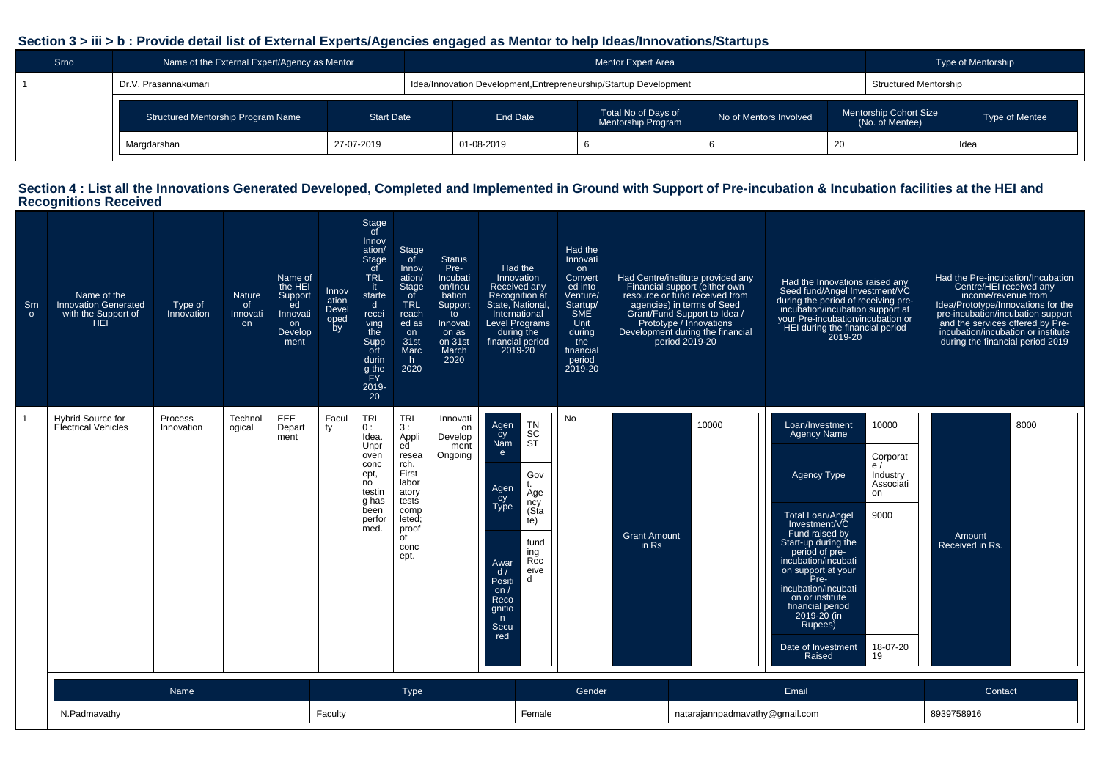### **Section 3 > iii > b : Provide detail list of External Experts/Agencies engaged as Mentor to help Ideas/Innovations/Startups**

| Srno | Name of the External Expert/Agency as Mentor |                   |                                                                   | <b>Mentor Expert Area</b>                        |                        |     |                                           | Type of Mentorship |
|------|----------------------------------------------|-------------------|-------------------------------------------------------------------|--------------------------------------------------|------------------------|-----|-------------------------------------------|--------------------|
|      | Dr.V. Prasannakumari                         |                   | Idea/Innovation Development, Entrepreneurship/Startup Development |                                                  |                        |     | <b>Structured Mentorship</b>              |                    |
|      | <b>Structured Mentorship Program Name</b>    | <b>Start Date</b> | End Date                                                          | Total No of Days of<br><b>Mentorship Program</b> | No of Mentors Involved |     | Mentorship Cohort Size<br>(No. of Mentee) | Type of Mentee     |
|      | Margdarshan                                  | 27-07-2019        | 01-08-2019                                                        |                                                  |                        | -20 |                                           | Idea               |

## **Section 4 : List all the Innovations Generated Developed, Completed and Implemented in Ground with Support of Pre-incubation & Incubation facilities at the HEI and Recognitions Received**

| Srn<br>$\circ$ | Name of the<br><b>Innovation Generated</b><br>with the Support of<br>HEI <sup>'</sup> | Type of<br>Innovation        | <b>Nature</b><br>of<br>Innovati<br>on | Name of<br>the HEI<br>Support<br>ed<br>Innovati<br>on<br>Develop<br>ment | Innov<br>ation<br>Devel<br>oped<br>by | Stage<br>of<br>Innov<br>ation/<br>Stage<br><sub>of</sub><br><b>TRL</b><br>it.<br>starte<br>$\mathsf{d}$<br>recei<br>ving<br>the<br>Supp<br>ort<br>durin<br>g the<br>FY.<br>2019-<br>20 | Stage<br>of<br>Innov<br>ation/<br>Stage<br>_of<br><b>TRL</b><br>reach<br>ed as<br>on<br>31 <sub>st</sub><br><b>Marc</b><br>h.<br>2020             | <b>Status</b><br>Pre-<br>Incubati<br>on/Incu<br>bation<br>Support<br>to<br>Innovati<br>on as<br>on 31st<br>March<br>2020 | <b>Had the</b><br>Innovation<br>Received any<br>Recognition at<br>State, National,<br>International<br><b>Level Programs</b><br>during the<br>financial period<br>2019-20                                                                        | Had the<br>Innovati<br>on<br>Convert<br>ed into<br>Venture/<br>Startup/<br>SME<br>Unit<br>during<br>the<br>financial<br>period<br>2019-20 |                              | Had Centre/institute provided any<br>Financial support (either own<br>resource or fund received from<br>agencies) in terms of Seed<br>Grant/Fund Support to Idea /<br>Prototype / Innovations<br>Development during the financial<br>period 2019-20 | Had the Innovations raised any<br>Seed fund/Angel Investment/VC<br>during the period of receiving pre-<br>incubation/incubation support at<br>your Pre-incubation/incubation or<br>HEI during the financial period<br>2019-20                                                                                                                                                                                                | Had the Pre-incubation/Incubation<br>Centre/HEI received any<br>income/revenue from<br>Idea/Prototype/Innovations for the<br>pre-incubation/incubation support<br>and the services offered by Pre-<br>incubation/incubation or institute<br>during the financial period 2019 |
|----------------|---------------------------------------------------------------------------------------|------------------------------|---------------------------------------|--------------------------------------------------------------------------|---------------------------------------|----------------------------------------------------------------------------------------------------------------------------------------------------------------------------------------|---------------------------------------------------------------------------------------------------------------------------------------------------|--------------------------------------------------------------------------------------------------------------------------|--------------------------------------------------------------------------------------------------------------------------------------------------------------------------------------------------------------------------------------------------|-------------------------------------------------------------------------------------------------------------------------------------------|------------------------------|-----------------------------------------------------------------------------------------------------------------------------------------------------------------------------------------------------------------------------------------------------|------------------------------------------------------------------------------------------------------------------------------------------------------------------------------------------------------------------------------------------------------------------------------------------------------------------------------------------------------------------------------------------------------------------------------|------------------------------------------------------------------------------------------------------------------------------------------------------------------------------------------------------------------------------------------------------------------------------|
|                | <b>Hybrid Source for</b><br><b>Electrical Vehicles</b>                                | <b>Process</b><br>Innovation | Technol<br>ogical                     | EEE<br>Depart<br>ment                                                    | Facul<br>ty                           | <b>TRL</b><br>0:<br>Idea.<br>Unpr<br>oven<br>conc<br>ept,<br>no<br>testin<br>q has<br>been<br>perfor<br>med.                                                                           | <b>TRL</b><br>3:<br>Appli<br>ed<br>resea<br>rch.<br>First<br>labor<br>atory<br>tests<br>comp<br>leted;<br>proof<br>$\overline{C}$<br>conc<br>ept. | Innovati<br>on<br>Develop<br>ment<br>Ongoing                                                                             | <b>TN</b><br>Agen<br>SC<br>ST<br>cy<br>Nam<br>e<br>Gov<br>t.<br>Agen<br>Age<br>cy<br>Type<br>ncy<br>(Sta<br>te)<br>fund<br>ing<br>Rec<br>Awar<br>eive<br>d/<br><sub>d</sub><br>Positi<br>on $/$<br>Reco<br>gnitio<br>$\mathsf{n}$<br>Secu<br>red | No                                                                                                                                        | <b>Grant Amount</b><br>in Rs | 10000                                                                                                                                                                                                                                               | 10000<br>Loan/Investment<br><b>Agency Name</b><br>Corporat<br>e/<br>Industry<br>Agency Type<br>Associati<br>on<br>9000<br><b>Total Loan/Angel</b><br>Investment/VC<br>Fund raised by<br>Start-up during the<br>period of pre-<br>incubation/incubati<br>on support at your<br>Pre-<br>incubation/incubati<br>on or institute<br>financial period<br>2019-20 (in<br>Rupees)<br>18-07-20<br>Date of Investment<br>19<br>Raised | 8000<br>Amount<br>Received in Rs.                                                                                                                                                                                                                                            |
|                |                                                                                       | Name                         |                                       |                                                                          |                                       |                                                                                                                                                                                        | Type                                                                                                                                              |                                                                                                                          |                                                                                                                                                                                                                                                  | Gender                                                                                                                                    |                              |                                                                                                                                                                                                                                                     | Email                                                                                                                                                                                                                                                                                                                                                                                                                        | Contact                                                                                                                                                                                                                                                                      |
|                | N.Padmavathy                                                                          |                              |                                       |                                                                          | Faculty                               |                                                                                                                                                                                        |                                                                                                                                                   |                                                                                                                          | Female                                                                                                                                                                                                                                           |                                                                                                                                           |                              | natarajannpadmavathy@gmail.com                                                                                                                                                                                                                      |                                                                                                                                                                                                                                                                                                                                                                                                                              | 8939758916                                                                                                                                                                                                                                                                   |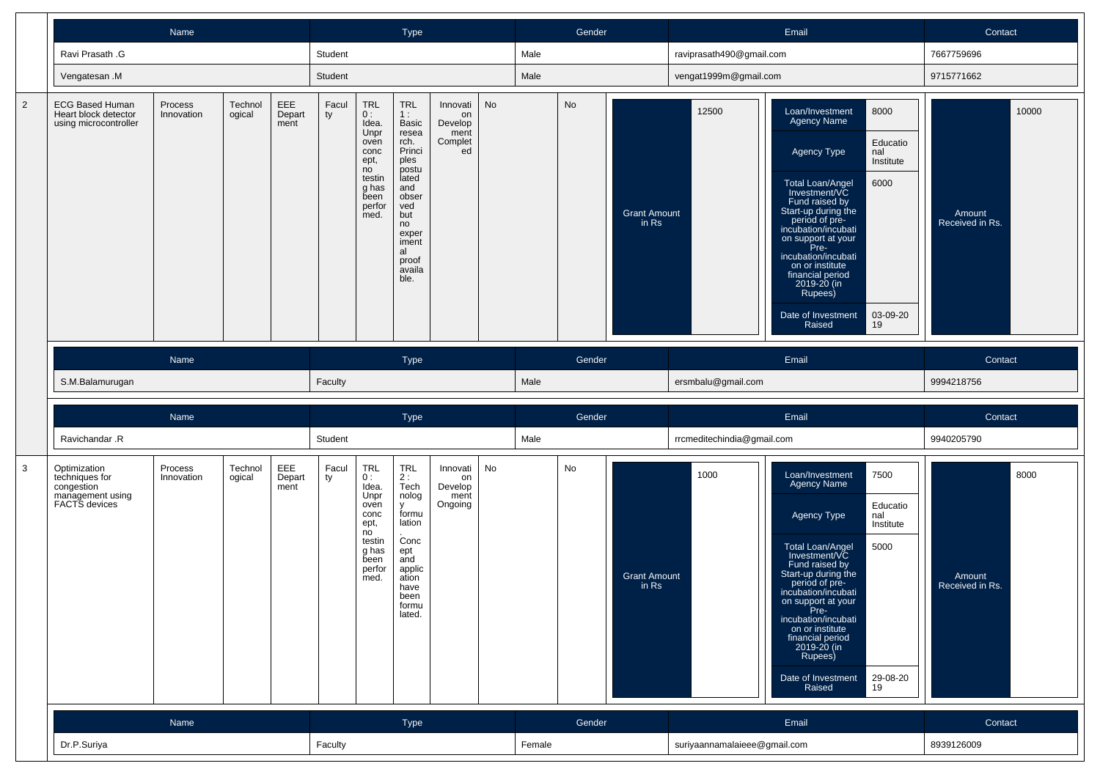|                |                                                                                   | Name                  |                   |                       |             |                                                                                                       | Type                                                                                                                                                                  |                                                    |           |      | Gender |                              |                            | Email                                                                                                                                                                                                                                                                                                                                                                                        | Contact                            |
|----------------|-----------------------------------------------------------------------------------|-----------------------|-------------------|-----------------------|-------------|-------------------------------------------------------------------------------------------------------|-----------------------------------------------------------------------------------------------------------------------------------------------------------------------|----------------------------------------------------|-----------|------|--------|------------------------------|----------------------------|----------------------------------------------------------------------------------------------------------------------------------------------------------------------------------------------------------------------------------------------------------------------------------------------------------------------------------------------------------------------------------------------|------------------------------------|
|                | Ravi Prasath .G                                                                   |                       |                   |                       | Student     |                                                                                                       |                                                                                                                                                                       |                                                    |           | Male |        |                              | raviprasath490@gmail.com   |                                                                                                                                                                                                                                                                                                                                                                                              | 7667759696                         |
|                | Vengatesan .M                                                                     |                       |                   |                       | Student     |                                                                                                       |                                                                                                                                                                       |                                                    |           | Male |        |                              | vengat1999m@gmail.com      |                                                                                                                                                                                                                                                                                                                                                                                              | 9715771662                         |
| $\overline{2}$ | <b>ECG Based Human</b><br>Heart block detector<br>using microcontroller           | Process<br>Innovation | Technol<br>ogical | EEE<br>Depart<br>ment | Facul<br>ty | TRL<br>0:<br>Idea.<br>Unpr<br>oven<br>conc<br>ept,<br>no<br>testin<br>g has<br>been<br>perfor<br>med. | <b>TRL</b><br>1:<br>Basic<br>resea<br>rch.<br>Princi<br>ples<br>postu<br>lated<br>and<br>obser<br>ved<br>but<br>no<br>exper<br>iment<br>al<br>proof<br>availa<br>ble. | Innovati<br>on<br>Develop<br>ment<br>Complet<br>ed | <b>No</b> |      | No     | <b>Grant Amount</b><br>in Rs | 12500                      | 8000<br>Loan/Investment<br>Agency Name<br>Educatio<br>nal<br>Agency Type<br>Institute<br>6000<br>Total Loan/Angel<br>Investment/VC<br>Fund raised by<br>Start-up during the<br>period of pre-<br>incubation/incubati<br>on support at your<br>Pre-<br>incubation/incubati<br>on or institute<br>financial period<br>2019-20 (in<br>Rupees)<br>Date of Investment<br>03-09-20<br>Raised<br>19 | 10000<br>Amount<br>Received in Rs. |
|                |                                                                                   | Name                  |                   |                       |             |                                                                                                       | Type                                                                                                                                                                  |                                                    |           |      | Gender |                              |                            | Email                                                                                                                                                                                                                                                                                                                                                                                        | Contact                            |
|                | S.M.Balamurugan                                                                   |                       |                   |                       | Faculty     |                                                                                                       |                                                                                                                                                                       |                                                    |           | Male |        |                              | ersmbalu@gmail.com         |                                                                                                                                                                                                                                                                                                                                                                                              | 9994218756                         |
|                |                                                                                   | Name                  |                   |                       |             |                                                                                                       | Type                                                                                                                                                                  |                                                    |           |      | Gender |                              |                            | Email                                                                                                                                                                                                                                                                                                                                                                                        | Contact                            |
|                | Ravichandar .R                                                                    |                       |                   |                       | Student     |                                                                                                       |                                                                                                                                                                       |                                                    |           | Male |        |                              | rrcmeditechindia@gmail.com |                                                                                                                                                                                                                                                                                                                                                                                              | 9940205790                         |
| $\mathbf{3}$   | Optimization<br>techniques for<br>congestion<br>management using<br>FACTS devices | Process<br>Innovation | Technol<br>ogical | EEE<br>Depart<br>ment | Facul<br>ty | TRL<br>0:<br>Idea.<br>Unpr<br>oven<br>conc<br>ept,<br>no<br>testin                                    | TRL<br>$2:$ Tech<br>nolog<br>y<br>formu<br>lation<br>Conc                                                                                                             | Innovati<br>on<br>Develop<br>ment<br>Ongoing       | No        |      | No     |                              | 1000                       | 7500<br>Loan/Investment<br><b>Agency Name</b><br>Educatio<br>Agency Type<br>nal<br>Institute                                                                                                                                                                                                                                                                                                 | 8000                               |
|                |                                                                                   |                       |                   |                       |             | g has<br>been<br>perfor<br>med.                                                                       | ept<br>and<br>applic<br>ation<br>have<br>been<br>formu<br>lated.                                                                                                      |                                                    |           |      |        | <b>Grant Amount</b><br>in Rs |                            | 5000<br>Total Loan/Angel<br>Investment/VC<br>Fund raised by<br>Start-up during the<br>period of pre-<br>incubation/incubati<br>on support at your<br>Pre-<br>incubation/incubati<br>on or institute<br>financial period<br>2019-20 (in<br>Rupees)<br>29-08-20<br>Date of Investment<br>Raised<br>19                                                                                          | Amount<br>Received in Rs.          |
|                |                                                                                   | Name                  |                   |                       |             |                                                                                                       | Type                                                                                                                                                                  |                                                    |           |      | Gender |                              |                            | Email                                                                                                                                                                                                                                                                                                                                                                                        | Contact                            |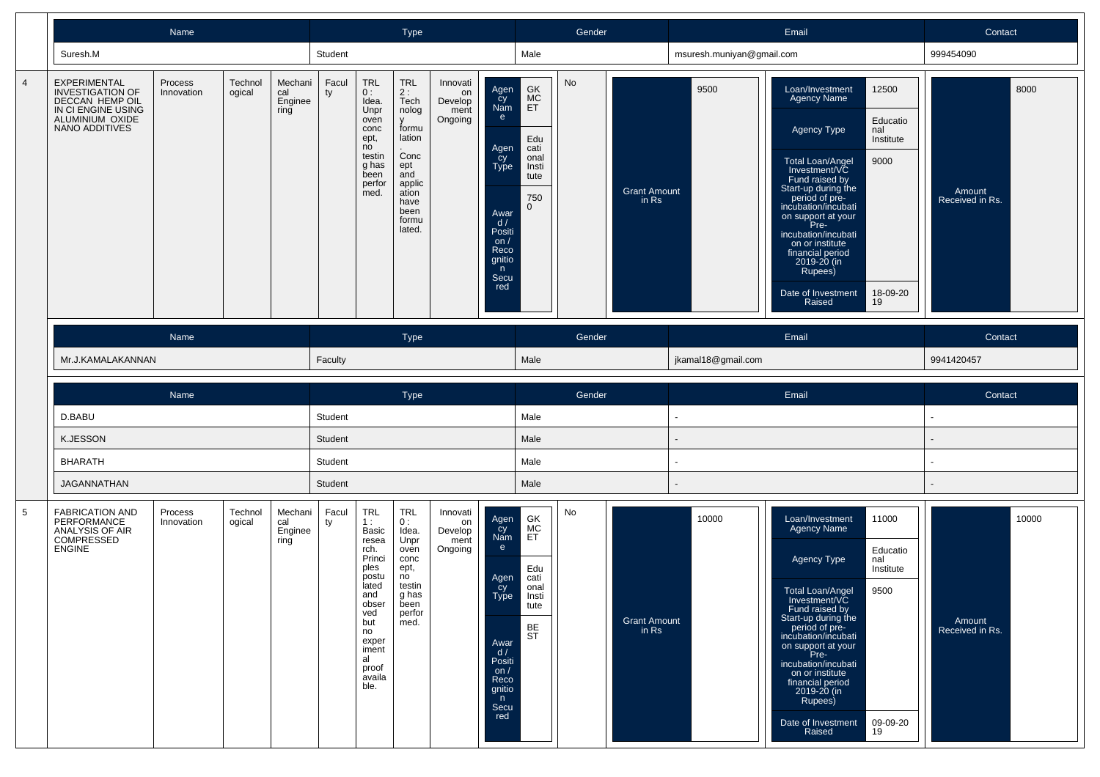|                |                                                                                                                       | Name                  |                   |                                   |             |                                                                                                              | <b>Type</b>                                                                                                                                      |                                              |                                                                                                                                   |                                                                              | Gender |                              |                           | Email                                                                                                                                                                                                                                                                                                                                                                                                | Contact                           |
|----------------|-----------------------------------------------------------------------------------------------------------------------|-----------------------|-------------------|-----------------------------------|-------------|--------------------------------------------------------------------------------------------------------------|--------------------------------------------------------------------------------------------------------------------------------------------------|----------------------------------------------|-----------------------------------------------------------------------------------------------------------------------------------|------------------------------------------------------------------------------|--------|------------------------------|---------------------------|------------------------------------------------------------------------------------------------------------------------------------------------------------------------------------------------------------------------------------------------------------------------------------------------------------------------------------------------------------------------------------------------------|-----------------------------------|
|                | Suresh.M                                                                                                              |                       |                   |                                   | Student     |                                                                                                              |                                                                                                                                                  |                                              |                                                                                                                                   | Male                                                                         |        |                              | msuresh.muniyan@gmail.com |                                                                                                                                                                                                                                                                                                                                                                                                      | 999454090                         |
| $\overline{4}$ | EXPERIMENTAL<br><b>INVESTIGATION OF</b><br>DECCAN HEMP OIL<br>IN CI ENGINE USING<br>ALUMINIUM OXIDE<br>NANO ADDITIVES | Process<br>Innovation | Technol<br>ogical | Mechani<br>cal<br>Enginee<br>ring | Facul<br>ty | <b>TRL</b><br>0:<br>Idea.<br>Unpr<br>oven<br>conc<br>ept,<br>no<br>testin<br>g has<br>been<br>perfor<br>med. | <b>TRL</b><br>2:<br>Tech<br>nolog<br>$\mathsf{v}$<br>formu<br>lation<br>Conc<br>ept<br>and<br>applic<br>ation<br>have<br>been<br>formu<br>lated. | Innovati<br>on<br>Develop<br>ment<br>Ongoing | Agen<br>cy<br>Nam<br>$\mathbf{e}$<br>Agen<br>_cy<br>Type<br>Awar<br>d /<br>Positi<br>on $/$<br>Reco<br>gnitio<br>n<br>Secu<br>red | GK<br>MC<br>ET<br>Edu<br>cati<br>onal<br>Insti<br>tute<br>750<br>$\mathbf 0$ | No     | <b>Grant Amount</b><br>in Rs | 9500                      | 12500<br>Loan/Investment<br>Agency Name<br>Educatio<br>nal<br><b>Agency Type</b><br>Institute<br>9000<br>Total Loan/Angel<br>Investment/VC<br>Fund raised by<br>Start-up during the<br>period of pre-<br>incubation/incubati<br>on support at your<br>Pre-<br>incubation/incubati<br>on or institute<br>financial period<br>2019-20 (in<br>Rupees)<br>Date of Investment<br>18-09-20<br>Raised<br>19 | 8000<br>Amount<br>Received in Rs. |
|                | Mr.J.KAMALAKANNAN                                                                                                     | Name                  |                   |                                   | Faculty     |                                                                                                              | Type                                                                                                                                             |                                              |                                                                                                                                   | Male                                                                         | Gender |                              | jkamal18@gmail.com        | Email                                                                                                                                                                                                                                                                                                                                                                                                | Contact<br>9941420457             |
|                |                                                                                                                       |                       |                   |                                   |             |                                                                                                              |                                                                                                                                                  |                                              |                                                                                                                                   |                                                                              |        |                              |                           |                                                                                                                                                                                                                                                                                                                                                                                                      |                                   |
|                |                                                                                                                       |                       |                   |                                   |             |                                                                                                              |                                                                                                                                                  |                                              |                                                                                                                                   |                                                                              |        |                              |                           |                                                                                                                                                                                                                                                                                                                                                                                                      |                                   |
|                |                                                                                                                       | Name                  |                   |                                   |             |                                                                                                              | <b>Type</b>                                                                                                                                      |                                              |                                                                                                                                   |                                                                              | Gender |                              |                           | Email                                                                                                                                                                                                                                                                                                                                                                                                | Contact                           |
|                | D.BABU                                                                                                                |                       |                   |                                   | Student     |                                                                                                              |                                                                                                                                                  |                                              |                                                                                                                                   | Male                                                                         |        |                              | $\overline{\phantom{a}}$  |                                                                                                                                                                                                                                                                                                                                                                                                      | ÷                                 |
|                | <b>K.JESSON</b>                                                                                                       |                       |                   |                                   | Student     |                                                                                                              |                                                                                                                                                  |                                              |                                                                                                                                   | Male                                                                         |        |                              |                           |                                                                                                                                                                                                                                                                                                                                                                                                      |                                   |
|                | <b>BHARATH</b>                                                                                                        |                       |                   |                                   | Student     |                                                                                                              |                                                                                                                                                  |                                              |                                                                                                                                   | Male                                                                         |        |                              |                           |                                                                                                                                                                                                                                                                                                                                                                                                      |                                   |
|                | <b>JAGANNATHAN</b>                                                                                                    |                       |                   |                                   | Student     |                                                                                                              |                                                                                                                                                  |                                              |                                                                                                                                   | Male                                                                         |        |                              |                           |                                                                                                                                                                                                                                                                                                                                                                                                      |                                   |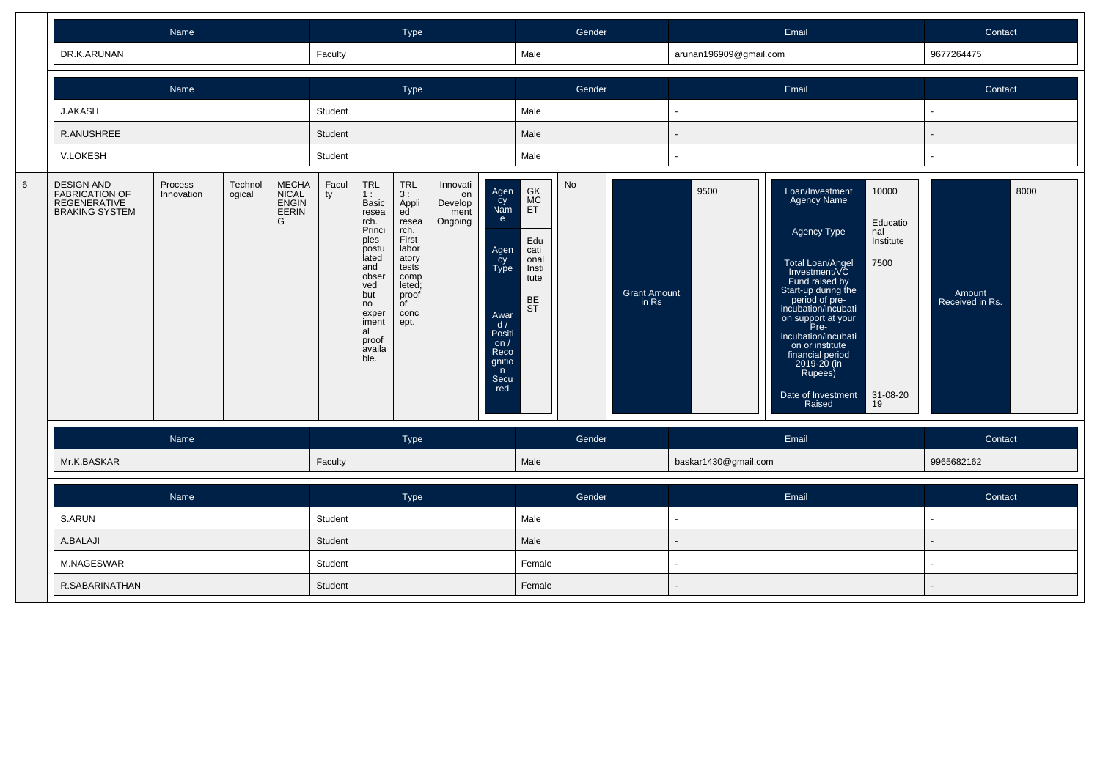|         |                                                                                            | Name                  |                   |                                       |             |                                                                                                                                                                       | Type                                                                                                                                                |                                              |                                                                                                                              |                                                                                        | Gender |                              |                        | Email                                                                                                                                                                                                                                                                                                                                                                                                | Contact                           |
|---------|--------------------------------------------------------------------------------------------|-----------------------|-------------------|---------------------------------------|-------------|-----------------------------------------------------------------------------------------------------------------------------------------------------------------------|-----------------------------------------------------------------------------------------------------------------------------------------------------|----------------------------------------------|------------------------------------------------------------------------------------------------------------------------------|----------------------------------------------------------------------------------------|--------|------------------------------|------------------------|------------------------------------------------------------------------------------------------------------------------------------------------------------------------------------------------------------------------------------------------------------------------------------------------------------------------------------------------------------------------------------------------------|-----------------------------------|
|         | DR.K.ARUNAN                                                                                |                       |                   |                                       | Faculty     |                                                                                                                                                                       |                                                                                                                                                     |                                              |                                                                                                                              | Male                                                                                   |        |                              | arunan196909@gmail.com |                                                                                                                                                                                                                                                                                                                                                                                                      | 9677264475                        |
|         |                                                                                            | Name                  |                   |                                       |             |                                                                                                                                                                       | Type                                                                                                                                                |                                              |                                                                                                                              |                                                                                        | Gender |                              |                        | Email                                                                                                                                                                                                                                                                                                                                                                                                | Contact                           |
|         | J.AKASH                                                                                    |                       |                   |                                       | Student     |                                                                                                                                                                       |                                                                                                                                                     |                                              |                                                                                                                              | Male                                                                                   |        |                              |                        |                                                                                                                                                                                                                                                                                                                                                                                                      |                                   |
|         | R.ANUSHREE                                                                                 |                       |                   |                                       | Student     |                                                                                                                                                                       |                                                                                                                                                     |                                              |                                                                                                                              | Male                                                                                   |        |                              |                        |                                                                                                                                                                                                                                                                                                                                                                                                      |                                   |
|         | V.LOKESH                                                                                   |                       |                   |                                       | Student     |                                                                                                                                                                       |                                                                                                                                                     |                                              |                                                                                                                              | Male                                                                                   |        |                              |                        |                                                                                                                                                                                                                                                                                                                                                                                                      |                                   |
| $\,6\,$ | <b>DESIGN AND</b><br><b>FABRICATION OF</b><br><b>REGENERATIVE</b><br><b>BRAKING SYSTEM</b> | Process<br>Innovation | Technol<br>ogical | MECHA<br>NICAL<br>ENGIN<br>EERIN<br>G | Facul<br>ty | <b>TRL</b><br>1:<br>Basic<br>resea<br>rch.<br>Princi<br>ples<br>postu<br>lated<br>and<br>obser<br>ved<br>but<br>no<br>exper<br>iment<br>al<br>proof<br>availa<br>ble. | <b>TRL</b><br>3 :<br>Appli<br>ed <sup>'</sup><br>resea<br>rch.<br>First<br>labor<br>atory<br>tests<br>comp<br>leted;<br>proof<br>of<br>conc<br>ept. | Innovati<br>on<br>Develop<br>ment<br>Ongoing | Agen<br>cy<br>Nam<br>e<br>Agen<br>cy<br>Type<br>Awar<br>$\frac{d}{d}$<br>Positi<br>on/<br>Reco<br>gnitio<br>n<br>Secu<br>red | $\mathsf{G}\mathsf{K}$<br>MC<br>ET<br>Edu<br>cati<br>onal<br>Insti<br>tute<br>BE<br>ST | No     | <b>Grant Amount</b><br>in Rs | 9500                   | 10000<br>Loan/Investment<br><b>Agency Name</b><br>Educatio<br>Agency Type<br>nal<br>Institute<br>Total Loan/Angel<br>7500<br>Investment/VC<br>Fund raised by<br>Start-up during the<br>period of pre-<br>incubation/incubati<br>on support at your<br>Pre-<br>incubation/incubati<br>on or institute<br>financial period<br>2019-20 (in<br>Rupees)<br>Date of Investment<br>31-08-20<br>Raised<br>19 | 8000<br>Amount<br>Received in Rs. |
|         |                                                                                            | Name                  |                   |                                       |             |                                                                                                                                                                       | Type                                                                                                                                                |                                              |                                                                                                                              |                                                                                        | Gender |                              |                        | Email                                                                                                                                                                                                                                                                                                                                                                                                | Contact                           |
|         | Mr.K.BASKAR                                                                                |                       |                   |                                       | Faculty     |                                                                                                                                                                       |                                                                                                                                                     |                                              |                                                                                                                              | Male                                                                                   |        |                              | baskar1430@gmail.com   |                                                                                                                                                                                                                                                                                                                                                                                                      | 9965682162                        |
|         |                                                                                            | Name                  |                   |                                       |             |                                                                                                                                                                       | Type                                                                                                                                                |                                              |                                                                                                                              |                                                                                        | Gender |                              |                        | Email                                                                                                                                                                                                                                                                                                                                                                                                | Contact                           |
|         | S.ARUN                                                                                     |                       |                   |                                       | Student     |                                                                                                                                                                       |                                                                                                                                                     |                                              |                                                                                                                              | Male                                                                                   |        |                              |                        |                                                                                                                                                                                                                                                                                                                                                                                                      |                                   |
|         | A.BALAJI                                                                                   |                       |                   |                                       | Student     |                                                                                                                                                                       |                                                                                                                                                     |                                              |                                                                                                                              | Male                                                                                   |        |                              |                        |                                                                                                                                                                                                                                                                                                                                                                                                      |                                   |
|         | M.NAGESWAR                                                                                 |                       |                   |                                       | Student     |                                                                                                                                                                       |                                                                                                                                                     |                                              |                                                                                                                              | Female                                                                                 |        |                              |                        |                                                                                                                                                                                                                                                                                                                                                                                                      |                                   |
|         | R.SABARINATHAN                                                                             |                       |                   |                                       | Student     |                                                                                                                                                                       |                                                                                                                                                     |                                              |                                                                                                                              | Female                                                                                 |        |                              |                        |                                                                                                                                                                                                                                                                                                                                                                                                      |                                   |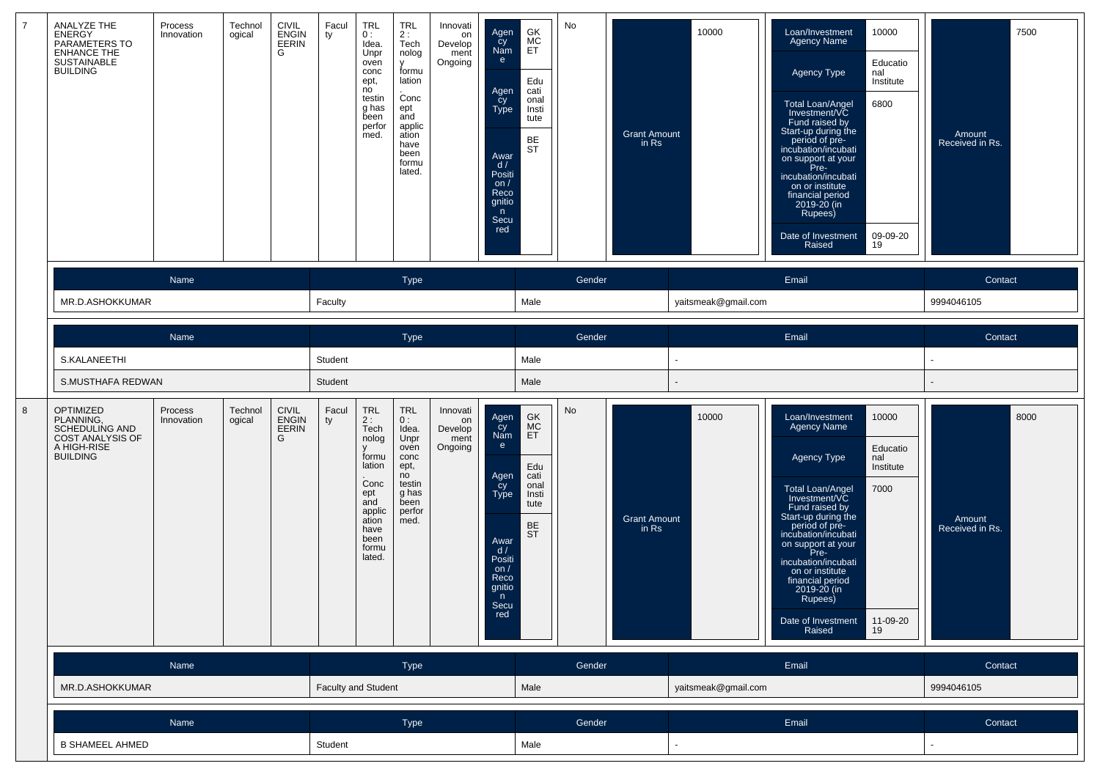|   | ANALYZE THE<br><b>ENERGY</b><br>PARAMETERS TO<br><b>ENHANCE THE</b><br>SUSTAINABLE<br><b>BUILDING</b>        | Process<br>Innovation | Technol<br>ogical | CIVIL<br>ENGIN<br>EERIN<br>G        | Facul<br>ty         | <b>TRL</b><br>0:<br>Idea.<br>Unpr<br>oven<br>conc<br>ept,<br>no<br>testin<br>g has<br>been<br>perfor<br>med.                     | $TRL$<br>2:<br>Tech<br>nolog<br>v<br>formu<br>lation<br>Conc<br>ept<br>and<br>applic<br>ation<br>have<br>been<br>formu<br>lated. | Innovati<br>on<br>Develop<br>ment<br>Ongoing | Agen<br>čy<br>Nam<br>e.<br>Agen<br>cy<br>Type<br>Awar<br>d/<br>Positi<br>on $/$<br>Reco<br>gnitio<br>n<br>Secu<br>red | GK<br>MC<br>ET<br>Edu<br>cati<br>onal<br>Insti<br>tute<br>BE<br><b>ST</b>        | No     | <b>Grant Amount</b><br>in Rs | 10000               | 10000<br>Loan/Investment<br><b>Agency Name</b><br>Educatio<br>Agency Type<br>nal<br>Institute<br>Total Loan/Angel<br>Investment/VC<br>6800<br>Fund raised by<br>Start-up during the<br>period of pre-<br>incubation/incubati<br>on support at your<br>Pre-<br>incubation/incubati<br>on or institute<br>financial period<br>2019-20 (in<br>Rupees)<br>09-09-20<br>Date of Investment<br>19<br>Raised        | 7500<br>Amount<br>Received in Rs. |
|---|--------------------------------------------------------------------------------------------------------------|-----------------------|-------------------|-------------------------------------|---------------------|----------------------------------------------------------------------------------------------------------------------------------|----------------------------------------------------------------------------------------------------------------------------------|----------------------------------------------|-----------------------------------------------------------------------------------------------------------------------|----------------------------------------------------------------------------------|--------|------------------------------|---------------------|-------------------------------------------------------------------------------------------------------------------------------------------------------------------------------------------------------------------------------------------------------------------------------------------------------------------------------------------------------------------------------------------------------------|-----------------------------------|
|   |                                                                                                              | Name                  |                   |                                     |                     |                                                                                                                                  | <b>Type</b>                                                                                                                      |                                              |                                                                                                                       |                                                                                  | Gender |                              |                     | Email                                                                                                                                                                                                                                                                                                                                                                                                       | Contact                           |
|   | MR.D.ASHOKKUMAR                                                                                              |                       |                   |                                     | Faculty             |                                                                                                                                  |                                                                                                                                  |                                              |                                                                                                                       | Male                                                                             |        |                              | yaitsmeak@gmail.com |                                                                                                                                                                                                                                                                                                                                                                                                             | 9994046105                        |
|   |                                                                                                              | Name                  |                   |                                     |                     |                                                                                                                                  | <b>Type</b>                                                                                                                      |                                              |                                                                                                                       |                                                                                  | Gender |                              |                     | Email                                                                                                                                                                                                                                                                                                                                                                                                       | Contact                           |
|   | S.KALANEETHI                                                                                                 |                       |                   |                                     | Student             |                                                                                                                                  |                                                                                                                                  |                                              |                                                                                                                       | Male                                                                             |        |                              |                     |                                                                                                                                                                                                                                                                                                                                                                                                             |                                   |
|   | S.MUSTHAFA REDWAN                                                                                            |                       |                   |                                     | Student             |                                                                                                                                  |                                                                                                                                  |                                              |                                                                                                                       | Male                                                                             |        |                              |                     |                                                                                                                                                                                                                                                                                                                                                                                                             |                                   |
| 8 | <b>OPTIMIZED</b><br>PLANNING,<br><b>SCHEDULING AND</b><br>COST ANALYSIS OF<br>A HIGH-RISE<br><b>BUILDING</b> | Process<br>Innovation | Technol<br>ogical | <b>CIVIL</b><br>ENGIN<br>EERIN<br>G | Facul<br>ty         | <b>TRL</b><br>2:<br>Tech<br>nolog<br>formu<br>lation<br>Conc<br>ept<br>and<br>applic<br>ation<br>have<br>been<br>formu<br>lated. | <b>TRL</b><br>0:<br>Idea.<br>Unpr<br>oven<br>conc<br>ept,<br>no<br>testin<br>g has<br>been<br>perfor<br>med.                     | Innovati<br>on<br>Develop<br>ment<br>Ongoing | Agen<br>cy<br>Nam<br>e<br>Agen<br>cy<br>Type<br>Awar<br>d/<br>Positi<br>on $/$<br>Reco<br>gnitio<br>n<br>Secu<br>red  | GK<br>MC<br>ET<br>Edu<br>cati<br>onal<br>Insti<br>tute<br><b>BE</b><br><b>ST</b> | No     | <b>Grant Amount</b><br>in Rs | 10000               | Loan/Investment<br>10000<br><b>Agency Name</b><br>Educatio<br>Agency Type<br>nal<br>Institute<br><b>Total Loan/Angel</b><br>7000<br>Investment/VC<br>Fund raised by<br>Start-up during the<br>period of pre-<br>incubation/incubati<br>on support at your<br>Pre-<br>incubation/incubati<br>on or institute<br>financial period<br>2019-20 (in<br>Rupees)<br>Date of Investment<br>Raised<br>11-09-20<br>19 | 8000<br>Amount<br>Received in Rs. |
|   |                                                                                                              | Name                  |                   |                                     |                     |                                                                                                                                  | Type                                                                                                                             |                                              |                                                                                                                       |                                                                                  | Gender |                              |                     | Email                                                                                                                                                                                                                                                                                                                                                                                                       | Contact                           |
|   | MR.D.ASHOKKUMAR                                                                                              |                       |                   |                                     | Faculty and Student |                                                                                                                                  |                                                                                                                                  |                                              |                                                                                                                       | Male                                                                             |        |                              | yaitsmeak@gmail.com |                                                                                                                                                                                                                                                                                                                                                                                                             | 9994046105                        |
|   |                                                                                                              | Name                  |                   |                                     |                     |                                                                                                                                  | Type                                                                                                                             |                                              |                                                                                                                       |                                                                                  | Gender |                              |                     | Email                                                                                                                                                                                                                                                                                                                                                                                                       | Contact                           |
|   | <b>B SHAMEEL AHMED</b>                                                                                       |                       |                   |                                     | Student             |                                                                                                                                  |                                                                                                                                  |                                              |                                                                                                                       | Male                                                                             |        |                              |                     |                                                                                                                                                                                                                                                                                                                                                                                                             |                                   |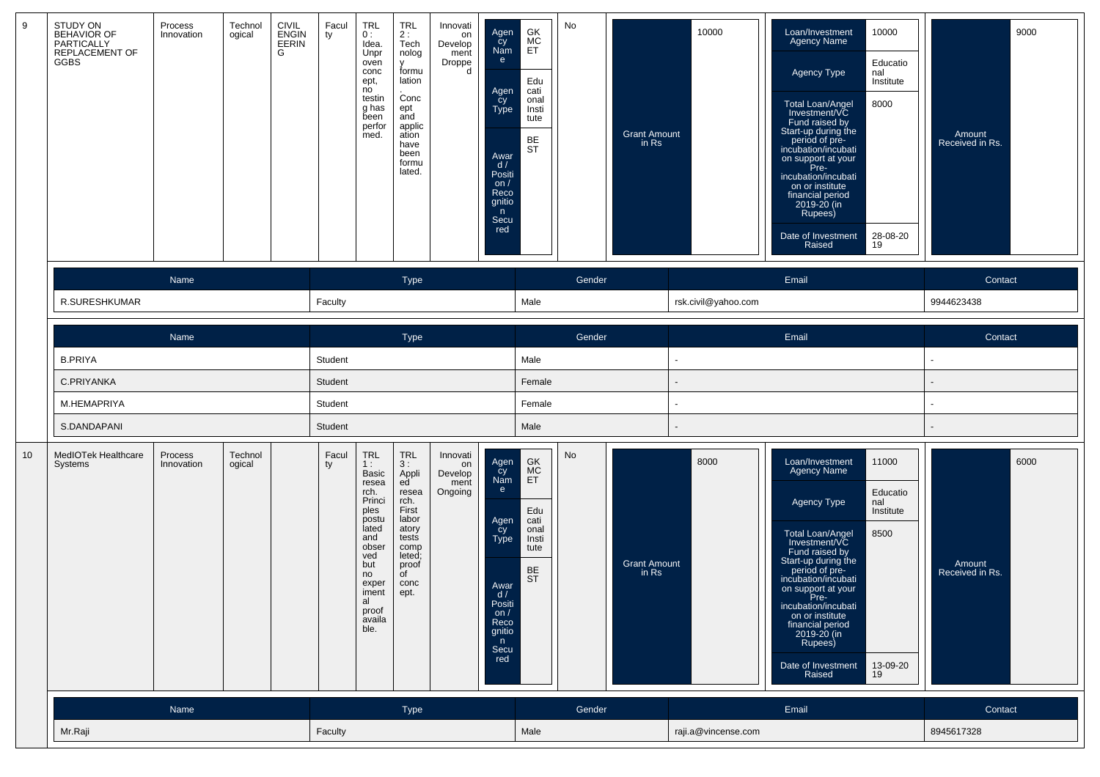| 9  | STUDY ON<br><b>BEHAVIOR OF</b><br>PARTICALLY<br>REPLACEMENT OF<br>GGBS | Process<br>Innovation | Technol<br>ogical | <b>CIVIL</b><br><b>ENGIN</b><br>EERIN<br>G | Facul<br>ty | <b>TRL</b><br>0:<br>Idea.<br>Unpr<br>oven<br>conc<br>ept,<br>no<br>testin<br>g has<br>been<br>perfor<br>med.                                                          | <b>TRL</b><br>2:<br>Tech<br>nolog<br>V<br>formu<br>lation<br>Conc<br>ept<br>and<br>applic<br>ation<br>have<br>been<br>formu<br>lated. | Innovati<br>on<br>Develop<br>ment<br>Droppe<br>d | Agen<br>cy<br>Nam<br>e<br>Agen<br>cy<br>Type<br>Awar<br>d/<br>Positi<br>on $/$<br>Reco<br>gnitio<br>n<br>Secu<br>red  | GK<br>MC<br>ET<br>Edu<br>cati<br>onal<br>Insti<br>tute<br>BE<br><b>ST</b> | No     | <b>Grant Amount</b><br>in Rs | 10000               | Loan/Investment<br>10000<br><b>Agency Name</b><br>Educatio<br>Agency Type<br>nal<br>Institute<br>Total Loan/Angel<br>8000<br>Investment/VC<br>Fund raised by<br>Start-up during the<br>period of pre-<br>incubation/incubati<br>on support at your<br>Pre-<br>incubation/incubati<br>on or institute<br>financial period<br>2019-20 (in<br>Rupees)<br>Date of Investment<br>28-08-20<br>Raised<br>19 | 9000<br>Amount<br>Received in Rs. |
|----|------------------------------------------------------------------------|-----------------------|-------------------|--------------------------------------------|-------------|-----------------------------------------------------------------------------------------------------------------------------------------------------------------------|---------------------------------------------------------------------------------------------------------------------------------------|--------------------------------------------------|-----------------------------------------------------------------------------------------------------------------------|---------------------------------------------------------------------------|--------|------------------------------|---------------------|------------------------------------------------------------------------------------------------------------------------------------------------------------------------------------------------------------------------------------------------------------------------------------------------------------------------------------------------------------------------------------------------------|-----------------------------------|
|    |                                                                        | Name                  |                   |                                            |             |                                                                                                                                                                       | <b>Type</b>                                                                                                                           |                                                  |                                                                                                                       |                                                                           | Gender |                              |                     | Email                                                                                                                                                                                                                                                                                                                                                                                                | Contact                           |
|    | R.SURESHKUMAR                                                          |                       |                   |                                            | Faculty     |                                                                                                                                                                       |                                                                                                                                       |                                                  |                                                                                                                       | Male                                                                      |        |                              | rsk.civil@yahoo.com |                                                                                                                                                                                                                                                                                                                                                                                                      | 9944623438                        |
|    |                                                                        | Name                  |                   |                                            |             |                                                                                                                                                                       | Type                                                                                                                                  |                                                  |                                                                                                                       |                                                                           | Gender |                              |                     | Email                                                                                                                                                                                                                                                                                                                                                                                                | Contact                           |
|    | <b>B.PRIYA</b>                                                         |                       |                   |                                            | Student     |                                                                                                                                                                       |                                                                                                                                       |                                                  |                                                                                                                       | Male                                                                      |        |                              |                     |                                                                                                                                                                                                                                                                                                                                                                                                      |                                   |
|    | C.PRIYANKA                                                             |                       |                   |                                            | Student     |                                                                                                                                                                       |                                                                                                                                       |                                                  |                                                                                                                       | Female                                                                    |        |                              |                     |                                                                                                                                                                                                                                                                                                                                                                                                      |                                   |
|    | M.HEMAPRIYA                                                            |                       |                   |                                            | Student     |                                                                                                                                                                       |                                                                                                                                       |                                                  |                                                                                                                       | Female                                                                    |        |                              |                     |                                                                                                                                                                                                                                                                                                                                                                                                      |                                   |
|    | S.DANDAPANI                                                            |                       |                   |                                            | Student     |                                                                                                                                                                       |                                                                                                                                       |                                                  |                                                                                                                       | Male                                                                      |        |                              |                     |                                                                                                                                                                                                                                                                                                                                                                                                      |                                   |
| 10 | MedIOTek Healthcare<br>Systems                                         | Process<br>Innovation | Technol<br>ogical |                                            | Facul<br>ty | <b>TRL</b><br>1:<br>Basic<br>resea<br>rch.<br>Princi<br>ples<br>postu<br>lated<br>and<br>obser<br>ved<br>but<br>no<br>exper<br>iment<br>al<br>proof<br>availa<br>ble. | <b>TRL</b><br>3:<br>Appli<br>ed<br>resea<br>rch.<br>First<br>labor<br>atory<br>tests<br>comp<br>leted;<br>proof<br>of<br>conc<br>ept. | Innovati<br>on<br>Develop<br>ment<br>Ongoing     | Agen<br>cy<br>Nam<br>e<br>Agen<br>_cy<br>Type<br>Awar<br>d/<br>Positi<br>on $/$<br>Reco<br>gnitio<br>n<br>Secu<br>red | GK<br>MC<br>ET<br>Edu<br>cati<br>onal<br>Insti<br>tute<br>BE<br><b>ST</b> | No     | <b>Grant Amount</b><br>in Rs | 8000                | 11000<br>Loan/Investment<br>Agency Name<br>Educatio<br>Agency Type<br>nal<br>Institute<br>Total Loan/Angel<br>Investment/VC<br>8500<br>Fund raised by<br>Start-up during the<br>period of pre-<br>incubation/incubati<br>on support at your<br>Pre-<br>incubation/incubati<br>on or institute<br>financial period<br>2019-20 (in<br>Rupees)<br>Date of Investment<br>13-09-20<br>Raised<br>19        | 6000<br>Amount<br>Received in Rs. |
|    |                                                                        | Name                  |                   |                                            |             |                                                                                                                                                                       | Type                                                                                                                                  |                                                  |                                                                                                                       |                                                                           | Gender |                              |                     | Email                                                                                                                                                                                                                                                                                                                                                                                                | Contact                           |
|    | Mr.Raji                                                                |                       |                   |                                            | Faculty     |                                                                                                                                                                       |                                                                                                                                       |                                                  |                                                                                                                       | Male                                                                      |        |                              | raji.a@vincense.com |                                                                                                                                                                                                                                                                                                                                                                                                      | 8945617328                        |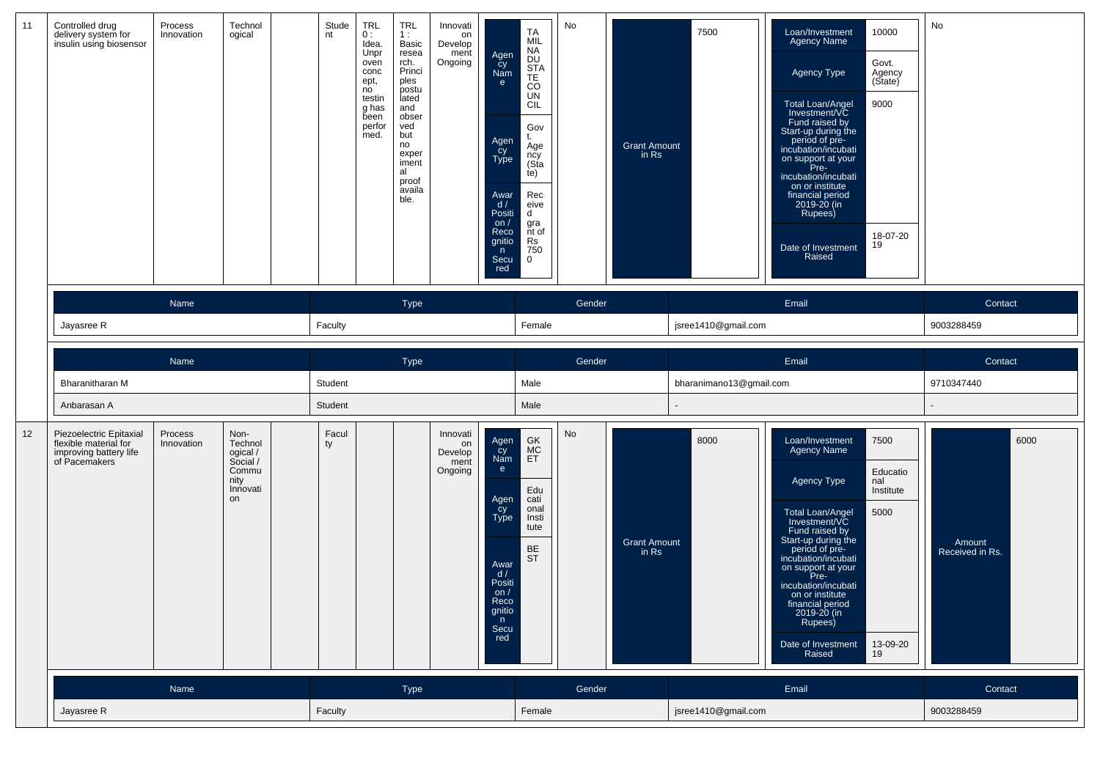| 11 | Controlled drug<br>delivery system for<br>insulin using biosensor                           | Process<br>Innovation | Technol<br>ogical                                                          | Stude<br>nt | <b>TRL</b><br>0:<br>Idea.<br>Unpr<br>oven<br>conc<br>ept,<br>no<br>testin<br>g has<br>been<br>perfor<br>med. | <b>TRL</b><br>1:<br>Basic<br>resea<br>rch.<br>Princi<br>ples<br>postu<br>lated<br>and<br>obser<br>ved<br>but<br>no<br>exper<br>iment<br>al<br>proof<br>availa<br>ble. | Innovati<br>on<br>Develop<br>ment<br>Ongoing | Agen<br>Cy<br>Nam<br>e<br>Agen<br>Cy<br>Type<br>Awar<br>d /<br>Positi<br>on/<br>Reco<br>gnitio<br>n<br>Secu<br>red               | TA<br>MIL<br>NA<br><b>DU</b><br>STA<br>TE<br>$_{\rm CO}$<br><b>UN</b><br>CIL<br>Gov<br>Age<br>ncy<br>(Sta<br>te)<br>Rec<br>eive<br>d<br>gra<br>nt of<br>Rs<br>750<br>$\mathbf 0$ | No     | <b>Grant Amount</b><br>in Rs | 7500                    | Loan/Investment<br>Agency Name<br>Agency Type<br>Total Loan/Angel<br>Investment/VC<br>Fund raised by<br>Start-up during the<br>period of pre-<br>incubation/incubati<br>on support at your<br>Pre-<br>incubation/incubati<br>on or institute<br>financial period<br>2019-20 (in<br>Rupees)<br>Date of Investment<br>Raised        | 10000<br>Govt.<br>Agency<br>(State)<br>9000<br>18-07-20<br>19  | No                                |
|----|---------------------------------------------------------------------------------------------|-----------------------|----------------------------------------------------------------------------|-------------|--------------------------------------------------------------------------------------------------------------|-----------------------------------------------------------------------------------------------------------------------------------------------------------------------|----------------------------------------------|----------------------------------------------------------------------------------------------------------------------------------|----------------------------------------------------------------------------------------------------------------------------------------------------------------------------------|--------|------------------------------|-------------------------|-----------------------------------------------------------------------------------------------------------------------------------------------------------------------------------------------------------------------------------------------------------------------------------------------------------------------------------|----------------------------------------------------------------|-----------------------------------|
|    |                                                                                             | Name                  |                                                                            |             |                                                                                                              | Type                                                                                                                                                                  |                                              |                                                                                                                                  |                                                                                                                                                                                  | Gender |                              |                         | Email                                                                                                                                                                                                                                                                                                                             |                                                                | Contact                           |
|    | Jayasree R                                                                                  |                       |                                                                            | Faculty     |                                                                                                              |                                                                                                                                                                       |                                              |                                                                                                                                  | Female                                                                                                                                                                           |        |                              | jsree1410@gmail.com     |                                                                                                                                                                                                                                                                                                                                   |                                                                | 9003288459                        |
|    |                                                                                             | Name                  |                                                                            |             |                                                                                                              | Type                                                                                                                                                                  |                                              |                                                                                                                                  |                                                                                                                                                                                  | Gender |                              |                         | Email                                                                                                                                                                                                                                                                                                                             |                                                                | Contact                           |
|    | Bharanitharan M                                                                             |                       |                                                                            | Student     |                                                                                                              |                                                                                                                                                                       |                                              |                                                                                                                                  | Male                                                                                                                                                                             |        |                              | bharanimano13@gmail.com |                                                                                                                                                                                                                                                                                                                                   |                                                                | 9710347440                        |
|    | Anbarasan A                                                                                 |                       |                                                                            | Student     |                                                                                                              |                                                                                                                                                                       |                                              |                                                                                                                                  | Male                                                                                                                                                                             |        |                              |                         |                                                                                                                                                                                                                                                                                                                                   |                                                                |                                   |
| 12 | Piezoelectric Epitaxial<br>flexible material for<br>improving battery life<br>of Pacemakers | Process<br>Innovation | Non-<br>Technol<br>ogical /<br>Social /<br>Commu<br>nity<br>Innovati<br>on | Facul<br>ty |                                                                                                              |                                                                                                                                                                       | Innovati<br>on<br>Develop<br>ment<br>Ongoing | Agen<br>Cy<br>Nam<br>$\mathbf{e}$<br>Agen<br>cy<br>Type<br>Awar<br>d /<br>Positi<br>on $/$<br>Reco<br>gnitio<br>n<br>Secu<br>red | GK<br>MC<br>ET<br>Edu<br>cati<br>onal<br>Insti<br>tute<br><b>BE</b><br><b>ST</b>                                                                                                 | No     | <b>Grant Amount</b><br>in Rs | 8000                    | Loan/Investment<br><b>Agency Name</b><br>Agency Type<br>Total Loan/Angel<br>Investment/VC<br>Fund raised by<br>Start-up during the<br>period of pre-<br>incubation/incubati<br>on support at your<br>Pre-<br>incubation/incubati<br>on or institute<br>financial period<br>2019-20 (in<br>Rupees)<br>Date of Investment<br>Raised | 7500<br>Educatio<br>nal<br>Institute<br>5000<br>13-09-20<br>19 | 6000<br>Amount<br>Received in Rs. |
|    |                                                                                             | Name                  |                                                                            |             |                                                                                                              | Type                                                                                                                                                                  |                                              |                                                                                                                                  |                                                                                                                                                                                  | Gender |                              |                         | Email                                                                                                                                                                                                                                                                                                                             |                                                                | Contact                           |
|    | Jayasree R                                                                                  |                       |                                                                            | Faculty     |                                                                                                              |                                                                                                                                                                       |                                              |                                                                                                                                  | Female                                                                                                                                                                           |        |                              | jsree1410@gmail.com     |                                                                                                                                                                                                                                                                                                                                   |                                                                | 9003288459                        |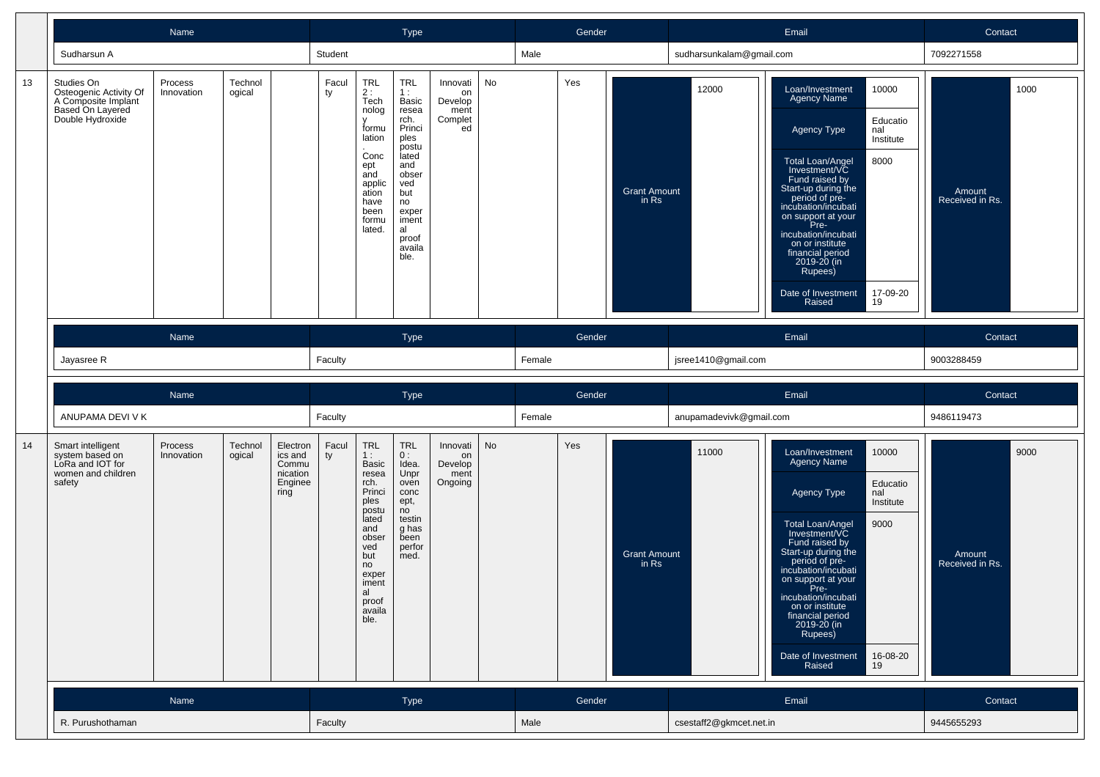|    |                                                                                                     | Name                  |                   |                                                             |             |                                                                                                                                                                                                                        | Type                                                                                                                                                                  |                                                    |    |        | Gender |                                |                          | Email                                                                                                                                                                                                                                                                                                                             |                                                                 | Contact                           |
|----|-----------------------------------------------------------------------------------------------------|-----------------------|-------------------|-------------------------------------------------------------|-------------|------------------------------------------------------------------------------------------------------------------------------------------------------------------------------------------------------------------------|-----------------------------------------------------------------------------------------------------------------------------------------------------------------------|----------------------------------------------------|----|--------|--------|--------------------------------|--------------------------|-----------------------------------------------------------------------------------------------------------------------------------------------------------------------------------------------------------------------------------------------------------------------------------------------------------------------------------|-----------------------------------------------------------------|-----------------------------------|
|    | Sudharsun A                                                                                         |                       |                   |                                                             | Student     |                                                                                                                                                                                                                        |                                                                                                                                                                       |                                                    |    | Male   |        |                                | sudharsunkalam@qmail.com |                                                                                                                                                                                                                                                                                                                                   |                                                                 | 7092271558                        |
| 13 | Studies On<br>Osteogenic Activity Of<br>A Composite Implant<br>Based On Layered<br>Double Hydroxide | Process<br>Innovation | Technol<br>ogical |                                                             | Facul<br>ty | <b>TRL</b><br>2:<br>Tech<br>nolog<br>formu<br>lation<br>Conc<br>ept<br>and<br>applic<br>ation<br>have<br>been<br>formu<br>lated.                                                                                       | <b>TRL</b><br>1:<br>Basic<br>resea<br>rch.<br>Princi<br>ples<br>postu<br>lated<br>and<br>obser<br>ved<br>but<br>no<br>exper<br>iment<br>al<br>proof<br>availa<br>ble. | Innovati<br>on<br>Develop<br>ment<br>Complet<br>ed | No |        | Yes    | <b>Grant Amount</b><br>in Rs   | 12000                    | Loan/Investment<br>Agency Name<br>Agency Type<br><b>Total Loan/Angel</b><br>Investment/VC<br>Fund raised by<br>Start-up during the<br>period of pre-<br>incubation/incubati<br>on support at your<br>Pre-<br>incubation/incubati<br>on or institute<br>financial period<br>2019-20 (in<br>Rupees)<br>Date of Investment<br>Raised | 10000<br>Educatio<br>nal<br>Institute<br>8000<br>17-09-20<br>19 | 1000<br>Amount<br>Received in Rs. |
|    |                                                                                                     | Name                  |                   |                                                             |             |                                                                                                                                                                                                                        | Type                                                                                                                                                                  |                                                    |    |        | Gender |                                |                          | Email                                                                                                                                                                                                                                                                                                                             |                                                                 | Contact                           |
|    | Jayasree R                                                                                          |                       |                   |                                                             | Faculty     |                                                                                                                                                                                                                        |                                                                                                                                                                       |                                                    |    | Female |        |                                | jsree1410@gmail.com      |                                                                                                                                                                                                                                                                                                                                   |                                                                 | 9003288459                        |
|    |                                                                                                     |                       |                   |                                                             |             |                                                                                                                                                                                                                        |                                                                                                                                                                       |                                                    |    |        |        |                                |                          |                                                                                                                                                                                                                                                                                                                                   |                                                                 |                                   |
|    |                                                                                                     | Name                  |                   |                                                             |             |                                                                                                                                                                                                                        | <b>Type</b>                                                                                                                                                           |                                                    |    |        | Gender |                                |                          | Email                                                                                                                                                                                                                                                                                                                             |                                                                 | Contact                           |
|    | ANUPAMA DEVI V K                                                                                    |                       |                   |                                                             | Faculty     |                                                                                                                                                                                                                        |                                                                                                                                                                       |                                                    |    | Female |        |                                | anupamadevivk@gmail.com  |                                                                                                                                                                                                                                                                                                                                   |                                                                 | 9486119473                        |
| 14 | Smart intelligent<br>system based on<br>LoRa and IOT for<br>women and children<br>safety            | Process<br>Innovation | Technol<br>ogical | Electron<br>ics and<br>Commu<br>nication<br>Enginee<br>ring | Facul<br>ty | $\begin{array}{c} \mathsf{TRL} \\ \mathsf{1}: \end{array}$<br><b>Basic</b><br>resea<br>rch.<br>Princi<br>ples<br>postu<br>lated<br>and<br>obser<br>ved<br>but<br>no<br>exper<br>iment<br>al<br>proof<br>availa<br>ble. | <b>TRL</b><br>0:<br>Idea.<br>Unpr<br>oven<br>conc<br>ept,<br>no<br>testin<br>g has<br>been<br>perfor<br>med.                                                          | Innovati<br>on<br>Develop<br>ment<br>Ongoing       | No |        | Yes    | <b>Grant Amount</b><br>$in$ Rs | 11000                    | Loan/Investment<br><b>Agency Name</b><br>Agency Type<br>Total Loan/Angel<br>Investment/VC<br>Fund raised by<br>Start-up during the<br>period of pre-<br>incubation/incubati<br>on support at your<br>Pre-<br>incubation/incubati<br>on or institute<br>financial period<br>2019-20 (in<br>Rupees)<br>Date of Investment<br>Raised | 10000<br>Educatio<br>nal<br>Institute<br>9000<br>16-08-20<br>19 | 9000<br>Amount<br>Received in Rs. |
|    |                                                                                                     | Name                  |                   |                                                             | Faculty     |                                                                                                                                                                                                                        | Type                                                                                                                                                                  |                                                    |    | Male   | Gender |                                | csestaff2@gkmcet.net.in  | Email                                                                                                                                                                                                                                                                                                                             |                                                                 | Contact<br>9445655293             |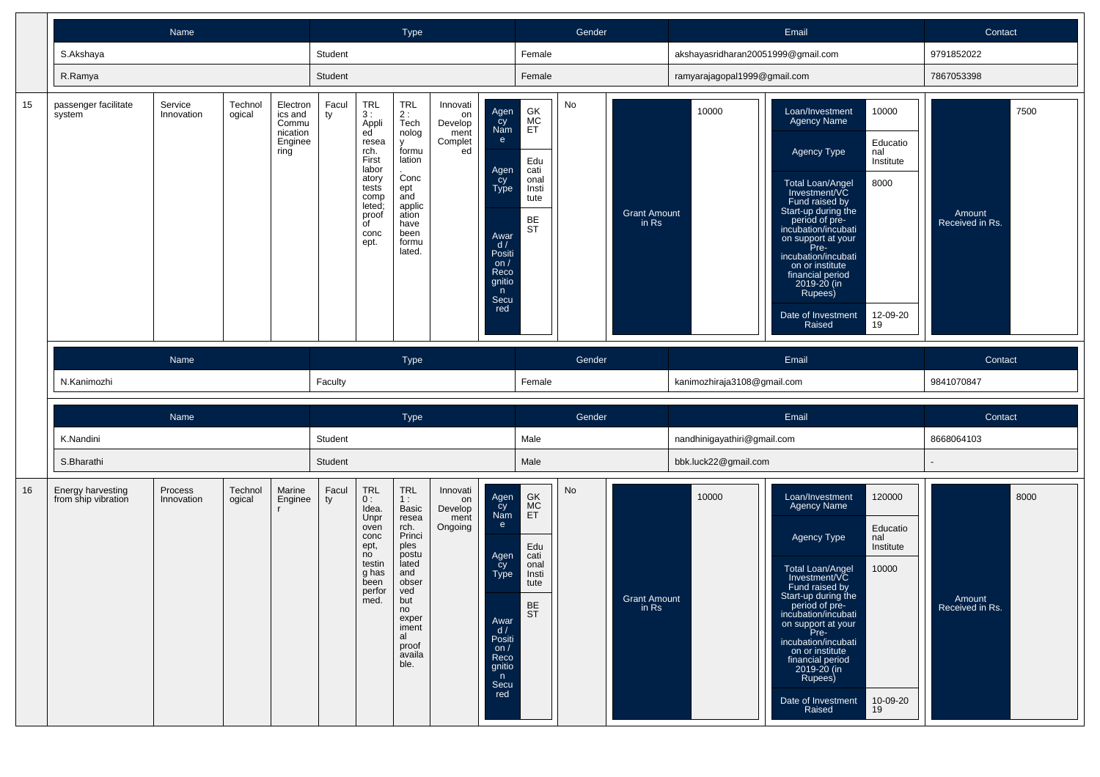|    | Name                                     |                       |                   |                                                             |             |                                                                                                                                            | <b>Type</b>                                                                                                                                                           |                                                    |                                                                                                                                  |                                                                                  | Gender |                                |                                    | Email                                                                                                                                                                                                                                                                                                                                                                                                       | Contact                           |
|----|------------------------------------------|-----------------------|-------------------|-------------------------------------------------------------|-------------|--------------------------------------------------------------------------------------------------------------------------------------------|-----------------------------------------------------------------------------------------------------------------------------------------------------------------------|----------------------------------------------------|----------------------------------------------------------------------------------------------------------------------------------|----------------------------------------------------------------------------------|--------|--------------------------------|------------------------------------|-------------------------------------------------------------------------------------------------------------------------------------------------------------------------------------------------------------------------------------------------------------------------------------------------------------------------------------------------------------------------------------------------------------|-----------------------------------|
|    | S.Akshaya                                |                       |                   |                                                             | Student     |                                                                                                                                            |                                                                                                                                                                       |                                                    |                                                                                                                                  | Female                                                                           |        |                                | akshayasridharan20051999@gmail.com |                                                                                                                                                                                                                                                                                                                                                                                                             | 9791852022                        |
|    | R.Ramya                                  |                       |                   |                                                             | Student     |                                                                                                                                            |                                                                                                                                                                       |                                                    |                                                                                                                                  | Female                                                                           |        |                                | ramyarajagopal1999@gmail.com       |                                                                                                                                                                                                                                                                                                                                                                                                             | 7867053398                        |
| 15 | passenger facilitate<br>system           | Service<br>Innovation | Technol<br>ogical | Electron<br>ics and<br>Commu<br>nication<br>Enginee<br>ring | Facul<br>ty | TRL<br>3:<br>Appli<br>ed<br>resea<br>rch.<br>First<br>labor<br>atory<br>tests<br>comp<br>leted;<br>proof<br>$\overline{C}$<br>conc<br>ept. | TRL<br>2:<br>Tech<br>nolog<br>$\mathsf{v}$<br>formu<br>lation<br>Conc<br>ept<br>and<br>applic<br>ation<br>have<br>been<br>formu<br>lated.                             | Innovati<br>on<br>Develop<br>ment<br>Complet<br>ed | Agen<br>Cy<br>Nam<br>e<br>Agen<br>Cy<br>Type<br>Awar<br>d /<br>Positi<br>on $/$<br>Reco<br>gnitio<br>n<br>Secu<br>red            | GK<br>MC<br>ET<br>Edu<br>cati<br>onal<br>Insti<br>tute<br><b>BE</b><br><b>ST</b> | No     | <b>Grant Amount</b><br>in Rs   | 10000                              | 10000<br>Loan/Investment<br><b>Agency Name</b><br>Educatio<br>Agency Type<br>nal<br>Institute<br>8000<br><b>Total Loan/Angel</b><br>Investment/VC<br>Fund raised by<br>Start-up during the<br>period of pre-<br>incubation/incubati<br>on support at your<br>Pre-<br>incubation/incubati<br>on or institute<br>financial period<br>2019-20 (in<br>Rupees)<br>Date of Investment<br>12-09-20<br>19<br>Raised | 7500<br>Amount<br>Received in Rs. |
|    |                                          | Name                  |                   |                                                             |             |                                                                                                                                            | <b>Type</b>                                                                                                                                                           |                                                    |                                                                                                                                  |                                                                                  | Gender |                                |                                    | Email                                                                                                                                                                                                                                                                                                                                                                                                       | Contact                           |
|    | N.Kanimozhi                              |                       |                   |                                                             | Faculty     |                                                                                                                                            |                                                                                                                                                                       |                                                    |                                                                                                                                  | Female                                                                           |        |                                | kanimozhiraja3108@gmail.com        |                                                                                                                                                                                                                                                                                                                                                                                                             | 9841070847                        |
|    |                                          | Name                  |                   |                                                             |             |                                                                                                                                            | Type                                                                                                                                                                  |                                                    |                                                                                                                                  |                                                                                  | Gender |                                |                                    | Email                                                                                                                                                                                                                                                                                                                                                                                                       | Contact                           |
|    | K.Nandini                                |                       |                   |                                                             | Student     |                                                                                                                                            |                                                                                                                                                                       |                                                    |                                                                                                                                  | Male                                                                             |        |                                | nandhinigayathiri@gmail.com        |                                                                                                                                                                                                                                                                                                                                                                                                             | 8668064103                        |
|    | S.Bharathi                               |                       |                   |                                                             | Student     |                                                                                                                                            |                                                                                                                                                                       |                                                    |                                                                                                                                  | Male                                                                             |        |                                | bbk.luck22@gmail.com               |                                                                                                                                                                                                                                                                                                                                                                                                             |                                   |
| 16 | Energy harvesting<br>from ship vibration | Process<br>Innovation | Technol<br>ogical | Marine<br>Enginee                                           | Facul<br>ty | <b>TRL</b><br>0:<br>Idea.<br>Unpr<br>oven<br>conc<br>ept,<br>no<br>testin<br>g has<br>been<br>perfor<br>med.                               | <b>TRL</b><br>1:<br>Basic<br>resea<br>rch.<br>Princi<br>ples<br>postu<br>lated<br>and<br>obser<br>ved<br>but<br>no<br>exper<br>iment<br>al<br>proof<br>availa<br>ble. | Innovati<br>on<br>Develop<br>ment<br>Ongoing       | Agen<br>Cy<br>Nam<br>$\mathbf{e}$<br>Agen<br>Cy<br>Type<br>Awar<br>d /<br>Positi<br>on $/$<br>Reco<br>gnitio<br>n<br>Secu<br>red | GK<br>MC<br>ET<br>Edu<br>cati<br>onal<br>Insti<br>tute<br>BE<br><b>ST</b>        | No     | <b>Grant Amount</b><br>$in$ Rs | 10000                              | 120000<br>Loan/Investment<br>Agency Name<br>Educatio<br>Agency Type<br>nal<br>Institute<br>Total Loan/Angel<br>Investment/VC<br>10000<br>Fund raised by<br>Start-up during the<br>period of pre-<br>incubation/incubati<br>on support at your<br>Pre-<br>incubation/incubati<br>on or institute<br>financial period<br>2019-20 (in<br>Rupees)<br>Date of Investment<br>10-09-20<br>Raised<br>19             | 8000<br>Amount<br>Received in Rs. |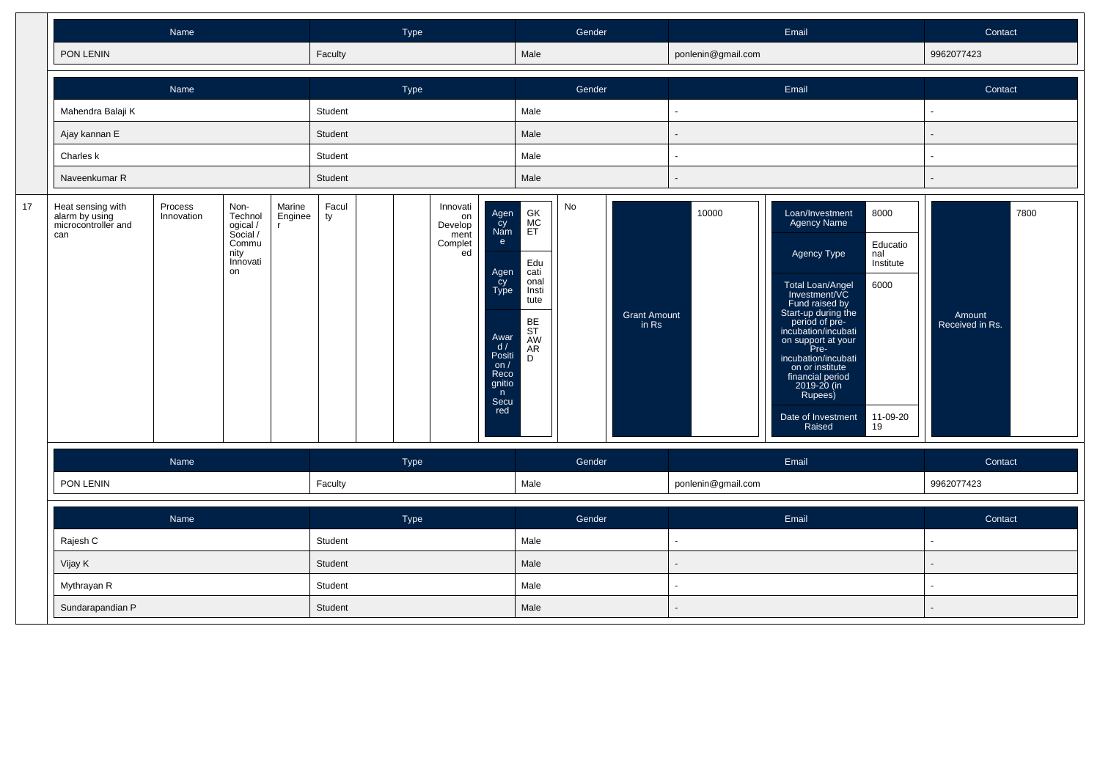|    |                                                                   | Name                  |                                                                            |                                   |             | Type |                                                    |                                                                                                                                     |                                                                                      | Gender |                              |                    | Email                                                                                                                                                                                                                                                                                                                                                                                               | Contact                           |
|----|-------------------------------------------------------------------|-----------------------|----------------------------------------------------------------------------|-----------------------------------|-------------|------|----------------------------------------------------|-------------------------------------------------------------------------------------------------------------------------------------|--------------------------------------------------------------------------------------|--------|------------------------------|--------------------|-----------------------------------------------------------------------------------------------------------------------------------------------------------------------------------------------------------------------------------------------------------------------------------------------------------------------------------------------------------------------------------------------------|-----------------------------------|
|    | PON LENIN                                                         |                       |                                                                            |                                   | Faculty     |      |                                                    |                                                                                                                                     | Male                                                                                 |        |                              | ponlenin@gmail.com |                                                                                                                                                                                                                                                                                                                                                                                                     | 9962077423                        |
|    |                                                                   | Name                  |                                                                            |                                   |             | Type |                                                    |                                                                                                                                     |                                                                                      | Gender |                              |                    | Email                                                                                                                                                                                                                                                                                                                                                                                               | Contact                           |
|    | Mahendra Balaji K                                                 |                       |                                                                            |                                   | Student     |      |                                                    |                                                                                                                                     | Male                                                                                 |        |                              | $\blacksquare$     |                                                                                                                                                                                                                                                                                                                                                                                                     | ä,                                |
|    | Ajay kannan E                                                     |                       |                                                                            |                                   | Student     |      |                                                    |                                                                                                                                     | Male                                                                                 |        |                              |                    |                                                                                                                                                                                                                                                                                                                                                                                                     |                                   |
|    | Charles k                                                         |                       |                                                                            |                                   | Student     |      |                                                    |                                                                                                                                     | Male                                                                                 |        |                              |                    |                                                                                                                                                                                                                                                                                                                                                                                                     |                                   |
|    | Naveenkumar R                                                     |                       |                                                                            |                                   | Student     |      |                                                    |                                                                                                                                     | Male                                                                                 |        |                              |                    |                                                                                                                                                                                                                                                                                                                                                                                                     |                                   |
| 17 | Heat sensing with<br>alarm by using<br>microcontroller and<br>can | Process<br>Innovation | Non-<br>Technol<br>ogical /<br>Social /<br>Commu<br>nity<br>Innovati<br>on | Marine<br>Enginee<br>$\mathbf{r}$ | Facul<br>ty |      | Innovati<br>on<br>Develop<br>ment<br>Complet<br>ed | Agen<br>cy<br>Nam<br>$\mathbf{e}$<br>Agen<br>cy<br><b>Type</b><br>Awar<br>d/<br>Positi<br>on/<br>Reco<br>gnitio<br>n<br>Secu<br>red | GK<br>MC<br>ET<br>Edu<br>cati<br>onal<br>Insti<br>tute<br>BE<br>ST<br>AW<br>AR.<br>D | No     | <b>Grant Amount</b><br>in Rs | 10000              | Loan/Investment<br>8000<br><b>Agency Name</b><br>Educatio<br>Agency Type<br>nal<br>Institute<br>6000<br>Total Loan/Angel<br>Investment/VC<br>Fund raised by<br>Start-up during the<br>period of pre-<br>incubation/incubati<br>on support at your<br>Pre-<br>incubation/incubati<br>on or institute<br>financial period<br>2019-20 (in<br>Rupees)<br>Date of Investment<br>11-09-20<br>Raised<br>19 | 7800<br>Amount<br>Received in Rs. |
|    |                                                                   | Name                  |                                                                            |                                   |             | Type |                                                    |                                                                                                                                     |                                                                                      | Gender |                              |                    | Email                                                                                                                                                                                                                                                                                                                                                                                               | Contact                           |
|    | PON LENIN                                                         |                       |                                                                            |                                   | Faculty     |      |                                                    |                                                                                                                                     | Male                                                                                 |        |                              | ponlenin@gmail.com |                                                                                                                                                                                                                                                                                                                                                                                                     | 9962077423                        |
|    |                                                                   | Name                  |                                                                            |                                   |             | Type |                                                    |                                                                                                                                     |                                                                                      | Gender |                              |                    | Email                                                                                                                                                                                                                                                                                                                                                                                               | Contact                           |
|    | Rajesh C                                                          |                       |                                                                            |                                   | Student     |      |                                                    |                                                                                                                                     | Male                                                                                 |        |                              | ÷                  |                                                                                                                                                                                                                                                                                                                                                                                                     | $\mathbf{r}$                      |
|    | Vijay K                                                           |                       |                                                                            |                                   | Student     |      |                                                    |                                                                                                                                     | Male                                                                                 |        |                              |                    |                                                                                                                                                                                                                                                                                                                                                                                                     |                                   |
|    | Mythrayan R                                                       |                       |                                                                            |                                   | Student     |      |                                                    |                                                                                                                                     | Male                                                                                 |        |                              | $\blacksquare$     |                                                                                                                                                                                                                                                                                                                                                                                                     |                                   |
|    | Sundarapandian P                                                  |                       |                                                                            |                                   | Student     |      |                                                    |                                                                                                                                     | Male                                                                                 |        |                              |                    |                                                                                                                                                                                                                                                                                                                                                                                                     |                                   |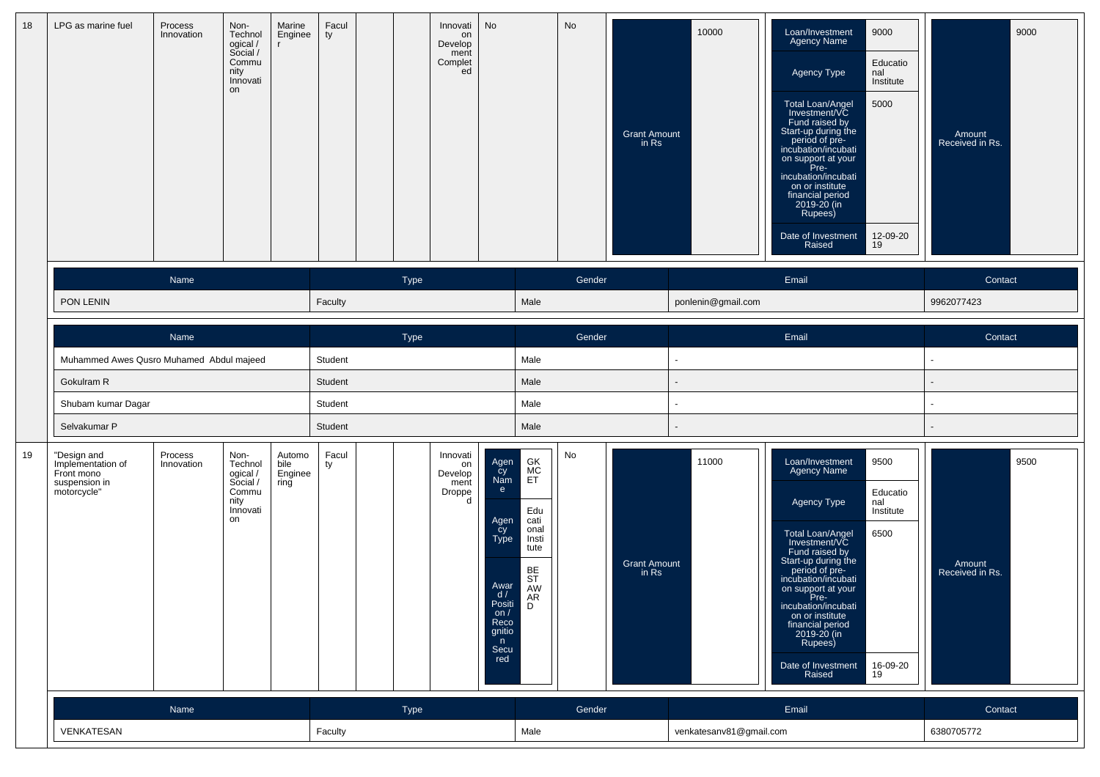| 18 | LPG as marine fuel                                                             | Process<br>Innovation | Non-<br>Technol<br>ogical /<br>Social /<br>Commu<br>nity<br>Innovati<br>on | Marine<br>Enginee                 | Facul<br>ty |      | Innovati<br>on<br>Develop<br>ment<br>Complet<br>ed | No                                                                                                                           |                                                                                                      | No     | <b>Grant Amount</b><br>in Rs | 10000                    | 9000<br>Loan/Investment<br>Agency Name<br>Educatio<br>Agency Type<br>nal<br>Institute<br>5000<br>Total Loan/Angel<br>Investment/VC<br>Fund raised by<br>Start-up during the<br>period of pre-<br>incubation/incubati<br>on support at your<br>Pre-<br>incubation/incubati<br>on or institute<br>financial period<br>2019-20 (in<br>Rupees)<br>12-09-20<br>Date of Investment<br>Raised<br>19 | 9000<br>Amount<br>Received in Rs. |
|----|--------------------------------------------------------------------------------|-----------------------|----------------------------------------------------------------------------|-----------------------------------|-------------|------|----------------------------------------------------|------------------------------------------------------------------------------------------------------------------------------|------------------------------------------------------------------------------------------------------|--------|------------------------------|--------------------------|----------------------------------------------------------------------------------------------------------------------------------------------------------------------------------------------------------------------------------------------------------------------------------------------------------------------------------------------------------------------------------------------|-----------------------------------|
|    |                                                                                | Name                  |                                                                            |                                   |             | Type |                                                    |                                                                                                                              |                                                                                                      | Gender |                              |                          | Email                                                                                                                                                                                                                                                                                                                                                                                        | Contact                           |
|    | PON LENIN                                                                      |                       |                                                                            |                                   | Faculty     |      |                                                    |                                                                                                                              | Male                                                                                                 |        |                              | ponlenin@gmail.com       |                                                                                                                                                                                                                                                                                                                                                                                              | 9962077423                        |
|    |                                                                                | Name                  |                                                                            |                                   |             | Type |                                                    |                                                                                                                              |                                                                                                      | Gender |                              |                          | Email                                                                                                                                                                                                                                                                                                                                                                                        | Contact                           |
|    | Muhammed Awes Qusro Muhamed Abdul majeed                                       |                       |                                                                            |                                   | Student     |      |                                                    |                                                                                                                              | Male                                                                                                 |        |                              | $\blacksquare$           |                                                                                                                                                                                                                                                                                                                                                                                              | ٠                                 |
|    | Gokulram R                                                                     |                       |                                                                            |                                   | Student     |      |                                                    |                                                                                                                              | Male                                                                                                 |        |                              | $\overline{\phantom{a}}$ |                                                                                                                                                                                                                                                                                                                                                                                              |                                   |
|    | Shubam kumar Dagar                                                             |                       |                                                                            |                                   | Student     |      |                                                    |                                                                                                                              | Male                                                                                                 |        |                              | $\blacksquare$           |                                                                                                                                                                                                                                                                                                                                                                                              |                                   |
|    | Selvakumar P                                                                   |                       |                                                                            |                                   | Student     |      |                                                    |                                                                                                                              | Male                                                                                                 |        |                              | $\blacksquare$           |                                                                                                                                                                                                                                                                                                                                                                                              |                                   |
| 19 | "Design and<br>Implementation of<br>Front mono<br>suspension in<br>motorcycle" | Process<br>Innovation | Non-<br>Technol<br>ogical /<br>Social /<br>Commu<br>nity<br>Innovati<br>on | Automo<br>bile<br>Enginee<br>ring | Facul<br>ty |      | Innovati<br>on<br>Develop<br>ment<br>Droppe<br>d   | Agen<br>Cy<br>Nam<br>e<br>Agen<br>Cy<br>Type<br>Awar<br>d /<br><b>Positi</b><br>on $/$<br>Reco<br>gnitio<br>n<br>Secu<br>red | GK<br>MC<br>ET<br>Edu<br>cati<br>onal<br>Insti<br>tute<br>BE<br>ST<br>AW<br><b>AR</b><br>$\mathsf D$ | No     | <b>Grant Amount</b><br>in Rs | 11000                    | 9500<br>Loan/Investment<br>Agency Name<br>Educatio<br>Agency Type<br>nal<br>Institute<br>6500<br>Total Loan/Angel<br>Investment/VC<br>Fund raised by<br>Start-up during the<br>period of pre-<br>incubation/incubati<br>on support at your<br>Pre-<br>incubation/incubati<br>on or institute<br>financial period<br>2019-20 (in<br>Rupees)<br>16-09-20<br>Date of Investment<br>Raised<br>19 | 9500<br>Amount<br>Received in Rs. |
|    |                                                                                | Name                  |                                                                            |                                   |             | Type |                                                    |                                                                                                                              |                                                                                                      | Gender |                              |                          | Email                                                                                                                                                                                                                                                                                                                                                                                        | Contact                           |
|    | VENKATESAN                                                                     |                       |                                                                            |                                   | Faculty     |      |                                                    |                                                                                                                              | Male                                                                                                 |        |                              | venkatesanv81@gmail.com  |                                                                                                                                                                                                                                                                                                                                                                                              | 6380705772                        |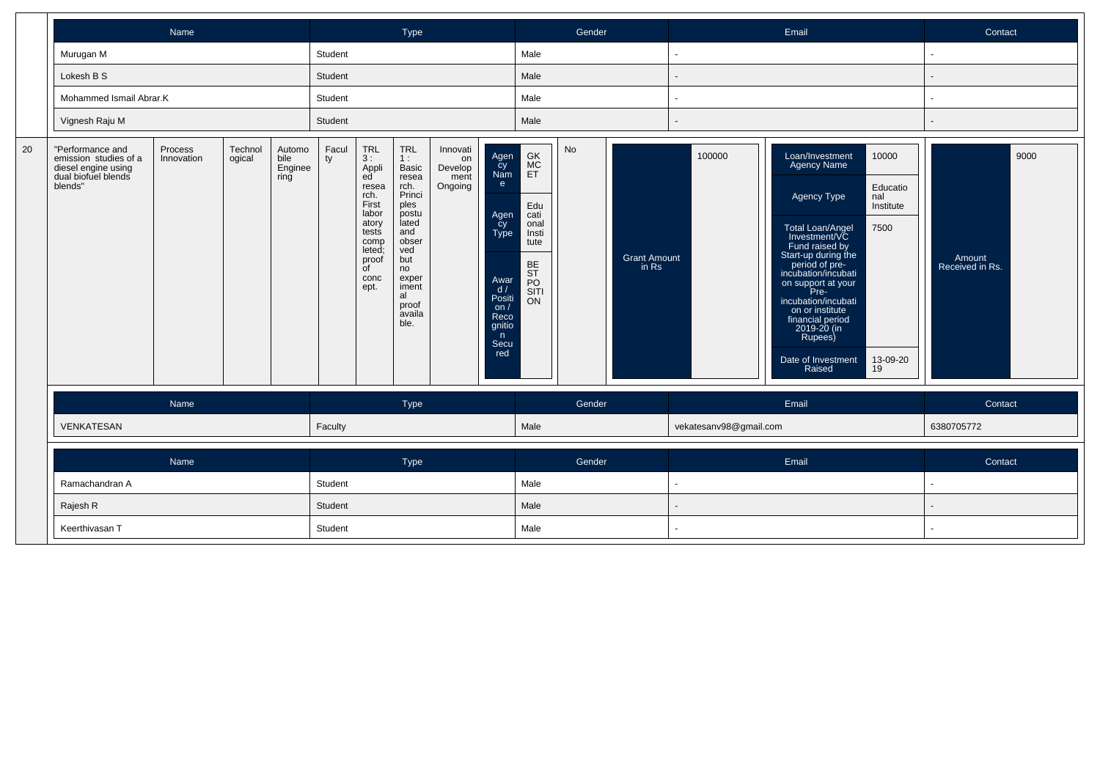|    |                                                                                                    | Name                  |                   |                                   |             |                                                                                                                                                    | Type                                                                                                                                                                  |                                              |                                                                                                                   |                                                                                               | Gender |                              |                        | Email                                                                                                                                                                                                                                                                                                                                                                                                | Contact                           |
|----|----------------------------------------------------------------------------------------------------|-----------------------|-------------------|-----------------------------------|-------------|----------------------------------------------------------------------------------------------------------------------------------------------------|-----------------------------------------------------------------------------------------------------------------------------------------------------------------------|----------------------------------------------|-------------------------------------------------------------------------------------------------------------------|-----------------------------------------------------------------------------------------------|--------|------------------------------|------------------------|------------------------------------------------------------------------------------------------------------------------------------------------------------------------------------------------------------------------------------------------------------------------------------------------------------------------------------------------------------------------------------------------------|-----------------------------------|
|    | Murugan M                                                                                          |                       |                   |                                   | Student     |                                                                                                                                                    |                                                                                                                                                                       |                                              |                                                                                                                   | Male                                                                                          |        |                              |                        |                                                                                                                                                                                                                                                                                                                                                                                                      | $\sim$                            |
|    | Lokesh B S                                                                                         |                       |                   |                                   | Student     |                                                                                                                                                    |                                                                                                                                                                       |                                              |                                                                                                                   | Male                                                                                          |        |                              |                        |                                                                                                                                                                                                                                                                                                                                                                                                      |                                   |
|    | Mohammed Ismail Abrar.K                                                                            |                       |                   |                                   | Student     |                                                                                                                                                    |                                                                                                                                                                       |                                              |                                                                                                                   | Male                                                                                          |        |                              |                        |                                                                                                                                                                                                                                                                                                                                                                                                      |                                   |
|    | Vignesh Raju M                                                                                     |                       |                   |                                   | Student     |                                                                                                                                                    |                                                                                                                                                                       |                                              |                                                                                                                   | Male                                                                                          |        |                              |                        |                                                                                                                                                                                                                                                                                                                                                                                                      |                                   |
| 20 | "Performance and<br>emission studies of a<br>diesel engine using<br>dual biofuel blends<br>blends" | Process<br>Innovation | Technol<br>ogical | Automo<br>bile<br>Enginee<br>ring | Facul<br>ty | <b>TRL</b><br>3 :<br>Appli<br>ed<br>resea<br>rch.<br>First<br>labor<br>atory<br>tests<br>comp<br>leted;<br>proof<br>$\overline{C}$<br>conc<br>ept. | <b>TRL</b><br>1:<br>Basic<br>resea<br>rch.<br>Princi<br>ples<br>postu<br>lated<br>and<br>obser<br>ved<br>but<br>no<br>exper<br>iment<br>al<br>proof<br>availa<br>ble. | Innovati<br>on<br>Develop<br>ment<br>Ongoing | Agen<br>cy<br>Nam<br>e<br>Agen<br>cy<br>Type<br>Awar<br>d/<br>Positi<br>on/<br>Reco<br>gnitio<br>n<br>Secu<br>red | GK<br>MC<br>ET<br>Edu<br>cati<br>onal<br>Insti<br>tute<br>BE<br>ST<br>PO<br>SITI<br><b>ON</b> | No     | <b>Grant Amount</b><br>in Rs | 100000                 | Loan/Investment<br>10000<br>Agency Name<br>Educatio<br>Agency Type<br>nal<br>Institute<br>7500<br><b>Total Loan/Angel</b><br>Investment/VC<br>Fund raised by<br>Start-up during the<br>period of pre-<br>incubation/incubati<br>on support at your<br>Pre-<br>incubation/incubati<br>on or institute<br>financial period<br>2019-20 (in<br>Rupees)<br>Date of Investment<br>13-09-20<br>Raised<br>19 | 9000<br>Amount<br>Received in Rs. |
|    |                                                                                                    | Name                  |                   |                                   |             |                                                                                                                                                    | Type                                                                                                                                                                  |                                              |                                                                                                                   |                                                                                               | Gender |                              |                        | Email                                                                                                                                                                                                                                                                                                                                                                                                | Contact                           |
|    | VENKATESAN                                                                                         |                       |                   |                                   | Faculty     |                                                                                                                                                    |                                                                                                                                                                       |                                              |                                                                                                                   | Male                                                                                          |        |                              | vekatesanv98@gmail.com |                                                                                                                                                                                                                                                                                                                                                                                                      | 6380705772                        |
|    |                                                                                                    | Name                  |                   |                                   |             |                                                                                                                                                    | Type                                                                                                                                                                  |                                              |                                                                                                                   |                                                                                               | Gender |                              |                        | Email                                                                                                                                                                                                                                                                                                                                                                                                | Contact                           |
|    | Ramachandran A                                                                                     |                       |                   |                                   | Student     |                                                                                                                                                    |                                                                                                                                                                       |                                              |                                                                                                                   | Male                                                                                          |        |                              |                        |                                                                                                                                                                                                                                                                                                                                                                                                      | $\sim$                            |
|    | Rajesh R                                                                                           |                       |                   |                                   | Student     |                                                                                                                                                    |                                                                                                                                                                       |                                              |                                                                                                                   | Male                                                                                          |        |                              |                        |                                                                                                                                                                                                                                                                                                                                                                                                      |                                   |
|    | Keerthivasan T                                                                                     |                       |                   | Student                           |             |                                                                                                                                                    |                                                                                                                                                                       |                                              | Male                                                                                                              |                                                                                               |        |                              |                        |                                                                                                                                                                                                                                                                                                                                                                                                      |                                   |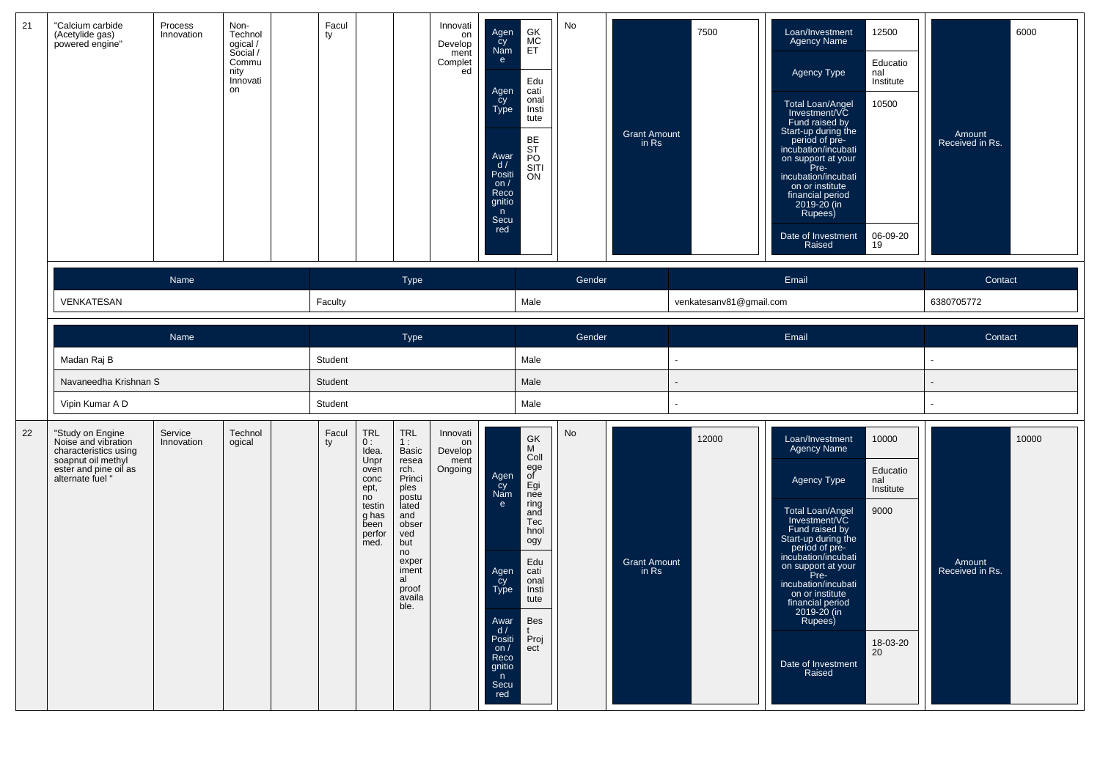| 21 | "Calcium carbide<br>(Acetylide gas)<br>powered engine"                                                                              | Process<br>Innovation | Non-<br>Technol<br>ogical /<br>Social /<br>Commu<br>nity<br>Innovati<br>on | Facul<br>ty |                                                                                                              |                                                                                                                                                                              | Innovati<br>on<br>Develop<br>ment<br>Complet<br>ed | Agen<br>cy<br>Nam<br>e<br>Agen<br>cy<br>Type<br>Awar<br>d/<br>Positi<br>on $/$<br>Reco<br>gnitio<br>$\mathsf{n}$<br>Secu<br>red | GK<br>MC<br>ET<br>Edu<br>cati<br>onal<br>Insti<br>tute<br>BE<br>ST<br>PO<br>SITI<br>ON                                                        | No     | <b>Grant Amount</b><br>in Rs | 7500                    | 12500<br>Loan/Investment<br><b>Agency Name</b><br>Educatio<br>Agency Type<br>nal<br>Institute<br>10500<br>Total Loan/Angel<br>Investment/VC<br>Fund raised by<br>Start-up during the<br>period of pre-<br>incubation/incubati<br>on support at your<br>Pre-<br>incubation/incubati<br>on or institute<br>financial period<br>2019-20 (in<br>Rupees)<br>Date of Investment<br>06-09-20<br>Raised<br>19 | 6000<br>Amount<br>Received in Rs.  |
|----|-------------------------------------------------------------------------------------------------------------------------------------|-----------------------|----------------------------------------------------------------------------|-------------|--------------------------------------------------------------------------------------------------------------|------------------------------------------------------------------------------------------------------------------------------------------------------------------------------|----------------------------------------------------|---------------------------------------------------------------------------------------------------------------------------------|-----------------------------------------------------------------------------------------------------------------------------------------------|--------|------------------------------|-------------------------|-------------------------------------------------------------------------------------------------------------------------------------------------------------------------------------------------------------------------------------------------------------------------------------------------------------------------------------------------------------------------------------------------------|------------------------------------|
|    |                                                                                                                                     | Name                  |                                                                            |             |                                                                                                              | Type                                                                                                                                                                         |                                                    |                                                                                                                                 |                                                                                                                                               | Gender |                              |                         | Email                                                                                                                                                                                                                                                                                                                                                                                                 | Contact                            |
|    | VENKATESAN                                                                                                                          |                       |                                                                            | Faculty     |                                                                                                              |                                                                                                                                                                              |                                                    |                                                                                                                                 | Male                                                                                                                                          |        |                              | venkatesanv81@gmail.com |                                                                                                                                                                                                                                                                                                                                                                                                       | 6380705772                         |
|    |                                                                                                                                     | Name                  |                                                                            |             |                                                                                                              | <b>Type</b>                                                                                                                                                                  |                                                    |                                                                                                                                 |                                                                                                                                               | Gender |                              |                         | Email                                                                                                                                                                                                                                                                                                                                                                                                 | Contact                            |
|    | Madan Raj B                                                                                                                         |                       |                                                                            | Student     |                                                                                                              |                                                                                                                                                                              |                                                    |                                                                                                                                 | Male                                                                                                                                          |        |                              |                         |                                                                                                                                                                                                                                                                                                                                                                                                       |                                    |
|    | Navaneedha Krishnan S                                                                                                               |                       |                                                                            | Student     |                                                                                                              |                                                                                                                                                                              |                                                    |                                                                                                                                 | Male                                                                                                                                          |        |                              |                         |                                                                                                                                                                                                                                                                                                                                                                                                       |                                    |
|    | Vipin Kumar A D                                                                                                                     |                       |                                                                            | Student     |                                                                                                              |                                                                                                                                                                              |                                                    |                                                                                                                                 | Male                                                                                                                                          |        |                              |                         |                                                                                                                                                                                                                                                                                                                                                                                                       |                                    |
| 22 | "Study on Engine<br>Noise and vibration<br>characteristics using<br>soapnut oil methyl<br>ester and pine oil as<br>alternate fuel " | Service<br>Innovation | Technol<br>ogical                                                          | Facul<br>ty | <b>TRL</b><br>0:<br>Idea.<br>Unpr<br>oven<br>conc<br>ept,<br>no<br>testin<br>g has<br>been<br>perfor<br>med. | <b>TRL</b><br>1:<br><b>Basic</b><br>resea<br>rch.<br>Princi<br>ples<br>postu<br>lated<br>and<br>obser<br>ved<br>but<br>no<br>exper<br>iment<br>al<br>proof<br>availa<br>ble. | Innovati<br>on<br>Develop<br>ment<br>Ongoing       | Agen<br>cy<br>Nam<br>e<br>Agen<br>cy<br>Type<br>Awar<br>d /<br>Positi<br>on /<br>Reco<br>gnitio<br>n<br><b>Secu</b><br>red      | GK<br>M<br>Coll<br>ege<br>of<br>Egi<br>nee<br>ring<br>and<br>Tec<br>hnol<br>ogy<br>Edu<br>cati<br>onal<br>Insti<br>tute<br>Bes<br>Proj<br>ect | No     | <b>Grant Amount</b><br>in Rs | 12000                   | 10000<br>Loan/Investment<br><b>Agency Name</b><br>Educatio<br>Agency Type<br>nal<br>Institute<br>Total Loan/Angel<br>Investment/VC<br>Fund raised by<br>Start-up during the<br>9000<br>period of pre-<br>incubation/incubati<br>on support at your<br>Pre-<br>incubation/incubati<br>on or institute<br>financial period<br>2019-20 (in<br>Rupees)<br>18-03-20<br>20<br>Date of Investment<br>Raised  | 10000<br>Amount<br>Received in Rs. |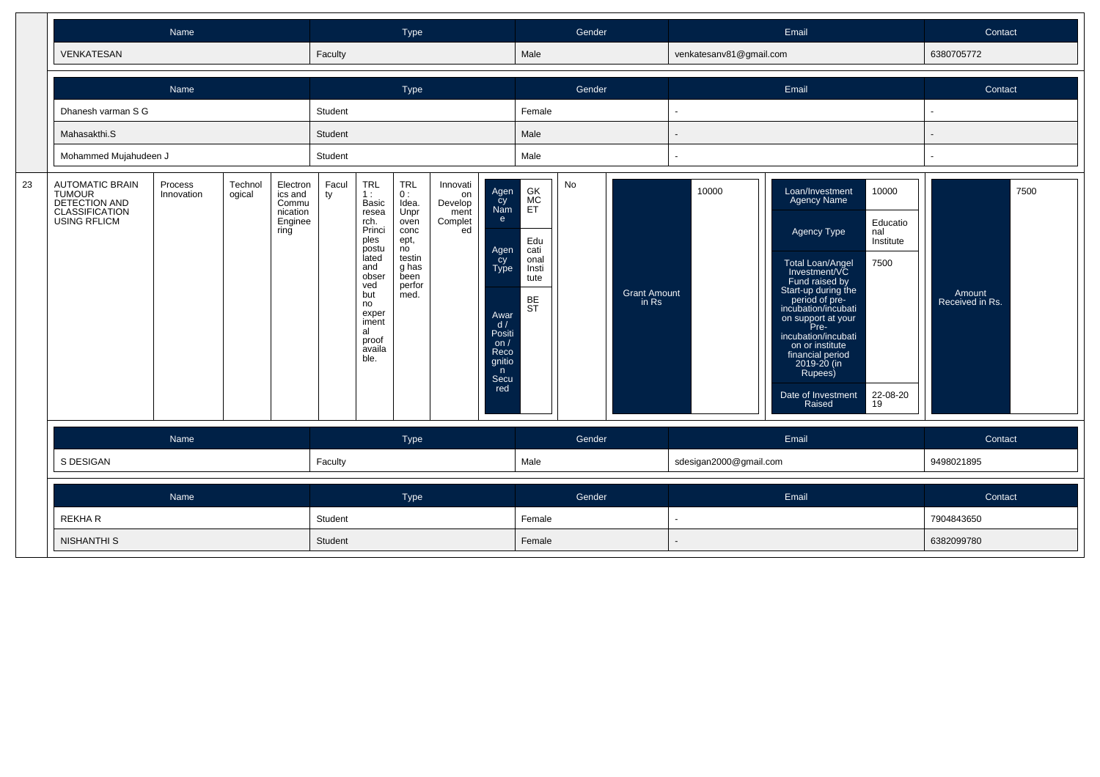|    |                                                                                            | Name                  |                   |                                                             |             |                                                                                                                                                                       | Type                                                                                                         |                                                    |                                                                                                                       |                                                                                  | Gender |                              |                         | Email                                                                                                                                                                                                                                                                                                                                                                                                       | Contact                           |
|----|--------------------------------------------------------------------------------------------|-----------------------|-------------------|-------------------------------------------------------------|-------------|-----------------------------------------------------------------------------------------------------------------------------------------------------------------------|--------------------------------------------------------------------------------------------------------------|----------------------------------------------------|-----------------------------------------------------------------------------------------------------------------------|----------------------------------------------------------------------------------|--------|------------------------------|-------------------------|-------------------------------------------------------------------------------------------------------------------------------------------------------------------------------------------------------------------------------------------------------------------------------------------------------------------------------------------------------------------------------------------------------------|-----------------------------------|
|    | <b>VENKATESAN</b>                                                                          |                       |                   |                                                             | Faculty     |                                                                                                                                                                       |                                                                                                              |                                                    |                                                                                                                       | Male                                                                             |        |                              | venkatesanv81@gmail.com |                                                                                                                                                                                                                                                                                                                                                                                                             | 6380705772                        |
|    |                                                                                            | Name                  |                   |                                                             |             |                                                                                                                                                                       | Type                                                                                                         |                                                    |                                                                                                                       |                                                                                  | Gender |                              |                         | Email                                                                                                                                                                                                                                                                                                                                                                                                       | Contact                           |
|    | Dhanesh varman S G                                                                         |                       |                   |                                                             | Student     |                                                                                                                                                                       |                                                                                                              |                                                    |                                                                                                                       | Female                                                                           |        |                              | ä,                      |                                                                                                                                                                                                                                                                                                                                                                                                             |                                   |
|    | Mahasakthi.S                                                                               |                       |                   |                                                             | Student     |                                                                                                                                                                       |                                                                                                              |                                                    |                                                                                                                       | Male                                                                             |        |                              | $\overline{a}$          |                                                                                                                                                                                                                                                                                                                                                                                                             |                                   |
|    | Mohammed Mujahudeen J                                                                      |                       |                   |                                                             | Student     |                                                                                                                                                                       |                                                                                                              |                                                    |                                                                                                                       | Male                                                                             |        |                              |                         |                                                                                                                                                                                                                                                                                                                                                                                                             |                                   |
| 23 | <b>AUTOMATIC BRAIN</b><br>TUMOUR<br>DETECTION AND<br>CLASSIFICATION<br><b>USING RFLICM</b> | Process<br>Innovation | Technol<br>ogical | Electron<br>ics and<br>Commu<br>nication<br>Enginee<br>ring | Facul<br>ty | <b>TRL</b><br>1:<br>Basic<br>resea<br>rch.<br>Princi<br>ples<br>postu<br>lated<br>and<br>obser<br>ved<br>but<br>no<br>exper<br>iment<br>al<br>proof<br>availa<br>ble. | <b>TRL</b><br>0:<br>Idea.<br>Unpr<br>oven<br>conc<br>ept,<br>no<br>testin<br>g has<br>been<br>perfor<br>med. | Innovati<br>on<br>Develop<br>ment<br>Complet<br>ed | Agen<br>cy<br>Nam<br>e.<br>Agen<br>cy<br>Type<br>Awar<br>d/<br>Positi<br>on $/$<br>Reco<br>gnitio<br>n<br>Secu<br>red | GK<br><b>MC</b><br>ET<br>Edu<br>cati<br>onal<br>Insti<br>tute<br>BE<br><b>ST</b> | No     | <b>Grant Amount</b><br>in Rs | 10000                   | Loan/Investment<br>10000<br><b>Agency Name</b><br>Educatio<br>Agency Type<br>nal<br>Institute<br>7500<br><b>Total Loan/Angel</b><br>Investment/VC<br>Fund raised by<br>Start-up during the<br>period of pre-<br>incubation/incubati<br>on support at your<br>Pre-<br>incubation/incubati<br>on or institute<br>financial period<br>2019-20 (in<br>Rupees)<br>22-08-20<br>Date of Investment<br>19<br>Raised | 7500<br>Amount<br>Received in Rs. |
|    |                                                                                            | Name                  |                   |                                                             |             |                                                                                                                                                                       | Type                                                                                                         |                                                    |                                                                                                                       |                                                                                  | Gender |                              |                         | Email                                                                                                                                                                                                                                                                                                                                                                                                       | Contact                           |
|    | S DESIGAN                                                                                  |                       |                   |                                                             | Faculty     |                                                                                                                                                                       |                                                                                                              |                                                    |                                                                                                                       | Male                                                                             |        |                              | sdesigan2000@gmail.com  |                                                                                                                                                                                                                                                                                                                                                                                                             | 9498021895                        |
|    |                                                                                            | Name                  |                   |                                                             |             |                                                                                                                                                                       | Type                                                                                                         |                                                    |                                                                                                                       |                                                                                  | Gender |                              |                         | Email                                                                                                                                                                                                                                                                                                                                                                                                       | Contact                           |
|    | <b>REKHAR</b>                                                                              |                       |                   |                                                             | Student     |                                                                                                                                                                       |                                                                                                              |                                                    |                                                                                                                       | Female                                                                           |        |                              | $\blacksquare$          |                                                                                                                                                                                                                                                                                                                                                                                                             | 7904843650                        |
|    | <b>NISHANTHI S</b>                                                                         |                       |                   |                                                             | Student     |                                                                                                                                                                       |                                                                                                              |                                                    |                                                                                                                       | Female                                                                           |        |                              |                         |                                                                                                                                                                                                                                                                                                                                                                                                             | 6382099780                        |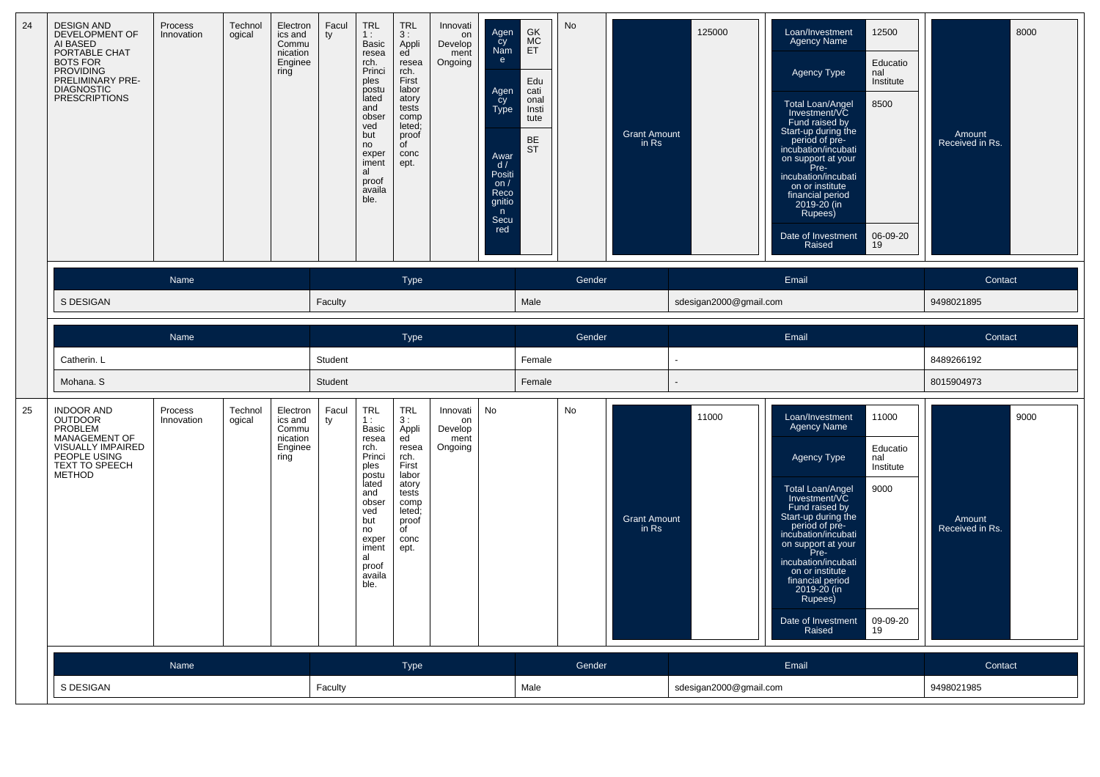| 24 | <b>DESIGN AND</b><br><b>DEVELOPMENT OF</b><br>AI BASED<br>PORTABLE CHAT<br><b>BOTS FOR</b><br><b>PROVIDING</b><br>PRELIMINARY PRE-<br><b>DIAGNOSTIC</b><br><b>PRESCRIPTIONS</b> | Process<br>Innovation | Technol<br>ogical | Electron<br>ics and<br>Commu<br>nication<br>Enginee<br>ring | Facul<br>ty | <b>TRL</b><br>1:<br>Basic<br>resea<br>rch.<br>Princi<br>ples<br>postu<br>lated<br>and<br>obser<br>ved<br>but<br>no<br>exper<br>iment<br>al<br>proof<br>availa<br>ble. | <b>TRL</b><br>3:<br>Appli<br>ed<br>resea<br>rch.<br>First<br>labor<br>atory<br>tests<br>comp<br>leted;<br>proof<br>of<br>conc<br>ept. | Innovati<br>on<br>Develop<br>ment<br>Ongoing | Agen<br>cy<br>Nam<br>e<br>Agen<br>cy<br>Type<br>Awar<br>d/<br>Positi<br>on $/$<br>Reco<br>gnitio<br>n<br>Secu<br>red | GK<br>$\frac{\text{MC}}{\text{ET}}$<br>Edu<br>cati<br>onal<br>Insti<br>tute<br><b>BE</b><br>ST | <b>No</b> | <b>Grant Amount</b><br>in Rs   | 125000                 | 12500<br>Loan/Investment<br><b>Agency Name</b><br>Educatio<br><b>Agency Type</b><br>nal<br>Institute<br>Total Loan/Angel<br>8500<br>Investment/VC<br>Fund raised by<br>Start-up during the<br>period of pre-<br>incubation/incubati<br>on support at your<br>Pre-<br>incubation/incubati<br>on or institute<br>financial period<br>2019-20 (in<br>Rupees)<br>06-09-20<br>Date of Investment<br>Raised<br>19 | 8000<br>Amount<br>Received in Rs. |
|----|---------------------------------------------------------------------------------------------------------------------------------------------------------------------------------|-----------------------|-------------------|-------------------------------------------------------------|-------------|-----------------------------------------------------------------------------------------------------------------------------------------------------------------------|---------------------------------------------------------------------------------------------------------------------------------------|----------------------------------------------|----------------------------------------------------------------------------------------------------------------------|------------------------------------------------------------------------------------------------|-----------|--------------------------------|------------------------|-------------------------------------------------------------------------------------------------------------------------------------------------------------------------------------------------------------------------------------------------------------------------------------------------------------------------------------------------------------------------------------------------------------|-----------------------------------|
|    |                                                                                                                                                                                 | Name                  |                   |                                                             |             |                                                                                                                                                                       | <b>Type</b>                                                                                                                           |                                              |                                                                                                                      |                                                                                                | Gender    |                                |                        | Email                                                                                                                                                                                                                                                                                                                                                                                                       | Contact                           |
|    | S DESIGAN                                                                                                                                                                       |                       |                   |                                                             | Faculty     |                                                                                                                                                                       |                                                                                                                                       |                                              |                                                                                                                      | Male                                                                                           |           |                                | sdesigan2000@gmail.com |                                                                                                                                                                                                                                                                                                                                                                                                             | 9498021895                        |
|    |                                                                                                                                                                                 | Name                  |                   |                                                             |             |                                                                                                                                                                       | <b>Type</b>                                                                                                                           |                                              |                                                                                                                      |                                                                                                | Gender    |                                |                        | Email                                                                                                                                                                                                                                                                                                                                                                                                       | Contact                           |
|    | Catherin. L                                                                                                                                                                     |                       |                   |                                                             | Student     |                                                                                                                                                                       |                                                                                                                                       |                                              |                                                                                                                      | Female                                                                                         |           |                                | $\ddot{\phantom{1}}$   |                                                                                                                                                                                                                                                                                                                                                                                                             | 8489266192                        |
|    | Mohana. S                                                                                                                                                                       |                       |                   |                                                             | Student     |                                                                                                                                                                       |                                                                                                                                       |                                              |                                                                                                                      | Female                                                                                         |           |                                |                        |                                                                                                                                                                                                                                                                                                                                                                                                             | 8015904973                        |
| 25 | <b>INDOOR AND</b><br><b>OUTDOOR</b><br>PROBLEM<br><b>MANAGEMENT OF</b><br>VISUALLY IMPAIRED<br>PEOPLE USING<br>TEXT TO SPEECH<br>METHOD                                         | Process<br>Innovation | Technol<br>ogical | Electron<br>ics and<br>Commu<br>nication<br>Enginee<br>ring | Facul<br>ty | <b>TRL</b><br>1:<br>Basic<br>resea<br>rch.<br>Princi<br>ples<br>postu<br>lated<br>and<br>obser<br>ved<br>but<br>no<br>exper<br>iment<br>al<br>proof<br>availa<br>ble. | <b>TRL</b><br>3:<br>Appli<br>ed<br>resea<br>rch.<br>First<br>labor<br>atory<br>tests<br>comp<br>leted;<br>proof<br>of<br>conc<br>ept. | Innovati<br>on<br>Develop<br>ment<br>Ongoing | No                                                                                                                   |                                                                                                | No        | <b>Grant Amount</b><br>in $Rs$ | 11000                  | 11000<br>Loan/Investment<br><b>Agency Name</b><br>Educatio<br>Agency Type<br>nal<br>Institute<br>9000<br>Total Loan/Angel<br>Investment/VC<br>Fund raised by<br>Start-up during the<br>period of pre-<br>incubation/incubati<br>on support at your<br>Pre-<br>incubation/incubati<br>on or institute<br>financial period<br>2019-20 (in<br>Rupees)<br>09-09-20<br>Date of Investment<br>Raised<br>19        | 9000<br>Amount<br>Received in Rs. |
|    |                                                                                                                                                                                 | Name                  |                   |                                                             |             |                                                                                                                                                                       | Type                                                                                                                                  |                                              |                                                                                                                      |                                                                                                | Gender    |                                |                        | Email                                                                                                                                                                                                                                                                                                                                                                                                       | Contact                           |
|    | S DESIGAN                                                                                                                                                                       |                       |                   |                                                             | Faculty     |                                                                                                                                                                       |                                                                                                                                       |                                              |                                                                                                                      | Male                                                                                           |           |                                | sdesigan2000@gmail.com |                                                                                                                                                                                                                                                                                                                                                                                                             | 9498021985                        |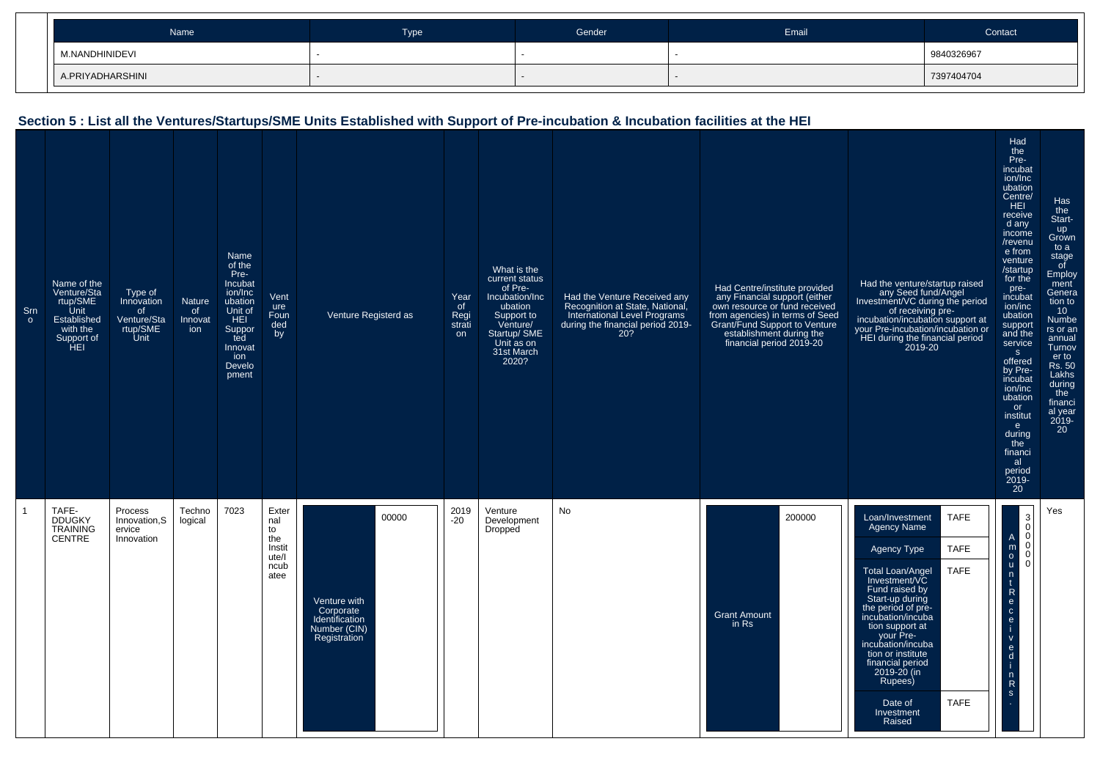| Name             | <b>Type</b> | Gender | Email | Contact    |
|------------------|-------------|--------|-------|------------|
| M.NANDHINIDEVI   |             |        |       | 9840326967 |
| A.PRIYADHARSHINI |             |        |       | 7397404704 |

## **Section 5 : List all the Ventures/Startups/SME Units Established with Support of Pre-incubation & Incubation facilities at the HEI**

| Srn<br>$\circ$ | Name of the<br>Venture/Sta<br>rtup/SME<br>Unit<br>Established<br>with the<br>Support of<br>`ĤEI | Type of<br>Innovation<br>of<br>Venture/Sta<br>rtup/SME<br>Unit | <b>Nature</b><br>of<br>Innovat<br>ion | Name<br>of the<br>Pre-<br>Incubat<br>ion/Inc<br>ubation<br>Unit of<br>HEI<br>Suppor<br>ted<br>Innovat<br>ion<br>Develo<br>pment | Vent<br>ure<br>Foun<br>ded<br>by                             | Venture Registerd as                                                                 | Year<br>of<br>Regi<br>strati<br>on | What is the<br>current status<br>of Pre-<br>Incubation/Inc<br>ubation<br>Support to<br>Venture/<br>Startup/ SME<br>Unit as on<br>31st March<br>2020? | Had the Venture Received any<br>Recognition at State, National,<br>International Level Programs<br>during the financial period 2019-<br>20? | Had Centre/institute provided<br>any Financial support (either<br>own resource or fund received<br>from agencies) in terms of Seed<br>Grant/Fund Support to Venture<br>establishment during the<br>financial period 2019-20 | Had the venture/startup raised<br>any Seed fund/Angel<br>Investment/VC during the period<br>of receiving pre-<br>incubation/incubation support at<br>your Pre-incubation/incubation or<br>HEI during the financial period<br>2019-20                                                                                                                                                      | Had<br>the<br>Pre-<br>incubat<br>ion/Inc<br>ubation<br>Centre/<br>HEI.<br>receive<br>d any<br>income<br>/revenu<br>e from<br>venture<br>/startup<br>for the<br>pre-<br>incubat<br>ion/inc<br>ubation<br>support<br>and the<br>service<br>S.<br>offered<br>by Pre-<br>incubat<br>ion/inc<br>ubation<br>or<br>institut<br>e.<br>during<br>the<br>financi<br>al<br>period<br>$2019 -$<br>20 | Has<br>the<br>Start-<br>up<br>Grown<br>to a<br>stage<br>of<br>Employ<br>ment<br>Genera<br>tion to<br>10 <sup>°</sup><br>Numbe<br>rs or an<br>annual<br>Turnov<br>er to<br><b>Rs. 50</b><br>Lakhs<br>during<br>the<br>financi<br>al year<br>$\frac{2019}{20}$ |
|----------------|-------------------------------------------------------------------------------------------------|----------------------------------------------------------------|---------------------------------------|---------------------------------------------------------------------------------------------------------------------------------|--------------------------------------------------------------|--------------------------------------------------------------------------------------|------------------------------------|------------------------------------------------------------------------------------------------------------------------------------------------------|---------------------------------------------------------------------------------------------------------------------------------------------|-----------------------------------------------------------------------------------------------------------------------------------------------------------------------------------------------------------------------------|-------------------------------------------------------------------------------------------------------------------------------------------------------------------------------------------------------------------------------------------------------------------------------------------------------------------------------------------------------------------------------------------|------------------------------------------------------------------------------------------------------------------------------------------------------------------------------------------------------------------------------------------------------------------------------------------------------------------------------------------------------------------------------------------|--------------------------------------------------------------------------------------------------------------------------------------------------------------------------------------------------------------------------------------------------------------|
| $\overline{1}$ | TAFE-<br><b>DDUGKY</b><br><b>TRAINING</b><br><b>CENTRE</b>                                      | Process<br>Innovation, S<br>ervice<br>Innovation               | Techno<br>logical                     | 7023                                                                                                                            | Exter<br>nal<br>to<br>the<br>Instit<br>ute/l<br>ncub<br>atee | 00000<br>Venture with<br>Corporate<br>Identification<br>Number (CIN)<br>Registration | 2019<br>$-20$                      | Venture<br>Development<br>Dropped                                                                                                                    | No                                                                                                                                          | 200000<br><b>Grant Amount</b><br>in Rs                                                                                                                                                                                      | <b>TAFE</b><br>Loan/Investment<br>Agency Name<br><b>TAFE</b><br>Agency Type<br><b>TAFE</b><br>Total Loan/Angel<br>Investment/VC<br>Fund raised by<br>Start-up during<br>the period of pre-<br>incubation/incuba<br>tion support at<br>your Pre-<br>incubation/incuba<br>tion or institute<br>financial period<br>2019-20 (in<br>Rupees)<br><b>TAFE</b><br>Date of<br>Investment<br>Raised | 3<br>$\mathbf 0$<br>$\mathbf 0$<br>A<br>$\mathbf 0$<br>m<br>$\mathbf 0$<br>$\circ$<br>$\Omega$<br>$\mathsf{u}$<br>$\mathsf{n}$<br>$\frac{R}{e}$<br>$\frac{c}{e}$<br>$\mathbf{V}$<br>$\frac{e}{d}$<br>$\frac{n}{R}$<br>$\mathbf{s}$                                                                                                                                                       | Yes                                                                                                                                                                                                                                                          |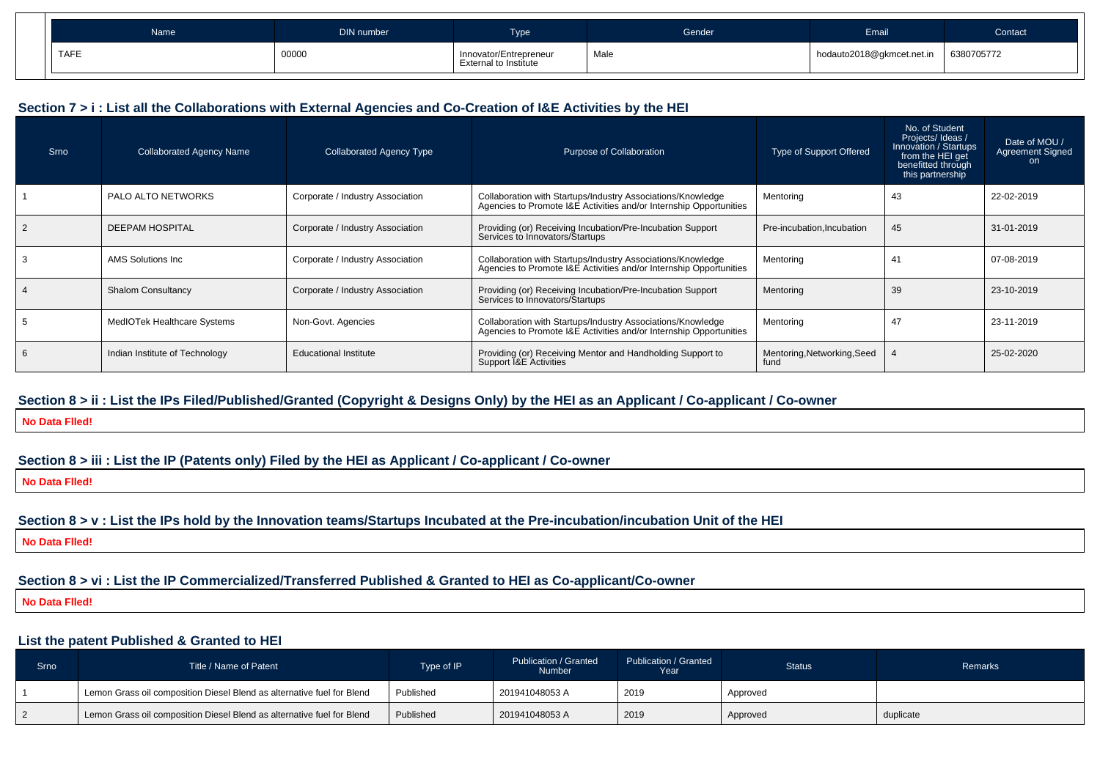| Name        | DIN number | -<br><b>Type</b>                                       | Gender | Email                     | Contact <sup>1</sup> |
|-------------|------------|--------------------------------------------------------|--------|---------------------------|----------------------|
| <b>TAFE</b> | 00000      | Innovator/Entrepreneur<br><b>External to Institute</b> | Male   | hodauto2018@gkmcet.net.in | 6380705772           |

#### **Section 7 > i : List all the Collaborations with External Agencies and Co-Creation of I&E Activities by the HEI**

| Srno | <b>Collaborated Agency Name</b> | <b>Collaborated Agency Type</b>  | Purpose of Collaboration                                                                                                          | Type of Support Offered             | No. of Student<br>Projects/Ideas/<br>Innovation / Startups<br>from the HEI get<br>benefitted through<br>this partnership | Date of MOU /<br><b>Agreement Signed</b><br>on |
|------|---------------------------------|----------------------------------|-----------------------------------------------------------------------------------------------------------------------------------|-------------------------------------|--------------------------------------------------------------------------------------------------------------------------|------------------------------------------------|
|      | PALO ALTO NETWORKS              | Corporate / Industry Association | Collaboration with Startups/Industry Associations/Knowledge<br>Agencies to Promote I&E Activities and/or Internship Opportunities | Mentoring                           | 43                                                                                                                       | 22-02-2019                                     |
|      | <b>DEEPAM HOSPITAL</b>          | Corporate / Industry Association | Providing (or) Receiving Incubation/Pre-Incubation Support<br>Services to Innovators/Startups                                     | Pre-incubation.Incubation           | 45                                                                                                                       | 31-01-2019                                     |
|      | AMS Solutions Inc.              | Corporate / Industry Association | Collaboration with Startups/Industry Associations/Knowledge<br>Agencies to Promote I&E Activities and/or Internship Opportunities | Mentoring                           | -41                                                                                                                      | 07-08-2019                                     |
|      | <b>Shalom Consultancy</b>       | Corporate / Industry Association | Providing (or) Receiving Incubation/Pre-Incubation Support<br>Services to Innovators/Startups                                     | Mentoring                           | 39                                                                                                                       | 23-10-2019                                     |
|      | MedIOTek Healthcare Systems     | Non-Govt. Agencies               | Collaboration with Startups/Industry Associations/Knowledge<br>Agencies to Promote I&E Activities and/or Internship Opportunities | Mentoring                           | 47                                                                                                                       | 23-11-2019                                     |
|      | Indian Institute of Technology  | <b>Educational Institute</b>     | Providing (or) Receiving Mentor and Handholding Support to<br>Support <b>1&amp;E</b> Activities                                   | Mentoring, Networking, Seed<br>fund |                                                                                                                          | 25-02-2020                                     |

#### **Section 8 > ii : List the IPs Filed/Published/Granted (Copyright & Designs Only) by the HEI as an Applicant / Co-applicant / Co-owner**

**No Data Flled!**

#### **Section 8 > iii : List the IP (Patents only) Filed by the HEI as Applicant / Co-applicant / Co-owner**

**No Data Flled!**

#### **Section 8 > v : List the IPs hold by the Innovation teams/Startups Incubated at the Pre-incubation/incubation Unit of the HEI**

**No Data Flled!**

## **Section 8 > vi : List the IP Commercialized/Transferred Published & Granted to HEI as Co-applicant/Co-owner**

**No Data Flled!**

### **List the patent Published & Granted to HEI**

| Srno | Title / Name of Patent                                                 | Type of IP | Publication / Granted<br><b>Number</b> | Publication / Granted<br>Year | Status <sup>1</sup> | <b>Remarks</b> |
|------|------------------------------------------------------------------------|------------|----------------------------------------|-------------------------------|---------------------|----------------|
|      | Lemon Grass oil composition Diesel Blend as alternative fuel for Blend | Published  | 201941048053 A                         | 2019                          | Approved            |                |
|      | Lemon Grass oil composition Diesel Blend as alternative fuel for Blend | Published  | 201941048053 A                         | 2019                          | Approved            | duplicate      |